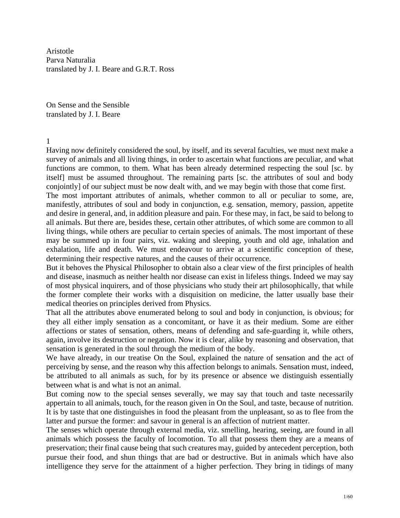Aristotle Parva Naturalia translated by J. I. Beare and G.R.T. Ross

On Sense and the Sensible translated by J. I. Beare

1

Having now definitely considered the soul, by itself, and its several faculties, we must next make a survey of animals and all living things, in order to ascertain what functions are peculiar, and what functions are common, to them. What has been already determined respecting the soul [sc. by itself] must be assumed throughout. The remaining parts [sc. the attributes of soul and body conjointly] of our subject must be now dealt with, and we may begin with those that come first.

The most important attributes of animals, whether common to all or peculiar to some, are, manifestly, attributes of soul and body in conjunction, e.g. sensation, memory, passion, appetite and desire in general, and, in addition pleasure and pain. For these may, in fact, be said to belong to all animals. But there are, besides these, certain other attributes, of which some are common to all living things, while others are peculiar to certain species of animals. The most important of these may be summed up in four pairs, viz. waking and sleeping, youth and old age, inhalation and exhalation, life and death. We must endeavour to arrive at a scientific conception of these, determining their respective natures, and the causes of their occurrence.

But it behoves the Physical Philosopher to obtain also a clear view of the first principles of health and disease, inasmuch as neither health nor disease can exist in lifeless things. Indeed we may say of most physical inquirers, and of those physicians who study their art philosophically, that while the former complete their works with a disquisition on medicine, the latter usually base their medical theories on principles derived from Physics.

That all the attributes above enumerated belong to soul and body in conjunction, is obvious; for they all either imply sensation as a concomitant, or have it as their medium. Some are either affections or states of sensation, others, means of defending and safe-guarding it, while others, again, involve its destruction or negation. Now it is clear, alike by reasoning and observation, that sensation is generated in the soul through the medium of the body.

We have already, in our treatise On the Soul, explained the nature of sensation and the act of perceiving by sense, and the reason why this affection belongs to animals. Sensation must, indeed, be attributed to all animals as such, for by its presence or absence we distinguish essentially between what is and what is not an animal.

But coming now to the special senses severally, we may say that touch and taste necessarily appertain to all animals, touch, for the reason given in On the Soul, and taste, because of nutrition. It is by taste that one distinguishes in food the pleasant from the unpleasant, so as to flee from the latter and pursue the former: and savour in general is an affection of nutrient matter.

The senses which operate through external media, viz. smelling, hearing, seeing, are found in all animals which possess the faculty of locomotion. To all that possess them they are a means of preservation; their final cause being that such creatures may, guided by antecedent perception, both pursue their food, and shun things that are bad or destructive. But in animals which have also intelligence they serve for the attainment of a higher perfection. They bring in tidings of many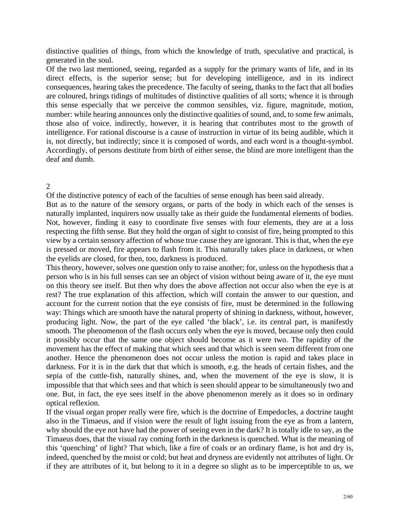distinctive qualities of things, from which the knowledge of truth, speculative and practical, is generated in the soul.

Of the two last mentioned, seeing, regarded as a supply for the primary wants of life, and in its direct effects, is the superior sense; but for developing intelligence, and in its indirect consequences, hearing takes the precedence. The faculty of seeing, thanks to the fact that all bodies are coloured, brings tidings of multitudes of distinctive qualities of all sorts; whence it is through this sense especially that we perceive the common sensibles, viz. figure, magnitude, motion, number: while hearing announces only the distinctive qualities of sound, and, to some few animals, those also of voice. indirectly, however, it is hearing that contributes most to the growth of intelligence. For rational discourse is a cause of instruction in virtue of its being audible, which it is, not directly, but indirectly; since it is composed of words, and each word is a thought-symbol. Accordingly, of persons destitute from birth of either sense, the blind are more intelligent than the deaf and dumb.

2

Of the distinctive potency of each of the faculties of sense enough has been said already.

But as to the nature of the sensory organs, or parts of the body in which each of the senses is naturally implanted, inquirers now usually take as their guide the fundamental elements of bodies. Not, however, finding it easy to coordinate five senses with four elements, they are at a loss respecting the fifth sense. But they hold the organ of sight to consist of fire, being prompted to this view by a certain sensory affection of whose true cause they are ignorant. This is that, when the eye is pressed or moved, fire appears to flash from it. This naturally takes place in darkness, or when the eyelids are closed, for then, too, darkness is produced.

This theory, however, solves one question only to raise another; for, unless on the hypothesis that a person who is in his full senses can see an object of vision without being aware of it, the eye must on this theory see itself. But then why does the above affection not occur also when the eye is at rest? The true explanation of this affection, which will contain the answer to our question, and account for the current notion that the eye consists of fire, must be determined in the following way: Things which are smooth have the natural property of shining in darkness, without, however, producing light. Now, the part of the eye called 'the black', i.e. its central part, is manifestly smooth. The phenomenon of the flash occurs only when the eye is moved, because only then could it possibly occur that the same one object should become as it were two. The rapidity of the movement has the effect of making that which sees and that which is seen seem different from one another. Hence the phenomenon does not occur unless the motion is rapid and takes place in darkness. For it is in the dark that that which is smooth, e.g. the heads of certain fishes, and the sepia of the cuttle-fish, naturally shines, and, when the movement of the eye is slow, it is impossible that that which sees and that which is seen should appear to be simultaneously two and one. But, in fact, the eye sees itself in the above phenomenon merely as it does so in ordinary optical reflexion.

If the visual organ proper really were fire, which is the doctrine of Empedocles, a doctrine taught also in the Timaeus, and if vision were the result of light issuing from the eye as from a lantern, why should the eye not have had the power of seeing even in the dark? It is totally idle to say, as the Timaeus does, that the visual ray coming forth in the darkness is quenched. What is the meaning of this 'quenching' of light? That which, like a fire of coals or an ordinary flame, is hot and dry is, indeed, quenched by the moist or cold; but heat and dryness are evidently not attributes of light. Or if they are attributes of it, but belong to it in a degree so slight as to be imperceptible to us, we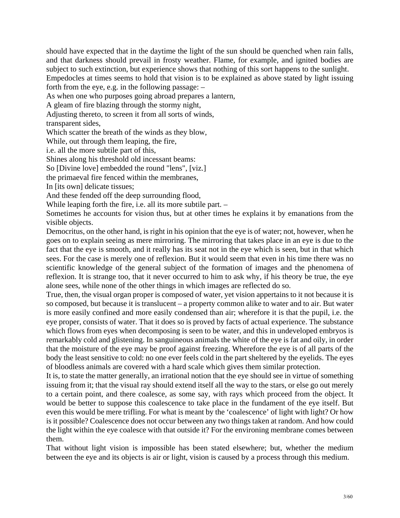should have expected that in the daytime the light of the sun should be quenched when rain falls, and that darkness should prevail in frosty weather. Flame, for example, and ignited bodies are subject to such extinction, but experience shows that nothing of this sort happens to the sunlight. Empedocles at times seems to hold that vision is to be explained as above stated by light issuing forth from the eye, e.g. in the following passage: –

As when one who purposes going abroad prepares a lantern,

A gleam of fire blazing through the stormy night,

Adjusting thereto, to screen it from all sorts of winds,

transparent sides,

Which scatter the breath of the winds as they blow,

While, out through them leaping, the fire,

i.e. all the more subtile part of this,

Shines along his threshold old incessant beams:

So [Divine love] embedded the round "lens", [viz.]

the primaeval fire fenced within the membranes,

In [its own] delicate tissues;

And these fended off the deep surrounding flood,

While leaping forth the fire, i.e. all its more subtile part.  $-$ 

Sometimes he accounts for vision thus, but at other times he explains it by emanations from the visible objects.

Democritus, on the other hand, is right in his opinion that the eye is of water; not, however, when he goes on to explain seeing as mere mirroring. The mirroring that takes place in an eye is due to the fact that the eye is smooth, and it really has its seat not in the eye which is seen, but in that which sees. For the case is merely one of reflexion. But it would seem that even in his time there was no scientific knowledge of the general subject of the formation of images and the phenomena of reflexion. It is strange too, that it never occurred to him to ask why, if his theory be true, the eye alone sees, while none of the other things in which images are reflected do so.

True, then, the visual organ proper is composed of water, yet vision appertains to it not because it is so composed, but because it is translucent – a property common alike to water and to air. But water is more easily confined and more easily condensed than air; wherefore it is that the pupil, i.e. the eye proper, consists of water. That it does so is proved by facts of actual experience. The substance which flows from eyes when decomposing is seen to be water, and this in undeveloped embryos is remarkably cold and glistening. In sanguineous animals the white of the eye is fat and oily, in order that the moisture of the eye may be proof against freezing. Wherefore the eye is of all parts of the body the least sensitive to cold: no one ever feels cold in the part sheltered by the eyelids. The eyes of bloodless animals are covered with a hard scale which gives them similar protection.

issuing from it; that the visual ray should extend itself all the way to the stars, or else go out merely It is, to state the matter generally, an irrational notion that the eye should see in virtue of something to a certain point, and there coalesce, as some say, with rays which proceed from the object. It would be better to suppose this coalescence to take place in the fundament of the eye itself. But even this would be mere trifling. For what is meant by the 'coalescence' of light with light? Or how is it possible? Coalescence does not occur between any two things taken at random. And how could the light within the eye coalesce with that outside it? For the environing membrane comes between them.

between the eye and its objects is air or light, vision is caused by a process through this medium. That without light vision is impossible has been stated elsewhere; but, whether the medium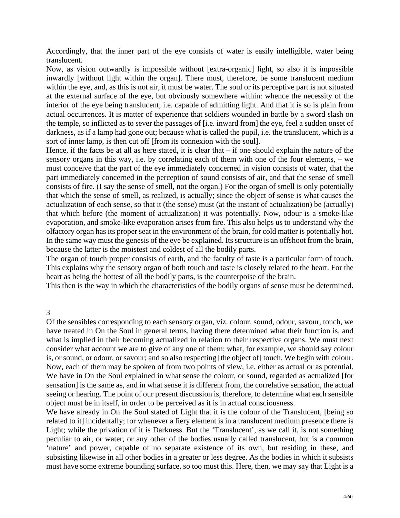Accordingly, that the inner part of the eye consists of water is easily intelligible, water being translucent.

Now, as vision outwardly is impossible without [extra-organic] light, so also it is impossible inwardly [without light within the organ]. There must, therefore, be some translucent medium within the eye, and, as this is not air, it must be water. The soul or its perceptive part is not situated at the external surface of the eye, but obviously somewhere within: whence the necessity of the interior of the eye being translucent, i.e. capable of admitting light. And that it is so is plain from actual occurrences. It is matter of experience that soldiers wounded in battle by a sword slash on the temple, so inflicted as to sever the passages of [i.e. inward from] the eye, feel a sudden onset of darkness, as if a lamp had gone out; because what is called the pupil, i.e. the translucent, which is a sort of inner lamp, is then cut off [from its connexion with the soul].

sensory organs in this way, i.e. by correlating each of them with one of the four elements, – we Hence, if the facts be at all as here stated, it is clear that  $-$  if one should explain the nature of the must conceive that the part of the eye immediately concerned in vision consists of water, that the part immediately concerned in the perception of sound consists of air, and that the sense of smell consists of fire. (I say the sense of smell, not the organ.) For the organ of smell is only potentially that which the sense of smell, as realized, is actually; since the object of sense is what causes the actualization of each sense, so that it (the sense) must (at the instant of actualization) be (actually) that which before (the moment of actualization) it was potentially. Now, odour is a smoke-like evaporation, and smoke-like evaporation arises from fire. This also helps us to understand why the olfactory organ has its proper seat in the environment of the brain, for cold matter is potentially hot. In the same way must the genesis of the eye be explained. Its structure is an offshoot from the brain, because the latter is the moistest and coldest of all the bodily parts.

This explains why the sensory organ of both touch and taste is closely related to the heart. For the The organ of touch proper consists of earth, and the faculty of taste is a particular form of touch. heart as being the hottest of all the bodily parts, is the counterpoise of the brain.

This then is the way in which the characteristics of the bodily organs of sense must be determined.

3

Of the sensibles corresponding to each sensory organ, viz. colour, sound, odour, savour, touch, we have treated in On the Soul in general terms, having there determined what their function is, and what is implied in their becoming actualized in relation to their respective organs. We must next seeing or hearing. The point of our present discussion is, therefore, to determine what each sensible consider what account we are to give of any one of them; what, for example, we should say colour is, or sound, or odour, or savour; and so also respecting [the object of] touch. We begin with colour. Now, each of them may be spoken of from two points of view, i.e. either as actual or as potential. We have in On the Soul explained in what sense the colour, or sound, regarded as actualized [for sensation] is the same as, and in what sense it is different from, the correlative sensation, the actual object must be in itself, in order to be perceived as it is in actual consciousness.

peculiar to air, or water, or any other of the bodies usually called translucent, but is a common We have already in On the Soul stated of Light that it is the colour of the Translucent, [being so related to it] incidentally; for whenever a fiery element is in a translucent medium presence there is Light; while the privation of it is Darkness. But the 'Translucent', as we call it, is not something 'nature' and power, capable of no separate existence of its own, but residing in these, and subsisting likewise in all other bodies in a greater or less degree. As the bodies in which it subsists must have some extreme bounding surface, so too must this. Here, then, we may say that Light is a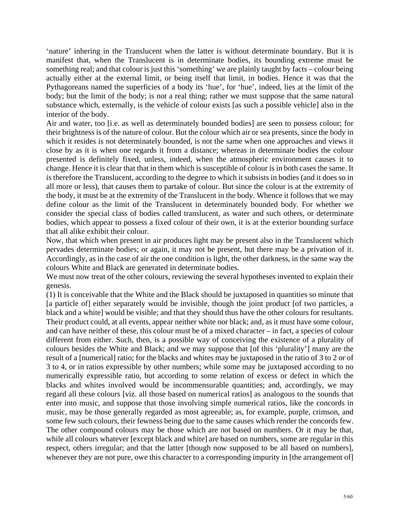'nature' inhering in the Translucent when the latter is without determinate boundary. But it is manifest that, when the Translucent is in determinate bodies, its bounding extreme must be something real; and that colour is just this 'something' we are plainly taught by facts – colour being actually either at the external limit, or being itself that limit, in bodies. Hence it was that the Pythagoreans named the superficies of a body its 'hue', for 'hue', indeed, lies at the limit of the body; but the limit of the body; is not a real thing; rather we must suppose that the same natural substance which, externally, is the vehicle of colour exists [as such a possible vehicle] also in the interior of the body.

Air and water, too [i.e. as well as determinately bounded bodies] are seen to possess colour; for their brightness is of the nature of colour. But the colour which air or sea presents, since the body in which it resides is not determinately bounded, is not the same when one approaches and views it close by as it is when one regards it from a distance; whereas in determinate bodies the colour presented is definitely fixed, unless, indeed, when the atmospheric environment causes it to change. Hence it is clear that that in them which is susceptible of colour is in both cases the same. It is therefore the Translucent, according to the degree to which it subsists in bodies (and it does so in all more or less), that causes them to partake of colour. But since the colour is at the extremity of the body, it must be at the extremity of the Translucent in the body. Whence it follows that we may define colour as the limit of the Translucent in determinately bounded body. For whether we consider the special class of bodies called translucent, as water and such others, or determinate bodies, which appear to possess a fixed colour of their own, it is at the exterior bounding surface that all alike exhibit their colour.

colours White and Black are generated in determinate bodies. Now, that which when present in air produces light may be present also in the Translucent which pervades determinate bodies; or again, it may not be present, but there may be a privation of it. Accordingly, as in the case of air the one condition is light, the other darkness, in the same way the

We must now treat of the other colours, reviewing the several hypotheses invented to explain their genesis.

[a particle of] either separately would be invisible, though the joint product [of two particles, a Their product could, at all events, appear neither white nor black; and, as it must have some colour, (1) It is conceivable that the White and the Black should be juxtaposed in quantities so minute that black and a white] would be visible; and that they should thus have the other colours for resultants. and can have neither of these, this colour must be of a mixed character – in fact, a species of colour different from either. Such, then, is a possible way of conceiving the existence of a plurality of colours besides the White and Black; and we may suppose that [of this 'plurality'] many are the result of a [numerical] ratio; for the blacks and whites may be juxtaposed in the ratio of 3 to 2 or of 3 to 4, or in ratios expressible by other numbers; while some may be juxtaposed according to no numerically expressible ratio, but according to some relation of excess or defect in which the blacks and whites involved would be incommensurable quantities; and, accordingly, we may regard all these colours [viz. all those based on numerical ratios] as analogous to the sounds that enter into music, and suppose that those involving simple numerical ratios, like the concords in music, may be those generally regarded as most agreeable; as, for example, purple, crimson, and some few such colours, their fewness being due to the same causes which render the concords few. The other compound colours may be those which are not based on numbers. Or it may be that, while all colours whatever [except black and white] are based on numbers, some are regular in this respect, others irregular; and that the latter [though now supposed to be all based on numbers], whenever they are not pure, owe this character to a corresponding impurity in [the arrangement of]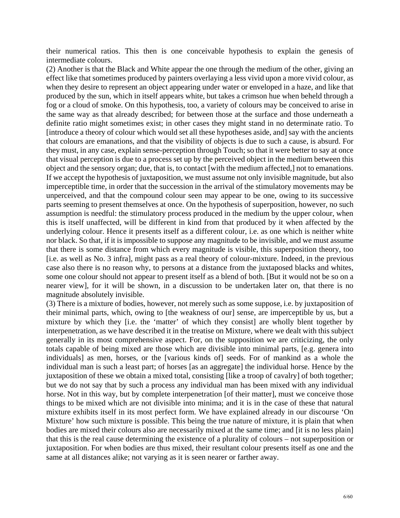their numerical ratios. This then is one conceivable hypothesis to explain the genesis of intermediate colours.

(2) Another is that the Black and White appear the one through the medium of the other, giving an effect like that sometimes produced by painters overlaying a less vivid upon a more vivid colour, as when they desire to represent an object appearing under water or enveloped in a haze, and like that parts seeming to present themselves at once. On the hypothesis of superposition, however, no such produced by the sun, which in itself appears white, but takes a crimson hue when beheld through a fog or a cloud of smoke. On this hypothesis, too, a variety of colours may be conceived to arise in the same way as that already described; for between those at the surface and those underneath a definite ratio might sometimes exist; in other cases they might stand in no determinate ratio. To [introduce a theory of colour which would set all these hypotheses aside, and] say with the ancients that colours are emanations, and that the visibility of objects is due to such a cause, is absurd. For they must, in any case, explain sense-perception through Touch; so that it were better to say at once that visual perception is due to a process set up by the perceived object in the medium between this object and the sensory organ; due, that is, to contact [with the medium affected,] not to emanations. If we accept the hypothesis of juxtaposition, we must assume not only invisible magnitude, but also imperceptible time, in order that the succession in the arrival of the stimulatory movements may be unperceived, and that the compound colour seen may appear to be one, owing to its successive assumption is needful: the stimulatory process produced in the medium by the upper colour, when this is itself unaffected, will be different in kind from that produced by it when affected by the underlying colour. Hence it presents itself as a different colour, i.e. as one which is neither white nor black. So that, if it is impossible to suppose any magnitude to be invisible, and we must assume that there is some distance from which every magnitude is visible, this superposition theory, too [i.e. as well as No. 3 infra], might pass as a real theory of colour-mixture. Indeed, in the previous case also there is no reason why, to persons at a distance from the juxtaposed blacks and whites, some one colour should not appear to present itself as a blend of both. [But it would not be so on a nearer view], for it will be shown, in a discussion to be undertaken later on, that there is no magnitude absolutely invisible.

interpenetration, as we have described it in the treatise on Mixture, where we dealt with this subject (3) There is a mixture of bodies, however, not merely such as some suppose, i.e. by juxtaposition of their minimal parts, which, owing to [the weakness of our] sense, are imperceptible by us, but a mixture by which they [i.e. the 'matter' of which they consist] are wholly blent together by generally in its most comprehensive aspect. For, on the supposition we are criticizing, the only totals capable of being mixed are those which are divisible into minimal parts, [e.g. genera into individuals] as men, horses, or the [various kinds of] seeds. For of mankind as a whole the individual man is such a least part; of horses [as an aggregate] the individual horse. Hence by the juxtaposition of these we obtain a mixed total, consisting [like a troop of cavalry] of both together; but we do not say that by such a process any individual man has been mixed with any individual horse. Not in this way, but by complete interpenetration [of their matter], must we conceive those things to be mixed which are not divisible into minima; and it is in the case of these that natural mixture exhibits itself in its most perfect form. We have explained already in our discourse 'On Mixture' how such mixture is possible. This being the true nature of mixture, it is plain that when bodies are mixed their colours also are necessarily mixed at the same time; and [it is no less plain] that this is the real cause determining the existence of a plurality of colours – not superposition or juxtaposition. For when bodies are thus mixed, their resultant colour presents itself as one and the same at all distances alike; not varying as it is seen nearer or farther away.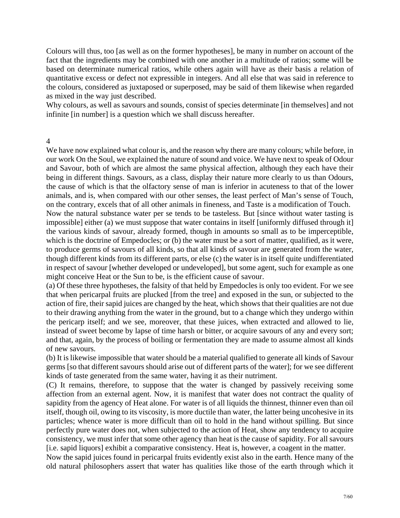Colours will thus, too [as well as on the former hypotheses], be many in number on account of the fact that the ingredients may be combined with one another in a multitude of ratios; some will be based on determinate numerical ratios, while others again will have as their basis a relation of quantitative excess or defect not expressible in integers. And all else that was said in reference to the colours, considered as juxtaposed or superposed, may be said of them likewise when regarded as mixed in the way just described.

Why colours, as well as savours and sounds, consist of species determinate [in themselves] and not infinite [in number] is a question which we shall discuss hereafter.

4

We have now explained what colour is, and the reason why there are many colours; while before, in our work On the Soul, we explained the nature of sound and voice. We have next to speak of Odour and Savour, both of which are almost the same physical affection, although they each have their which is the doctrine of Empedocles; or (b) the water must be a sort of matter, qualified, as it were, being in different things. Savours, as a class, display their nature more clearly to us than Odours, the cause of which is that the olfactory sense of man is inferior in acuteness to that of the lower animals, and is, when compared with our other senses, the least perfect of Man's sense of Touch, on the contrary, excels that of all other animals in fineness, and Taste is a modification of Touch. Now the natural substance water per se tends to be tasteless. But [since without water tasting is impossible] either (a) we must suppose that water contains in itself [uniformly diffused through it] the various kinds of savour, already formed, though in amounts so small as to be imperceptible, to produce germs of savours of all kinds, so that all kinds of savour are generated from the water, though different kinds from its different parts, or else (c) the water is in itself quite undifferentiated in respect of savour [whether developed or undeveloped], but some agent, such for example as one

the pericarp itself; and we see, moreover, that these juices, when extracted and allowed to lie, might conceive Heat or the Sun to be, is the efficient cause of savour. (a) Of these three hypotheses, the falsity of that held by Empedocles is only too evident. For we see that when pericarpal fruits are plucked [from the tree] and exposed in the sun, or subjected to the action of fire, their sapid juices are changed by the heat, which shows that their qualities are not due to their drawing anything from the water in the ground, but to a change which they undergo within instead of sweet become by lapse of time harsh or bitter, or acquire savours of any and every sort; and that, again, by the process of boiling or fermentation they are made to assume almost all kinds of new savours.

(b) It is likewise impossible that water should be a material qualified to generate all kinds of Savour germs [so that different savours should arise out of different parts of the water]; for we see different kinds of taste generated from the same water, having it as their nutriment.

affection from an external agent. Now, it is manifest that water does not contract the quality of particles; whence water is more difficult than oil to hold in the hand without spilling. But since (C) It remains, therefore, to suppose that the water is changed by passively receiving some sapidity from the agency of Heat alone. For water is of all liquids the thinnest, thinner even than oil itself, though oil, owing to its viscosity, is more ductile than water, the latter being uncohesive in its perfectly pure water does not, when subjected to the action of Heat, show any tendency to acquire consistency, we must infer that some other agency than heat is the cause of sapidity. For all savours [i.e. sapid liquors] exhibit a comparative consistency. Heat is, however, a coagent in the matter.

Now the sapid juices found in pericarpal fruits evidently exist also in the earth. Hence many of the old natural philosophers assert that water has qualities like those of the earth through which it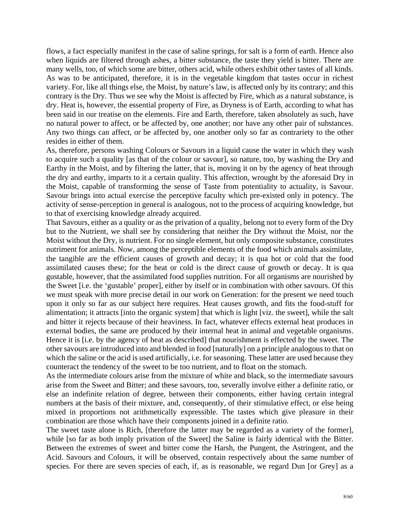flows, a fact especially manifest in the case of saline springs, for salt is a form of earth. Hence also when liquids are filtered through ashes, a bitter substance, the taste they yield is bitter. There are many wells, too, of which some are bitter, others acid, while others exhibit other tastes of all kinds. As was to be anticipated, therefore, it is in the vegetable kingdom that tastes occur in richest Any two things can affect, or be affected by, one another only so far as contrariety to the other variety. For, like all things else, the Moist, by nature's law, is affected only by its contrary; and this contrary is the Dry. Thus we see why the Moist is affected by Fire, which as a natural substance, is dry. Heat is, however, the essential property of Fire, as Dryness is of Earth, according to what has been said in our treatise on the elements. Fire and Earth, therefore, taken absolutely as such, have no natural power to affect, or be affected by, one another; nor have any other pair of substances. resides in either of them.

activity of sense-perception in general is analogous, not to the process of acquiring knowledge, but As, therefore, persons washing Colours or Savours in a liquid cause the water in which they wash to acquire such a quality [as that of the colour or savour], so nature, too, by washing the Dry and Earthy in the Moist, and by filtering the latter, that is, moving it on by the agency of heat through the dry and earthy, imparts to it a certain quality. This affection, wrought by the aforesaid Dry in the Moist, capable of transforming the sense of Taste from potentiality to actuality, is Savour. Savour brings into actual exercise the perceptive faculty which pre-existed only in potency. The to that of exercising knowledge already acquired.

gustable, however, that the assimilated food supplies nutrition. For all organisms are nourished by That Savours, either as a quality or as the privation of a quality, belong not to every form of the Dry but to the Nutrient, we shall see by considering that neither the Dry without the Moist, nor the Moist without the Dry, is nutrient. For no single element, but only composite substance, constitutes nutriment for animals. Now, among the perceptible elements of the food which animals assimilate, the tangible are the efficient causes of growth and decay; it is qua hot or cold that the food assimilated causes these; for the heat or cold is the direct cause of growth or decay. It is qua the Sweet [i.e. the 'gustable' proper], either by itself or in combination with other savours. Of this we must speak with more precise detail in our work on Generation: for the present we need touch upon it only so far as our subject here requires. Heat causes growth, and fits the food-stuff for alimentation; it attracts [into the organic system] that which is light [viz. the sweet], while the salt and bitter it rejects because of their heaviness. In fact, whatever effects external heat produces in external bodies, the same are produced by their internal heat in animal and vegetable organisms. Hence it is [i.e. by the agency of heat as described] that nourishment is effected by the sweet. The other savours are introduced into and blended in food [naturally] on a principle analogous to that on which the saline or the acid is used artificially, i.e. for seasoning. These latter are used because they counteract the tendency of the sweet to be too nutrient, and to float on the stomach.

As the intermediate colours arise from the mixture of white and black, so the intermediate savours arise from the Sweet and Bitter; and these savours, too, severally involve either a definite ratio, or else an indefinite relation of degree, between their components, either having certain integral numbers at the basis of their mixture, and, consequently, of their stimulative effect, or else being mixed in proportions not arithmetically expressible. The tastes which give pleasure in their combination are those which have their components joined in a definite ratio.

while [so far as both imply privation of the Sweet] the Saline is fairly identical with the Bitter. The sweet taste alone is Rich, [therefore the latter may be regarded as a variety of the former], Between the extremes of sweet and bitter come the Harsh, the Pungent, the Astringent, and the Acid. Savours and Colours, it will be observed, contain respectively about the same number of species. For there are seven species of each, if, as is reasonable, we regard Dun [or Grey] as a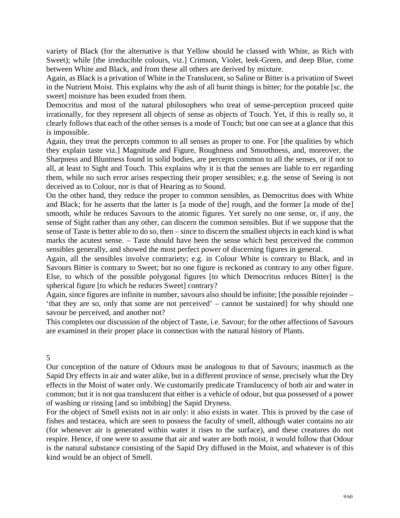variety of Black (for the alternative is that Yellow should be classed with White, as Rich with Sweet); while [the irreducible colours, viz.] Crimson, Violet, leek-Green, and deep Blue, come between White and Black, and from these all others are derived by mixture.

Again, as Black is a privation of White in the Translucent, so Saline or Bitter is a privation of Sweet in the Nutrient Moist. This explains why the ash of all burnt things is bitter; for the potable [sc. the sweet] moisture has been exuded from them.

Democritus and most of the natural philosophers who treat of sense-perception proceed quite irrationally, for they represent all objects of sense as objects of Touch. Yet, if this is really so, it clearly follows that each of the other senses is a mode of Touch; but one can see at a glance that this is impossible.

Again, they treat the percepts common to all senses as proper to one. For [the qualities by which all, at least to Sight and Touch. This explains why it is that the senses are liable to err regarding they explain taste viz.] Magnitude and Figure, Roughness and Smoothness, and, moreover, the Sharpness and Bluntness found in solid bodies, are percepts common to all the senses, or if not to them, while no such error arises respecting their proper sensibles; e.g. the sense of Seeing is not deceived as to Colour, nor is that of Hearing as to Sound.

and Black; for he asserts that the latter is [a mode of the] rough, and the former [a mode of the] On the other hand, they reduce the proper to common sensibles, as Democritus does with White smooth, while he reduces Savours to the atomic figures. Yet surely no one sense, or, if any, the sense of Sight rather than any other, can discern the common sensibles. But if we suppose that the sense of Taste is better able to do so, then – since to discern the smallest objects in each kind is what marks the acutest sense. – Taste should have been the sense which best perceived the common sensibles generally, and showed the most perfect power of discerning figures in general.

Again, all the sensibles involve contrariety; e.g. in Colour White is contrary to Black, and in Savours Bitter is contrary to Sweet; but no one figure is reckoned as contrary to any other figure. Else, to which of the possible polygonal figures [to which Democritus reduces Bitter] is the spherical figure [to which he reduces Sweet] contrary?

Again, since figures are infinite in number, savours also should be infinite; [the possible rejoinder – 'that they are so, only that some are not perceived' – cannot be sustained] for why should one savour be perceived, and another not?

This completes our discussion of the object of Taste, i.e. Savour; for the other affections of Savours are examined in their proper place in connection with the natural history of Plants.

5

effects in the Moist of water only. We customarily predicate Translucency of both air and water in Our conception of the nature of Odours must be analogous to that of Savours; inasmuch as the Sapid Dry effects in air and water alike, but in a different province of sense, precisely what the Dry common; but it is not qua translucent that either is a vehicle of odour, but qua possessed of a power of washing or rinsing [and so imbibing] the Sapid Dryness.

For the object of Smell exists not in air only: it also exists in water. This is proved by the case of fishes and testacea, which are seen to possess the faculty of smell, although water contains no air (for whenever air is generated within water it rises to the surface), and these creatures do not respire. Hence, if one were to assume that air and water are both moist, it would follow that Odour is the natural substance consisting of the Sapid Dry diffused in the Moist, and whatever is of this kind would be an object of Smell.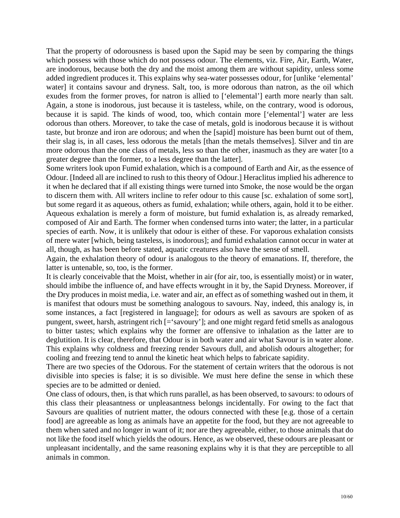That the property of odorousness is based upon the Sapid may be seen by comparing the things which possess with those which do not possess odour. The elements, viz. Fire, Air, Earth, Water, because it is sapid. The kinds of wood, too, which contain more ['elemental'] water are less are inodorous, because both the dry and the moist among them are without sapidity, unless some added ingredient produces it. This explains why sea-water possesses odour, for [unlike 'elemental' water] it contains savour and dryness. Salt, too, is more odorous than natron, as the oil which exudes from the former proves, for natron is allied to ['elemental'] earth more nearly than salt. Again, a stone is inodorous, just because it is tasteless, while, on the contrary, wood is odorous, odorous than others. Moreover, to take the case of metals, gold is inodorous because it is without taste, but bronze and iron are odorous; and when the [sapid] moisture has been burnt out of them, their slag is, in all cases, less odorous the metals [than the metals themselves]. Silver and tin are more odorous than the one class of metals, less so than the other, inasmuch as they are water [to a greater degree than the former, to a less degree than the latter].

species of earth. Now, it is unlikely that odour is either of these. For vaporous exhalation consists Some writers look upon Fumid exhalation, which is a compound of Earth and Air, as the essence of Odour. [Indeed all are inclined to rush to this theory of Odour.] Heraclitus implied his adherence to it when he declared that if all existing things were turned into Smoke, the nose would be the organ to discern them with. All writers incline to refer odour to this cause [sc. exhalation of some sort], but some regard it as aqueous, others as fumid, exhalation; while others, again, hold it to be either. Aqueous exhalation is merely a form of moisture, but fumid exhalation is, as already remarked, composed of Air and Earth. The former when condensed turns into water; the latter, in a particular of mere water [which, being tasteless, is inodorous]; and fumid exhalation cannot occur in water at all, though, as has been before stated, aquatic creatures also have the sense of smell.

Again, the exhalation theory of odour is analogous to the theory of emanations. If, therefore, the latter is untenable, so, too, is the former.

to bitter tastes; which explains why the former are offensive to inhalation as the latter are to This explains why coldness and freezing render Savours dull, and abolish odours altogether; for It is clearly conceivable that the Moist, whether in air (for air, too, is essentially moist) or in water, should imbibe the influence of, and have effects wrought in it by, the Sapid Dryness. Moreover, if the Dry produces in moist media, i.e. water and air, an effect as of something washed out in them, it is manifest that odours must be something analogous to savours. Nay, indeed, this analogy is, in some instances, a fact [registered in language]; for odours as well as savours are spoken of as pungent, sweet, harsh, astringent rich [='savoury']; and one might regard fetid smells as analogous deglutition. It is clear, therefore, that Odour is in both water and air what Savour is in water alone. cooling and freezing tend to annul the kinetic heat which helps to fabricate sapidity.

There are two species of the Odorous. For the statement of certain writers that the odorous is not divisible into species is false; it is so divisible. We must here define the sense in which these species are to be admitted or denied.

unpleasant incidentally, and the same reasoning explains why it is that they are perceptible to all animals in common. One class of odours, then, is that which runs parallel, as has been observed, to savours: to odours of this class their pleasantness or unpleasantness belongs incidentally. For owing to the fact that Savours are qualities of nutrient matter, the odours connected with these [e.g. those of a certain food] are agreeable as long as animals have an appetite for the food, but they are not agreeable to them when sated and no longer in want of it; nor are they agreeable, either, to those animals that do not like the food itself which yields the odours. Hence, as we observed, these odours are pleasant or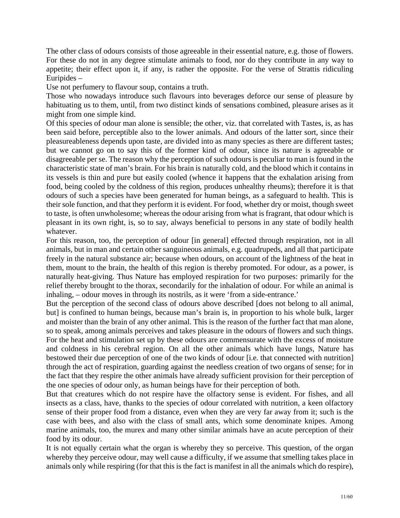The other class of odours consists of those agreeable in their essential nature, e.g. those of flowers. For these do not in any degree stimulate animals to food, nor do they contribute in any way to appetite; their effect upon it, if any, is rather the opposite. For the verse of Strattis ridiculing Euripides –

Use not perfumery to flavour soup, contains a truth.

Those who nowadays introduce such flavours into beverages deforce our sense of pleasure by habituating us to them, until, from two distinct kinds of sensations combined, pleasure arises as it might from one simple kind.

pleasureableness depends upon taste, are divided into as many species as there are different tastes; its vessels is thin and pure but easily cooled (whence it happens that the exhalation arising from food, being cooled by the coldness of this region, produces unhealthy rheums); therefore it is that to taste, is often unwholesome; whereas the odour arising from what is fragrant, that odour which is Of this species of odour man alone is sensible; the other, viz. that correlated with Tastes, is, as has been said before, perceptible also to the lower animals. And odours of the latter sort, since their but we cannot go on to say this of the former kind of odour, since its nature is agreeable or disagreeable per se. The reason why the perception of such odours is peculiar to man is found in the characteristic state of man's brain. For his brain is naturally cold, and the blood which it contains in odours of such a species have been generated for human beings, as a safeguard to health. This is their sole function, and that they perform it is evident. For food, whether dry or moist, though sweet pleasant in its own right, is, so to say, always beneficial to persons in any state of bodily health whatever.

For this reason, too, the perception of odour [in general] effected through respiration, not in all animals, but in man and certain other sanguineous animals, e.g. quadrupeds, and all that participate freely in the natural substance air; because when odours, on account of the lightness of the heat in them, mount to the brain, the health of this region is thereby promoted. For odour, as a power, is naturally heat-giving. Thus Nature has employed respiration for two purposes: primarily for the relief thereby brought to the thorax, secondarily for the inhalation of odour. For while an animal is inhaling, – odour moves in through its nostrils, as it were 'from a side-entrance.'

so to speak, among animals perceives and takes pleasure in the odours of flowers and such things. But the perception of the second class of odours above described [does not belong to all animal, but] is confined to human beings, because man's brain is, in proportion to his whole bulk, larger and moister than the brain of any other animal. This is the reason of the further fact that man alone, For the heat and stimulation set up by these odours are commensurate with the excess of moisture and coldness in his cerebral region. On all the other animals which have lungs, Nature has bestowed their due perception of one of the two kinds of odour [i.e. that connected with nutrition] through the act of respiration, guarding against the needless creation of two organs of sense; for in the fact that they respire the other animals have already sufficient provision for their perception of the one species of odour only, as human beings have for their perception of both.

insects as a class, have, thanks to the species of odour correlated with nutrition, a keen olfactory But that creatures which do not respire have the olfactory sense is evident. For fishes, and all sense of their proper food from a distance, even when they are very far away from it; such is the case with bees, and also with the class of small ants, which some denominate knipes. Among marine animals, too, the murex and many other similar animals have an acute perception of their food by its odour.

It is not equally certain what the organ is whereby they so perceive. This question, of the organ whereby they perceive odour, may well cause a difficulty, if we assume that smelling takes place in animals only while respiring (for that this is the fact is manifest in all the animals which do respire),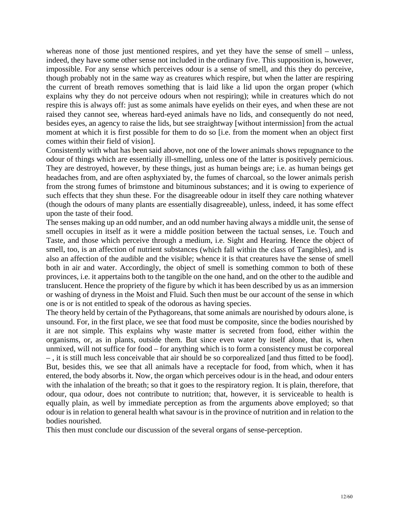whereas none of those just mentioned respires, and yet they have the sense of smell – unless, indeed, they have some other sense not included in the ordinary five. This supposition is, however, impossible. For any sense which perceives odour is a sense of smell, and this they do perceive, besides eyes, an agency to raise the lids, but see straightway [without intermission] from the actual though probably not in the same way as creatures which respire, but when the latter are respiring the current of breath removes something that is laid like a lid upon the organ proper (which explains why they do not perceive odours when not respiring); while in creatures which do not respire this is always off: just as some animals have eyelids on their eyes, and when these are not raised they cannot see, whereas hard-eyed animals have no lids, and consequently do not need, moment at which it is first possible for them to do so [i.e. from the moment when an object first comes within their field of vision].

Consistently with what has been said above, not one of the lower animals shows repugnance to the odour of things which are essentially ill-smelling, unless one of the latter is positively pernicious. They are destroyed, however, by these things, just as human beings are; i.e. as human beings get headaches from, and are often asphyxiated by, the fumes of charcoal, so the lower animals perish from the strong fumes of brimstone and bituminous substances; and it is owing to experience of such effects that they shun these. For the disagreeable odour in itself they care nothing whatever (though the odours of many plants are essentially disagreeable), unless, indeed, it has some effect upon the taste of their food.

smell, too, is an affection of nutrient substances (which fall within the class of Tangibles), and is The senses making up an odd number, and an odd number having always a middle unit, the sense of smell occupies in itself as it were a middle position between the tactual senses, i.e. Touch and Taste, and those which perceive through a medium, i.e. Sight and Hearing. Hence the object of also an affection of the audible and the visible; whence it is that creatures have the sense of smell both in air and water. Accordingly, the object of smell is something common to both of these provinces, i.e. it appertains both to the tangible on the one hand, and on the other to the audible and translucent. Hence the propriety of the figure by which it has been described by us as an immersion or washing of dryness in the Moist and Fluid. Such then must be our account of the sense in which one is or is not entitled to speak of the odorous as having species.

unsound. For, in the first place, we see that food must be composite, since the bodies nourished by odour is in relation to general health what savour is in the province of nutrition and in relation to the The theory held by certain of the Pythagoreans, that some animals are nourished by odours alone, is it are not simple. This explains why waste matter is secreted from food, either within the organisms, or, as in plants, outside them. But since even water by itself alone, that is, when unmixed, will not suffice for food – for anything which is to form a consistency must be corporeal – , it is still much less conceivable that air should be so corporealized [and thus fitted to be food]. But, besides this, we see that all animals have a receptacle for food, from which, when it has entered, the body absorbs it. Now, the organ which perceives odour is in the head, and odour enters with the inhalation of the breath; so that it goes to the respiratory region. It is plain, therefore, that odour, qua odour, does not contribute to nutrition; that, however, it is serviceable to health is equally plain, as well by immediate perception as from the arguments above employed; so that bodies nourished.

This then must conclude our discussion of the several organs of sense-perception.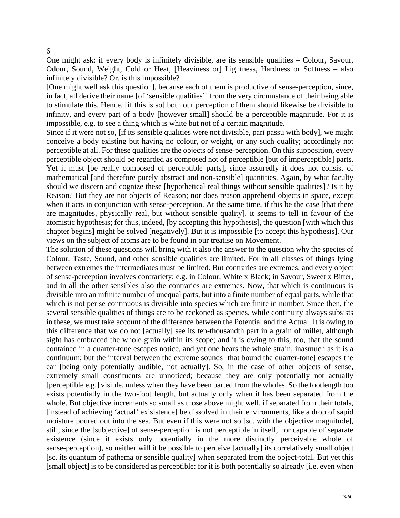6

One might ask: if every body is infinitely divisible, are its sensible qualities – Colour, Savour, Odour, Sound, Weight, Cold or Heat, [Heaviness or] Lightness, Hardness or Softness – also infinitely divisible? Or, is this impossible?

[One might well ask this question], because each of them is productive of sense-perception, since, in fact, all derive their name [of 'sensible qualities'] from the very circumstance of their being able to stimulate this. Hence, [if this is so] both our perception of them should likewise be divisible to infinity, and every part of a body [however small] should be a perceptible magnitude. For it is impossible, e.g. to see a thing which is white but not of a certain magnitude.

Since if it were not so, [if its sensible qualities were not divisible, pari passu with body], we might conceive a body existing but having no colour, or weight, or any such quality; accordingly not Yet it must [be really composed of perceptible parts], since assuredly it does not consist of are magnitudes, physically real, but without sensible quality], it seems to tell in favour of the perceptible at all. For these qualities are the objects of sense-perception. On this supposition, every perceptible object should be regarded as composed not of perceptible [but of imperceptible] parts. mathematical [and therefore purely abstract and non-sensible] quantities. Again, by what faculty should we discern and cognize these [hypothetical real things without sensible qualities]? Is it by Reason? But they are not objects of Reason; nor does reason apprehend objects in space, except when it acts in conjunction with sense-perception. At the same time, if this be the case [that there atomistic hypothesis; for thus, indeed, [by accepting this hypothesis], the question [with which this chapter begins] might be solved [negatively]. But it is impossible [to accept this hypothesis]. Our views on the subject of atoms are to be found in our treatise on Movement.

this difference that we do not [actually] see its ten-thousandth part in a grain of millet, although The solution of these questions will bring with it also the answer to the question why the species of Colour, Taste, Sound, and other sensible qualities are limited. For in all classes of things lying between extremes the intermediates must be limited. But contraries are extremes, and every object of sense-perception involves contrariety: e.g. in Colour, White x Black; in Savour, Sweet x Bitter, and in all the other sensibles also the contraries are extremes. Now, that which is continuous is divisible into an infinite number of unequal parts, but into a finite number of equal parts, while that which is not per se continuous is divisible into species which are finite in number. Since then, the several sensible qualities of things are to be reckoned as species, while continuity always subsists in these, we must take account of the difference between the Potential and the Actual. It is owing to sight has embraced the whole grain within its scope; and it is owing to this, too, that the sound contained in a quarter-tone escapes notice, and yet one hears the whole strain, inasmuch as it is a continuum; but the interval between the extreme sounds [that bound the quarter-tone] escapes the ear [being only potentially audible, not actually]. So, in the case of other objects of sense, extremely small constituents are unnoticed; because they are only potentially not actually [perceptible e.g.] visible, unless when they have been parted from the wholes. So the footlength too exists potentially in the two-foot length, but actually only when it has been separated from the whole. But objective increments so small as those above might well, if separated from their totals, [instead of achieving 'actual' exisistence] be dissolved in their environments, like a drop of sapid moisture poured out into the sea. But even if this were not so [sc. with the objective magnitude], still, since the [subjective] of sense-perception is not perceptible in itself, nor capable of separate existence (since it exists only potentially in the more distinctly perceivable whole of sense-perception), so neither will it be possible to perceive [actually] its correlatively small object [sc. its quantum of pathema or sensible quality] when separated from the object-total. But yet this [small object] is to be considered as perceptible: for it is both potentially so already [i.e. even when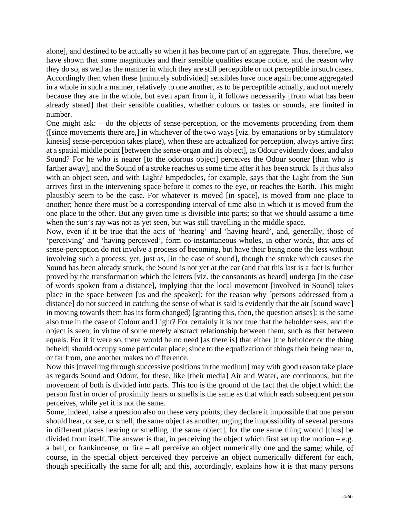alone], and destined to be actually so when it has become part of an aggregate. Thus, therefore, we have shown that some magnitudes and their sensible qualities escape notice, and the reason why they do so, as well as the manner in which they are still perceptible or not perceptible in such cases. Accordingly then when these [minutely subdivided] sensibles have once again become aggregated in a whole in such a manner, relatively to one another, as to be perceptible actually, and not merely because they are in the whole, but even apart from it, it follows necessarily [from what has been already stated] that their sensible qualities, whether colours or tastes or sounds, are limited in number.

One might ask: – do the objects of sense-perception, or the movements proceeding from them ([since movements there are,] in whichever of the two ways [viz. by emanations or by stimulatory kinesis] sense-perception takes place), when these are actualized for perception, always arrive first at a spatial middle point [between the sense-organ and its object], as Odour evidently does, and also Sound? For he who is nearer [to the odorous object] perceives the Odour sooner [than who is farther away], and the Sound of a stroke reaches us some time after it has been struck. Is it thus also with an object seen, and with Light? Empedocles, for example, says that the Light from the Sun arrives first in the intervening space before it comes to the eye, or reaches the Earth. This might plausibly seem to be the case. For whatever is moved [in space], is moved from one place to another; hence there must be a corresponding interval of time also in which it is moved from the one place to the other. But any given time is divisible into parts; so that we should assume a time when the sun's ray was not as yet seen, but was still travelling in the middle space.

in moving towards them has its form changed) [granting this, then, the question arises]: is the same Now, even if it be true that the acts of 'hearing' and 'having heard', and, generally, those of 'perceiving' and 'having perceived', form co-instantaneous wholes, in other words, that acts of sense-perception do not involve a process of becoming, but have their being none the less without involving such a process; yet, just as, [in the case of sound], though the stroke which causes the Sound has been already struck, the Sound is not yet at the ear (and that this last is a fact is further proved by the transformation which the letters [viz. the consonants as heard] undergo [in the case of words spoken from a distance], implying that the local movement [involved in Sound] takes place in the space between [us and the speaker]; for the reason why [persons addressed from a distance] do not succeed in catching the sense of what is said is evidently that the air [sound wave] also true in the case of Colour and Light? For certainly it is not true that the beholder sees, and the object is seen, in virtue of some merely abstract relationship between them, such as that between equals. For if it were so, there would be no need [as there is] that either [the beholder or the thing beheld] should occupy some particular place; since to the equalization of things their being near to, or far from, one another makes no difference.

Now this [travelling through successive positions in the medium] may with good reason take place as regards Sound and Odour, for these, like [their media] Air and Water, are continuous, but the movement of both is divided into parts. This too is the ground of the fact that the object which the person first in order of proximity hears or smells is the same as that which each subsequent person perceives, while yet it is not the same.

a bell, or frankincense, or fire – all perceive an object numerically one and the same; while, of Some, indeed, raise a question also on these very points; they declare it impossible that one person should hear, or see, or smell, the same object as another, urging the impossibility of several persons in different places hearing or smelling [the same object], for the one same thing would [thus] be divided from itself. The answer is that, in perceiving the object which first set up the motion – e.g. course, in the special object perceived they perceive an object numerically different for each, though specifically the same for all; and this, accordingly, explains how it is that many persons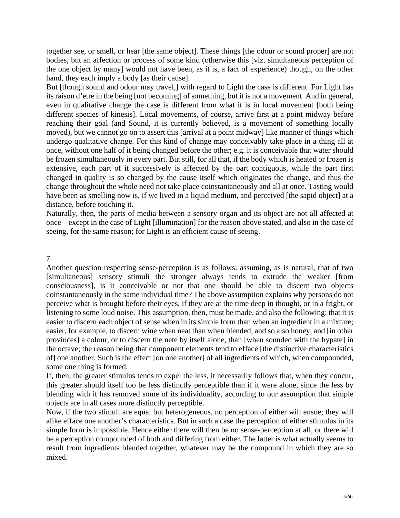together see, or smell, or hear [the same object]. These things [the odour or sound proper] are not bodies, but an affection or process of some kind (otherwise this [viz. simultaneous perception of the one object by many] would not have been, as it is, a fact of experience) though, on the other hand, they each imply a body [as their cause].

extensive, each part of it successively is affected by the part contiguous, while the part first But [though sound and odour may travel,] with regard to Light the case is different. For Light has its raison d'etre in the being [not becoming] of something, but it is not a movement. And in general, even in qualitative change the case is different from what it is in local movement [both being different species of kinesis]. Local movements, of course, arrive first at a point midway before reaching their goal (and Sound, it is currently believed, is a movement of something locally moved), but we cannot go on to assert this [arrival at a point midway] like manner of things which undergo qualitative change. For this kind of change may conceivably take place in a thing all at once, without one half of it being changed before the other; e.g. it is conceivable that water should be frozen simultaneously in every part. But still, for all that, if the body which is heated or frozen is changed in quality is so changed by the cause itself which originates the change, and thus the change throughout the whole need not take place coinstantaneously and all at once. Tasting would have been as smelling now is, if we lived in a liquid medium, and perceived [the sapid object] at a distance, before touching it.

Naturally, then, the parts of media between a sensory organ and its object are not all affected at once – except in the case of Light [illumination] for the reason above stated, and also in the case of seeing, for the same reason; for Light is an efficient cause of seeing.

## 7

coinstantaneously in the same individual time? The above assumption explains why persons do not easier to discern each object of sense when in its simple form than when an ingredient in a mixture; easier, for example, to discern wine when neat than when blended, and so also honey, and [in other provinces] a colour, or to discern the nete by itself alone, than [when sounded with the hypate] in the octave; the reason being that component elements tend to efface [the distinctive characteristics Another question respecting sense-perception is as follows: assuming, as is natural, that of two [simultaneous] sensory stimuli the stronger always tends to extrude the weaker [from consciousness], is it conceivable or not that one should be able to discern two objects perceive what is brought before their eyes, if they are at the time deep in thought, or in a fright, or listening to some loud noise. This assumption, then, must be made, and also the following: that it is of] one another. Such is the effect [on one another] of all ingredients of which, when compounded, some one thing is formed.

If, then, the greater stimulus tends to expel the less, it necessarily follows that, when they concur, this greater should itself too be less distinctly perceptible than if it were alone, since the less by blending with it has removed some of its individuality, according to our assumption that simple objects are in all cases more distinctly perceptible.

Now, if the two stimuli are equal but heterogeneous, no perception of either will ensue; they will alike efface one another's characteristics. But in such a case the perception of either stimulus in its simple form is impossible. Hence either there will then be no sense-perception at all, or there will be a perception compounded of both and differing from either. The latter is what actually seems to result from ingredients blended together, whatever may be the compound in which they are so mixed.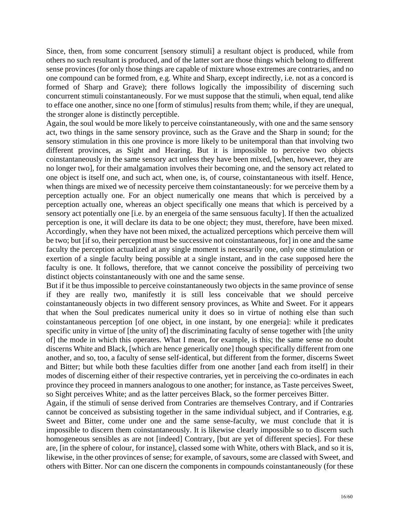Since, then, from some concurrent [sensory stimuli] a resultant object is produced, while from others no such resultant is produced, and of the latter sort are those things which belong to different sense provinces (for only those things are capable of mixture whose extremes are contraries, and no one compound can be formed from, e.g. White and Sharp, except indirectly, i.e. not as a concord is formed of Sharp and Grave); there follows logically the impossibility of discerning such concurrent stimuli coinstantaneously. For we must suppose that the stimuli, when equal, tend alike to efface one another, since no one [form of stimulus] results from them; while, if they are unequal, the stronger alone is distinctly perceptible.

act, two things in the same sensory province, such as the Grave and the Sharp in sound; for the perception actually one, whereas an object specifically one means that which is perceived by a Again, the soul would be more likely to perceive coinstantaneously, with one and the same sensory sensory stimulation in this one province is more likely to be unitemporal than that involving two different provinces, as Sight and Hearing. But it is impossible to perceive two objects coinstantaneously in the same sensory act unless they have been mixed, [when, however, they are no longer two], for their amalgamation involves their becoming one, and the sensory act related to one object is itself one, and such act, when one, is, of course, coinstantaneous with itself. Hence, when things are mixed we of necessity perceive them coinstantaneously: for we perceive them by a perception actually one. For an object numerically one means that which is perceived by a sensory act potentially one [i.e. by an energeia of the same sensuous faculty]. If then the actualized perception is one, it will declare its data to be one object; they must, therefore, have been mixed. Accordingly, when they have not been mixed, the actualized perceptions which perceive them will be two; but [if so, their perception must be successive not coinstantaneous, for] in one and the same faculty the perception actualized at any single moment is necessarily one, only one stimulation or exertion of a single faculty being possible at a single instant, and in the case supposed here the faculty is one. It follows, therefore, that we cannot conceive the possibility of perceiving two distinct objects coinstantaneously with one and the same sense.

and Bitter; but while both these faculties differ from one another [and each from itself] in their But if it be thus impossible to perceive coinstantaneously two objects in the same province of sense if they are really two, manifestly it is still less conceivable that we should perceive coinstantaneously objects in two different sensory provinces, as White and Sweet. For it appears that when the Soul predicates numerical unity it does so in virtue of nothing else than such coinstantaneous perception [of one object, in one instant, by one energeia]: while it predicates specific unity in virtue of [the unity of] the discriminating faculty of sense together with [the unity of] the mode in which this operates. What I mean, for example, is this; the same sense no doubt discerns White and Black, [which are hence generically one] though specifically different from one another, and so, too, a faculty of sense self-identical, but different from the former, discerns Sweet modes of discerning either of their respective contraries, yet in perceiving the co-ordinates in each province they proceed in manners analogous to one another; for instance, as Taste perceives Sweet, so Sight perceives White; and as the latter perceives Black, so the former perceives Bitter.

Again, if the stimuli of sense derived from Contraries are themselves Contrary, and if Contraries cannot be conceived as subsisting together in the same individual subject, and if Contraries, e.g. Sweet and Bitter, come under one and the same sense-faculty, we must conclude that it is impossible to discern them coinstantaneously. It is likewise clearly impossible so to discern such homogeneous sensibles as are not [indeed] Contrary, [but are yet of different species]. For these are, [in the sphere of colour, for instance], classed some with White, others with Black, and so it is, likewise, in the other provinces of sense; for example, of savours, some are classed with Sweet, and others with Bitter. Nor can one discern the components in compounds coinstantaneously (for these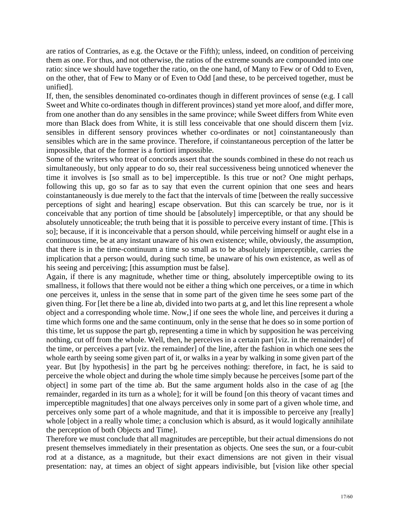are ratios of Contraries, as e.g. the Octave or the Fifth); unless, indeed, on condition of perceiving them as one. For thus, and not otherwise, the ratios of the extreme sounds are compounded into one ratio: since we should have together the ratio, on the one hand, of Many to Few or of Odd to Even, on the other, that of Few to Many or of Even to Odd [and these, to be perceived together, must be unified].

If, then, the sensibles denominated co-ordinates though in different provinces of sense (e.g. I call Sweet and White co-ordinates though in different provinces) stand yet more aloof, and differ more, from one another than do any sensibles in the same province; while Sweet differs from White even more than Black does from White, it is still less conceivable that one should discern them [viz. sensibles in different sensory provinces whether co-ordinates or not coinstantaneously than sensibles which are in the same province. Therefore, if coinstantaneous perception of the latter be impossible, that of the former is a fortiori impossible.

following this up, go so far as to say that even the current opinion that one sees and hears that there is in the time-continuum a time so small as to be absolutely imperceptible, carries the Some of the writers who treat of concords assert that the sounds combined in these do not reach us simultaneously, but only appear to do so, their real successiveness being unnoticed whenever the time it involves is [so small as to be] imperceptible. Is this true or not? One might perhaps, coinstantaneously is due merely to the fact that the intervals of time [between the really successive perceptions of sight and hearing] escape observation. But this can scarcely be true, nor is it conceivable that any portion of time should be [absolutely] imperceptible, or that any should be absolutely unnoticeable; the truth being that it is possible to perceive every instant of time. [This is so]; because, if it is inconceivable that a person should, while perceiving himself or aught else in a continuous time, be at any instant unaware of his own existence; while, obviously, the assumption, implication that a person would, during such time, be unaware of his own existence, as well as of his seeing and perceiving; [this assumption must be false].

year. But [by hypothesis] in the part bg he perceives nothing: therefore, in fact, he is said to Again, if there is any magnitude, whether time or thing, absolutely imperceptible owing to its smallness, it follows that there would not be either a thing which one perceives, or a time in which one perceives it, unless in the sense that in some part of the given time he sees some part of the given thing. For [let there be a line ab, divided into two parts at g, and let this line represent a whole object and a corresponding whole time. Now,] if one sees the whole line, and perceives it during a time which forms one and the same continuum, only in the sense that he does so in some portion of this time, let us suppose the part gb, representing a time in which by supposition he was perceiving nothing, cut off from the whole. Well, then, he perceives in a certain part [viz. in the remainder] of the time, or perceives a part [viz. the remainder] of the line, after the fashion in which one sees the whole earth by seeing some given part of it, or walks in a year by walking in some given part of the perceive the whole object and during the whole time simply because he perceives [some part of the object] in some part of the time ab. But the same argument holds also in the case of ag [the remainder, regarded in its turn as a whole]; for it will be found [on this theory of vacant times and imperceptible magnitudes] that one always perceives only in some part of a given whole time, and perceives only some part of a whole magnitude, and that it is impossible to perceive any [really] whole [object in a really whole time; a conclusion which is absurd, as it would logically annihilate the perception of both Objects and Time].

Therefore we must conclude that all magnitudes are perceptible, but their actual dimensions do not present themselves immediately in their presentation as objects. One sees the sun, or a four-cubit rod at a distance, as a magnitude, but their exact dimensions are not given in their visual presentation: nay, at times an object of sight appears indivisible, but [vision like other special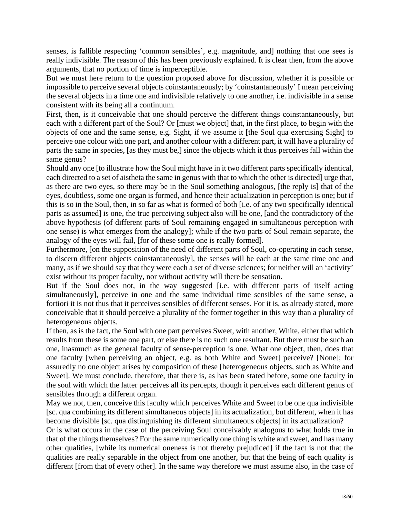senses, is fallible respecting 'common sensibles', e.g. magnitude, and] nothing that one sees is really indivisible. The reason of this has been previously explained. It is clear then, from the above arguments, that no portion of time is imperceptible.

But we must here return to the question proposed above for discussion, whether it is possible or impossible to perceive several objects coinstantaneously; by 'coinstantaneously' I mean perceiving the several objects in a time one and indivisible relatively to one another, i.e. indivisible in a sense consistent with its being all a continuum.

First, then, is it conceivable that one should perceive the different things coinstantaneously, but each with a different part of the Soul? Or [must we object] that, in the first place, to begin with the objects of one and the same sense, e.g. Sight, if we assume it [the Soul qua exercising Sight] to perceive one colour with one part, and another colour with a different part, it will have a plurality of parts the same in species, [as they must be,] since the objects which it thus perceives fall within the same genus?

Should any one [to illustrate how the Soul might have in it two different parts specifically identical, this is so in the Soul, then, in so far as what is formed of both [i.e. of any two specifically identical each directed to a set of aistheta the same in genus with that to which the other is directed] urge that, as there are two eyes, so there may be in the Soul something analogous, [the reply is] that of the eyes, doubtless, some one organ is formed, and hence their actualization in perception is one; but if parts as assumed] is one, the true perceiving subject also will be one, [and the contradictory of the above hypothesis (of different parts of Soul remaining engaged in simultaneous perception with one sense) is what emerges from the analogy]; while if the two parts of Soul remain separate, the analogy of the eyes will fail, [for of these some one is really formed].

to discern different objects coinstantaneously], the senses will be each at the same time one and Furthermore, [on the supposition of the need of different parts of Soul, co-operating in each sense, many, as if we should say that they were each a set of diverse sciences; for neither will an 'activity' exist without its proper faculty, nor without activity will there be sensation.

But if the Soul does not, in the way suggested [i.e. with different parts of itself acting simultaneously], perceive in one and the same individual time sensibles of the same sense, a fortiori it is not thus that it perceives sensibles of different senses. For it is, as already stated, more conceivable that it should perceive a plurality of the former together in this way than a plurality of heterogeneous objects.

one, inasmuch as the general faculty of sense-perception is one. What one object, then, does that the soul with which the latter perceives all its percepts, though it perceives each different genus of If then, as is the fact, the Soul with one part perceives Sweet, with another, White, either that which results from these is some one part, or else there is no such one resultant. But there must be such an one faculty [when perceiving an object, e.g. as both White and Sweet] perceive? [None]; for assuredly no one object arises by composition of these [heterogeneous objects, such as White and Sweet]. We must conclude, therefore, that there is, as has been stated before, some one faculty in sensibles through a different organ.

May we not, then, conceive this faculty which perceives White and Sweet to be one qua indivisible [sc. qua combining its different simultaneous objects] in its actualization, but different, when it has become divisible [sc. qua distinguishing its different simultaneous objects] in its actualization?

Or is what occurs in the case of the perceiving Soul conceivably analogous to what holds true in that of the things themselves? For the same numerically one thing is white and sweet, and has many other qualities, [while its numerical oneness is not thereby prejudiced] if the fact is not that the qualities are really separable in the object from one another, but that the being of each quality is different [from that of every other]. In the same way therefore we must assume also, in the case of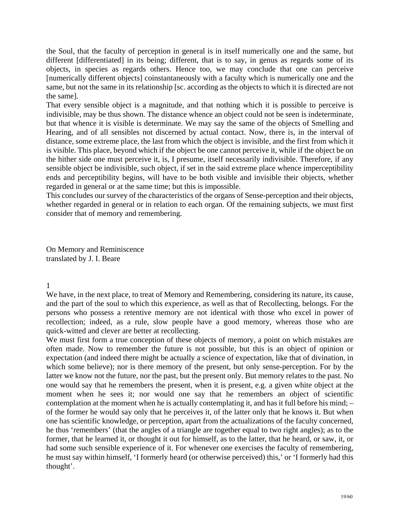the Soul, that the faculty of perception in general is in itself numerically one and the same, but different [differentiated] in its being; different, that is to say, in genus as regards some of its objects, in species as regards others. Hence too, we may conclude that one can perceive [numerically different objects] coinstantaneously with a faculty which is numerically one and the same, but not the same in its relationship [sc. according as the objects to which it is directed are not the same].

indivisible, may be thus shown. The distance whence an object could not be seen is indeterminate, That every sensible object is a magnitude, and that nothing which it is possible to perceive is but that whence it is visible is determinate. We may say the same of the objects of Smelling and Hearing, and of all sensibles not discerned by actual contact. Now, there is, in the interval of distance, some extreme place, the last from which the object is invisible, and the first from which it is visible. This place, beyond which if the object be one cannot perceive it, while if the object be on the hither side one must perceive it, is, I presume, itself necessarily indivisible. Therefore, if any sensible object be indivisible, such object, if set in the said extreme place whence imperceptibility ends and perceptibility begins, will have to be both visible and invisible their objects, whether regarded in general or at the same time; but this is impossible.

consider that of memory and remembering. This concludes our survey of the characteristics of the organs of Sense-perception and their objects, whether regarded in general or in relation to each organ. Of the remaining subjects, we must first

On Memory and Reminiscence translated by J. I. Beare

#### 1

and the part of the soul to which this experience, as well as that of Recollecting, belongs. For the We have, in the next place, to treat of Memory and Remembering, considering its nature, its cause, persons who possess a retentive memory are not identical with those who excel in power of recollection; indeed, as a rule, slow people have a good memory, whereas those who are quick-witted and clever are better at recollecting.

We must first form a true conception of these objects of memory, a point on which mistakes are often made. Now to remember the future is not possible, but this is an object of opinion or expectation (and indeed there might be actually a science of expectation, like that of divination, in which some believe); nor is there memory of the present, but only sense-perception. For by the latter we know not the future, nor the past, but the present only. But memory relates to the past. No one would say that he remembers the present, when it is present, e.g. a given white object at the moment when he sees it; nor would one say that he remembers an object of scientific contemplation at the moment when he is actually contemplating it, and has it full before his mind;  $$ had some such sensible experience of it. For whenever one exercises the faculty of remembering, of the former he would say only that he perceives it, of the latter only that he knows it. But when one has scientific knowledge, or perception, apart from the actualizations of the faculty concerned, he thus 'remembers' (that the angles of a triangle are together equal to two right angles); as to the former, that he learned it, or thought it out for himself, as to the latter, that he heard, or saw, it, or he must say within himself, 'I formerly heard (or otherwise perceived) this,' or 'I formerly had this thought'.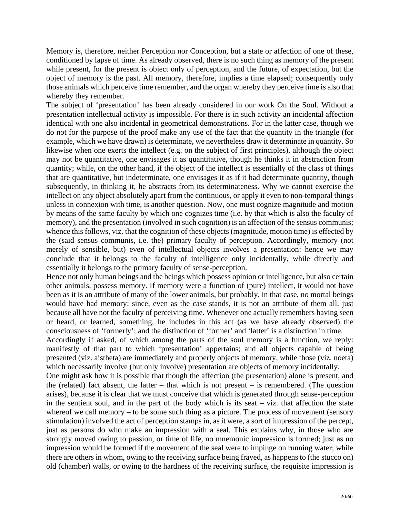Memory is, therefore, neither Perception nor Conception, but a state or affection of one of these, conditioned by lapse of time. As already observed, there is no such thing as memory of the present while present, for the present is object only of perception, and the future, of expectation, but the object of memory is the past. All memory, therefore, implies a time elapsed; consequently only those animals which perceive time remember, and the organ whereby they perceive time is also that whereby they remember.

The subject of 'presentation' has been already considered in our work On the Soul. Without a presentation intellectual activity is impossible. For there is in such activity an incidental affection identical with one also incidental in geometrical demonstrations. For in the latter case, though we do not for the purpose of the proof make any use of the fact that the quantity in the triangle (for example, which we have drawn) is determinate, we nevertheless draw it determinate in quantity. So likewise when one exerts the intellect (e.g. on the subject of first principles), although the object may not be quantitative, one envisages it as quantitative, though he thinks it in abstraction from by means of the same faculty by which one cognizes time (i.e. by that which is also the faculty of quantity; while, on the other hand, if the object of the intellect is essentially of the class of things that are quantitative, but indeterminate, one envisages it as if it had determinate quantity, though subsequently, in thinking it, he abstracts from its determinateness. Why we cannot exercise the intellect on any object absolutely apart from the continuous, or apply it even to non-temporal things unless in connexion with time, is another question. Now, one must cognize magnitude and motion memory), and the presentation (involved in such cognition) is an affection of the sensus communis; whence this follows, viz. that the cognition of these objects (magnitude, motion time) is effected by the (said sensus communis, i.e. the) primary faculty of perception. Accordingly, memory (not merely of sensible, but) even of intellectual objects involves a presentation: hence we may conclude that it belongs to the faculty of intelligence only incidentally, while directly and essentially it belongs to the primary faculty of sense-perception.

Hence not only human beings and the beings which possess opinion or intelligence, but also certain other animals, possess memory. If memory were a function of (pure) intellect, it would not have been as it is an attribute of many of the lower animals, but probably, in that case, no mortal beings would have had memory; since, even as the case stands, it is not an attribute of them all, just because all have not the faculty of perceiving time. Whenever one actually remembers having seen or heard, or learned, something, he includes in this act (as we have already observed) the consciousness of 'formerly'; and the distinction of 'former' and 'latter' is a distinction in time.

Accordingly if asked, of which among the parts of the soul memory is a function, we reply: manifestly of that part to which 'presentation' appertains; and all objects capable of being presented (viz. aistheta) are immediately and properly objects of memory, while those (viz. noeta) which necessarily involve (but only involve) presentation are objects of memory incidentally.

the (related) fact absent, the latter  $-$  that which is not present  $-$  is remembered. (The question there are others in whom, owing to the receiving surface being frayed, as happens to (the stucco on) old (chamber) walls, or owing to the hardness of the receiving surface, the requisite impression is One might ask how it is possible that though the affection (the presentation) alone is present, and arises), because it is clear that we must conceive that which is generated through sense-perception in the sentient soul, and in the part of the body which is its seat – viz. that affection the state whereof we call memory – to be some such thing as a picture. The process of movement (sensory stimulation) involved the act of perception stamps in, as it were, a sort of impression of the percept, just as persons do who make an impression with a seal. This explains why, in those who are strongly moved owing to passion, or time of life, no mnemonic impression is formed; just as no impression would be formed if the movement of the seal were to impinge on running water; while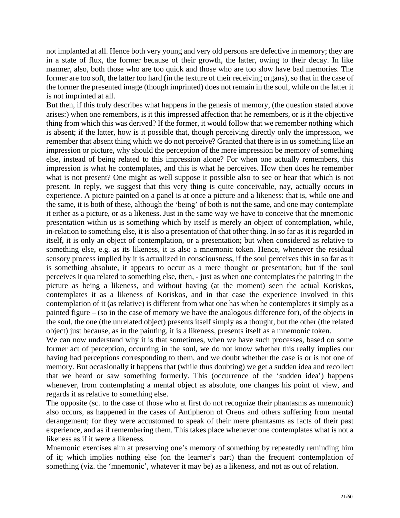not implanted at all. Hence both very young and very old persons are defective in memory; they are in a state of flux, the former because of their growth, the latter, owing to their decay. In like manner, also, both those who are too quick and those who are too slow have bad memories. The former are too soft, the latter too hard (in the texture of their receiving organs), so that in the case of the former the presented image (though imprinted) does not remain in the soul, while on the latter it is not imprinted at all.

itself, it is only an object of contemplation, or a presentation; but when considered as relative to But then, if this truly describes what happens in the genesis of memory, (the question stated above arises:) when one remembers, is it this impressed affection that he remembers, or is it the objective thing from which this was derived? If the former, it would follow that we remember nothing which is absent; if the latter, how is it possible that, though perceiving directly only the impression, we remember that absent thing which we do not perceive? Granted that there is in us something like an impression or picture, why should the perception of the mere impression be memory of something else, instead of being related to this impression alone? For when one actually remembers, this impression is what he contemplates, and this is what he perceives. How then does he remember what is not present? One might as well suppose it possible also to see or hear that which is not present. In reply, we suggest that this very thing is quite conceivable, nay, actually occurs in experience. A picture painted on a panel is at once a picture and a likeness: that is, while one and the same, it is both of these, although the 'being' of both is not the same, and one may contemplate it either as a picture, or as a likeness. Just in the same way we have to conceive that the mnemonic presentation within us is something which by itself is merely an object of contemplation, while, in-relation to something else, it is also a presentation of that other thing. In so far as it is regarded in something else, e.g. as its likeness, it is also a mnemonic token. Hence, whenever the residual sensory process implied by it is actualized in consciousness, if the soul perceives this in so far as it is something absolute, it appears to occur as a mere thought or presentation; but if the soul perceives it qua related to something else, then, - just as when one contemplates the painting in the picture as being a likeness, and without having (at the moment) seen the actual Koriskos, contemplates it as a likeness of Koriskos, and in that case the experience involved in this contemplation of it (as relative) is different from what one has when he contemplates it simply as a painted figure – (so in the case of memory we have the analogous difference for), of the objects in the soul, the one (the unrelated object) presents itself simply as a thought, but the other (the related object) just because, as in the painting, it is a likeness, presents itself as a mnemonic token.

We can now understand why it is that sometimes, when we have such processes, based on some former act of perception, occurring in the soul, we do not know whether this really implies our having had perceptions corresponding to them, and we doubt whether the case is or is not one of memory. But occasionally it happens that (while thus doubting) we get a sudden idea and recollect that we heard or saw something formerly. This (occurrence of the 'sudden idea') happens whenever, from contemplating a mental object as absolute, one changes his point of view, and regards it as relative to something else.

The opposite (sc. to the case of those who at first do not recognize their phantasms as mnemonic) also occurs, as happened in the cases of Antipheron of Oreus and others suffering from mental derangement; for they were accustomed to speak of their mere phantasms as facts of their past experience, and as if remembering them. This takes place whenever one contemplates what is not a likeness as if it were a likeness.

Mnemonic exercises aim at preserving one's memory of something by repeatedly reminding him of it; which implies nothing else (on the learner's part) than the frequent contemplation of something (viz. the 'mnemonic', whatever it may be) as a likeness, and not as out of relation.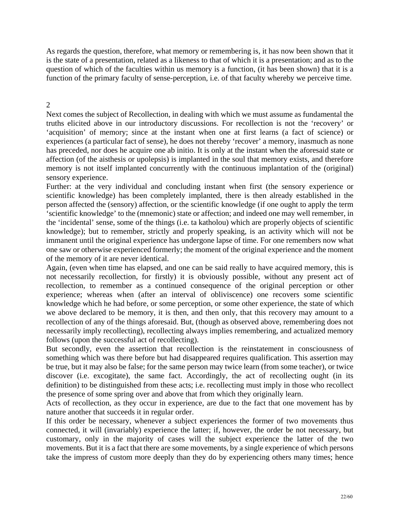As regards the question, therefore, what memory or remembering is, it has now been shown that it is the state of a presentation, related as a likeness to that of which it is a presentation; and as to the question of which of the faculties within us memory is a function, (it has been shown) that it is a function of the primary faculty of sense-perception, i.e. of that faculty whereby we perceive time.

## 2

truths elicited above in our introductory discussions. For recollection is not the 'recovery' or memory is not itself implanted concurrently with the continuous implantation of the (original) Next comes the subject of Recollection, in dealing with which we must assume as fundamental the 'acquisition' of memory; since at the instant when one at first learns (a fact of science) or experiences (a particular fact of sense), he does not thereby 'recover' a memory, inasmuch as none has preceded, nor does he acquire one ab initio. It is only at the instant when the aforesaid state or affection (of the aisthesis or upolepsis) is implanted in the soul that memory exists, and therefore sensory experience.

scientific knowledge) has been completely implanted, there is then already established in the immanent until the original experience has undergone lapse of time. For one remembers now what one saw or otherwise experienced formerly; the moment of the original experience and the moment of the memory of it are never identical. Further: at the very individual and concluding instant when first (the sensory experience or person affected the (sensory) affection, or the scientific knowledge (if one ought to apply the term 'scientific knowledge' to the (mnemonic) state or affection; and indeed one may well remember, in the 'incidental' sense, some of the things (i.e. ta katholou) which are properly objects of scientific knowledge); but to remember, strictly and properly speaking, is an activity which will not be

Again, (even when time has elapsed, and one can be said really to have acquired memory, this is follows (upon the successful act of recollecting). not necessarily recollection, for firstly) it is obviously possible, without any present act of recollection, to remember as a continued consequence of the original perception or other experience; whereas when (after an interval of obliviscence) one recovers some scientific knowledge which he had before, or some perception, or some other experience, the state of which we above declared to be memory, it is then, and then only, that this recovery may amount to a recollection of any of the things aforesaid. But, (though as observed above, remembering does not necessarily imply recollecting), recollecting always implies remembering, and actualized memory

But secondly, even the assertion that recollection is the reinstatement in consciousness of something which was there before but had disappeared requires qualification. This assertion may be true, but it may also be false; for the same person may twice learn (from some teacher), or twice discover (i.e. excogitate), the same fact. Accordingly, the act of recollecting ought (in its definition) to be distinguished from these acts; i.e. recollecting must imply in those who recollect the presence of some spring over and above that from which they originally learn.

Acts of recollection, as they occur in experience, are due to the fact that one movement has by nature another that succeeds it in regular order.

If this order be necessary, whenever a subject experiences the former of two movements thus connected, it will (invariably) experience the latter; if, however, the order be not necessary, but customary, only in the majority of cases will the subject experience the latter of the two movements. But it is a fact that there are some movements, by a single experience of which persons take the impress of custom more deeply than they do by experiencing others many times; hence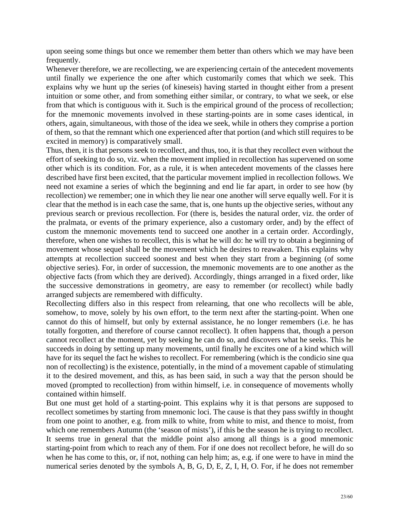upon seeing some things but once we remember them better than others which we may have been frequently.

Whenever therefore, we are recollecting, we are experiencing certain of the antecedent movements until finally we experience the one after which customarily comes that which we seek. This of them, so that the remnant which one experienced after that portion (and which still requires to be explains why we hunt up the series (of kineseis) having started in thought either from a present intuition or some other, and from something either similar, or contrary, to what we seek, or else from that which is contiguous with it. Such is the empirical ground of the process of recollection; for the mnemonic movements involved in these starting-points are in some cases identical, in others, again, simultaneous, with those of the idea we seek, while in others they comprise a portion excited in memory) is comparatively small.

Thus, then, it is that persons seek to recollect, and thus, too, it is that they recollect even without the previous search or previous recollection. For (there is, besides the natural order, viz. the order of effort of seeking to do so, viz. when the movement implied in recollection has supervened on some other which is its condition. For, as a rule, it is when antecedent movements of the classes here described have first been excited, that the particular movement implied in recollection follows. We need not examine a series of which the beginning and end lie far apart, in order to see how (by recollection) we remember; one in which they lie near one another will serve equally well. For it is clear that the method is in each case the same, that is, one hunts up the objective series, without any the pralmata, or events of the primary experience, also a customary order, and) by the effect of custom the mnemonic movements tend to succeed one another in a certain order. Accordingly, therefore, when one wishes to recollect, this is what he will do: he will try to obtain a beginning of movement whose sequel shall be the movement which he desires to reawaken. This explains why attempts at recollection succeed soonest and best when they start from a beginning (of some objective series). For, in order of succession, the mnemonic movements are to one another as the objective facts (from which they are derived). Accordingly, things arranged in a fixed order, like the successive demonstrations in geometry, are easy to remember (or recollect) while badly arranged subjects are remembered with difficulty.

Recollecting differs also in this respect from relearning, that one who recollects will be able, somehow, to move, solely by his own effort, to the term next after the starting-point. When one cannot do this of himself, but only by external assistance, he no longer remembers (i.e. he has totally forgotten, and therefore of course cannot recollect). It often happens that, though a person cannot recollect at the moment, yet by seeking he can do so, and discovers what he seeks. This he succeeds in doing by setting up many movements, until finally he excites one of a kind which will have for its sequel the fact he wishes to recollect. For remembering (which is the condicio sine qua non of recollecting) is the existence, potentially, in the mind of a movement capable of stimulating it to the desired movement, and this, as has been said, in such a way that the person should be moved (prompted to recollection) from within himself, i.e. in consequence of movements wholly contained within himself.

starting-point from which to reach any of them. For if one does not recollect before, he will do so But one must get hold of a starting-point. This explains why it is that persons are supposed to recollect sometimes by starting from mnemonic loci. The cause is that they pass swiftly in thought from one point to another, e.g. from milk to white, from white to mist, and thence to moist, from which one remembers Autumn (the 'season of mists'), if this be the season he is trying to recollect. It seems true in general that the middle point also among all things is a good mnemonic when he has come to this, or, if not, nothing can help him; as, e.g. if one were to have in mind the numerical series denoted by the symbols A, B, G, D, E, Z, I, H, O. For, if he does not remember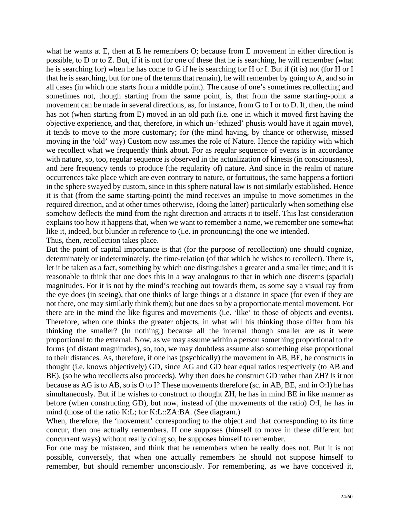what he wants at E, then at E he remembers O; because from E movement in either direction is possible, to D or to Z. But, if it is not for one of these that he is searching, he will remember (what he is searching for) when he has come to G if he is searching for H or I. But if (it is) not (for H or I that he is searching, but for one of the terms that remain), he will remember by going to A, and so in all cases (in which one starts from a middle point). The cause of one's sometimes recollecting and sometimes not, though starting from the same point, is, that from the same starting-point a movement can be made in several directions, as, for instance, from G to I or to D. If, then, the mind has not (when starting from E) moved in an old path (i.e. one in which it moved first having the objective experience, and that, therefore, in which un-'ethized' phusis would have it again move), and here frequency tends to produce (the regularity of) nature. And since in the realm of nature it tends to move to the more customary; for (the mind having, by chance or otherwise, missed moving in the 'old' way) Custom now assumes the role of Nature. Hence the rapidity with which we recollect what we frequently think about. For as regular sequence of events is in accordance with nature, so, too, regular sequence is observed in the actualization of kinesis (in consciousness), occurrences take place which are even contrary to nature, or fortuitous, the same happens a fortiori in the sphere swayed by custom, since in this sphere natural law is not similarly established. Hence it is that (from the same starting-point) the mind receives an impulse to move sometimes in the required direction, and at other times otherwise, (doing the latter) particularly when something else somehow deflects the mind from the right direction and attracts it to itself. This last consideration explains too how it happens that, when we want to remember a name, we remember one somewhat like it, indeed, but blunder in reference to (i.e. in pronouncing) the one we intended. Thus, then, recollection takes place.

before (when constructing GD), but now, instead of (the movements of the ratio) O:I, he has in mind (those of the ratio K:L; for K:L::ZA:BA. (See diagram.) But the point of capital importance is that (for the purpose of recollection) one should cognize, determinately or indeterminately, the time-relation (of that which he wishes to recollect). There is, let it be taken as a fact, something by which one distinguishes a greater and a smaller time; and it is reasonable to think that one does this in a way analogous to that in which one discerns (spacial) magnitudes. For it is not by the mind's reaching out towards them, as some say a visual ray from the eye does (in seeing), that one thinks of large things at a distance in space (for even if they are not there, one may similarly think them); but one does so by a proportionate mental movement. For there are in the mind the like figures and movements (i.e. 'like' to those of objects and events). Therefore, when one thinks the greater objects, in what will his thinking those differ from his thinking the smaller? (In nothing,) because all the internal though smaller are as it were proportional to the external. Now, as we may assume within a person something proportional to the forms (of distant magnitudes), so, too, we may doubtless assume also something else proportional to their distances. As, therefore, if one has (psychically) the movement in AB, BE, he constructs in thought (i.e. knows objectively) GD, since AG and GD bear equal ratios respectively (to AB and BE), (so he who recollects also proceeds). Why then does he construct GD rather than ZH? Is it not because as AG is to AB, so is O to I? These movements therefore (sc. in AB, BE, and in O:I) he has simultaneously. But if he wishes to construct to thought ZH, he has in mind BE in like manner as

When, therefore, the 'movement' corresponding to the object and that corresponding to its time concur, then one actually remembers. If one supposes (himself to move in these different but concurrent ways) without really doing so, he supposes himself to remember.

For one may be mistaken, and think that he remembers when he really does not. But it is not possible, conversely, that when one actually remembers he should not suppose himself to remember, but should remember unconsciously. For remembering, as we have conceived it,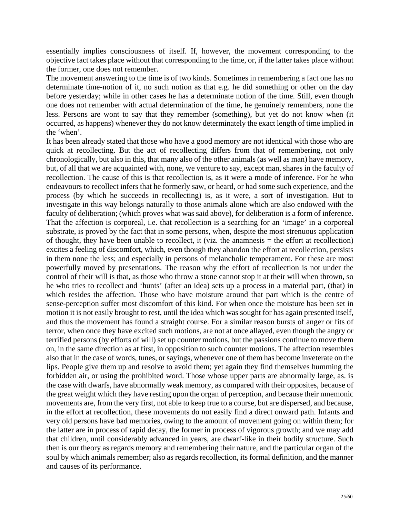essentially implies consciousness of itself. If, however, the movement corresponding to the objective fact takes place without that corresponding to the time, or, if the latter takes place without the former, one does not remember.

The movement answering to the time is of two kinds. Sometimes in remembering a fact one has no determinate time-notion of it, no such notion as that e.g. he did something or other on the day before yesterday; while in other cases he has a determinate notion of the time. Still, even though one does not remember with actual determination of the time, he genuinely remembers, none the less. Persons are wont to say that they remember (something), but yet do not know when (it occurred, as happens) whenever they do not know determinately the exact length of time implied in the 'when'.

It has been already stated that those who have a good memory are not identical with those who are quick at recollecting. But the act of recollecting differs from that of remembering, not only chronologically, but also in this, that many also of the other animals (as well as man) have memory, but, of all that we are acquainted with, none, we venture to say, except man, shares in the faculty of process (by which he succeeds in recollecting) is, as it were, a sort of investigation. But to excites a feeling of discomfort, which, even though they abandon the effort at recollection, persists motion it is not easily brought to rest, until the idea which was sought for has again presented itself, movements are, from the very first, not able to keep true to a course, but are dispersed, and because, recollection. The cause of this is that recollection is, as it were a mode of inference. For he who endeavours to recollect infers that he formerly saw, or heard, or had some such experience, and the investigate in this way belongs naturally to those animals alone which are also endowed with the faculty of deliberation; (which proves what was said above), for deliberation is a form of inference. That the affection is corporeal, i.e. that recollection is a searching for an 'image' in a corporeal substrate, is proved by the fact that in some persons, when, despite the most strenuous application of thought, they have been unable to recollect, it (viz. the anamnesis = the effort at recollection) in them none the less; and especially in persons of melancholic temperament. For these are most powerfully moved by presentations. The reason why the effort of recollection is not under the control of their will is that, as those who throw a stone cannot stop it at their will when thrown, so he who tries to recollect and 'hunts' (after an idea) sets up a process in a material part, (that) in which resides the affection. Those who have moisture around that part which is the centre of sense-perception suffer most discomfort of this kind. For when once the moisture has been set in and thus the movement has found a straight course. For a similar reason bursts of anger or fits of terror, when once they have excited such motions, are not at once allayed, even though the angry or terrified persons (by efforts of will) set up counter motions, but the passions continue to move them on, in the same direction as at first, in opposition to such counter motions. The affection resembles also that in the case of words, tunes, or sayings, whenever one of them has become inveterate on the lips. People give them up and resolve to avoid them; yet again they find themselves humming the forbidden air, or using the prohibited word. Those whose upper parts are abnormally large, as. is the case with dwarfs, have abnormally weak memory, as compared with their opposites, because of the great weight which they have resting upon the organ of perception, and because their mnemonic in the effort at recollection, these movements do not easily find a direct onward path. Infants and very old persons have bad memories, owing to the amount of movement going on within them; for the latter are in process of rapid decay, the former in process of vigorous growth; and we may add that children, until considerably advanced in years, are dwarf-like in their bodily structure. Such then is our theory as regards memory and remembering their nature, and the particular organ of the soul by which animals remember; also as regards recollection, its formal definition, and the manner and causes of its performance.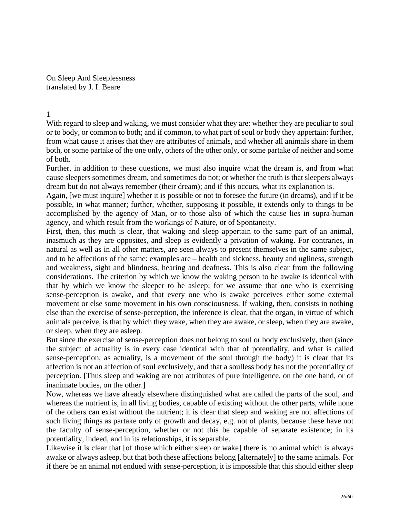On Sleep And Sleeplessness translated by J. I. Beare

1

With regard to sleep and waking, we must consider what they are: whether they are peculiar to soul or to body, or common to both; and if common, to what part of soul or body they appertain: further, from what cause it arises that they are attributes of animals, and whether all animals share in them both, or some partake of the one only, others of the other only, or some partake of neither and some of both.

Further, in addition to these questions, we must also inquire what the dream is, and from what cause sleepers sometimes dream, and sometimes do not; or whether the truth is that sleepers always dream but do not always remember (their dream); and if this occurs, what its explanation is.

Again, [we must inquire] whether it is possible or not to foresee the future (in dreams), and if it be possible, in what manner; further, whether, supposing it possible, it extends only to things to be accomplished by the agency of Man, or to those also of which the cause lies in supra-human agency, and which result from the workings of Nature, or of Spontaneity.

First, then, this much is clear, that waking and sleep appertain to the same part of an animal, inasmuch as they are opposites, and sleep is evidently a privation of waking. For contraries, in natural as well as in all other matters, are seen always to present themselves in the same subject, and to be affections of the same: examples are – health and sickness, beauty and ugliness, strength and weakness, sight and blindness, hearing and deafness. This is also clear from the following considerations. The criterion by which we know the waking person to be awake is identical with that by which we know the sleeper to be asleep; for we assume that one who is exercising sense-perception is awake, and that every one who is awake perceives either some external movement or else some movement in his own consciousness. If waking, then, consists in nothing else than the exercise of sense-perception, the inference is clear, that the organ, in virtue of which animals perceive, is that by which they wake, when they are awake, or sleep, when they are awake, or sleep, when they are asleep.

sense-perception, as actuality, is a movement of the soul through the body) it is clear that its But since the exercise of sense-perception does not belong to soul or body exclusively, then (since the subject of actuality is in every case identical with that of potentiality, and what is called affection is not an affection of soul exclusively, and that a soulless body has not the potentiality of perception. [Thus sleep and waking are not attributes of pure intelligence, on the one hand, or of inanimate bodies, on the other.]

Now, whereas we have already elsewhere distinguished what are called the parts of the soul, and the faculty of sense-perception, whether or not this be capable of separate existence; in its whereas the nutrient is, in all living bodies, capable of existing without the other parts, while none of the others can exist without the nutrient; it is clear that sleep and waking are not affections of such living things as partake only of growth and decay, e.g. not of plants, because these have not potentiality, indeed, and in its relationships, it is separable.

Likewise it is clear that [of those which either sleep or wake] there is no animal which is always awake or always asleep, but that both these affections belong [alternately] to the same animals. For if there be an animal not endued with sense-perception, it is impossible that this should either sleep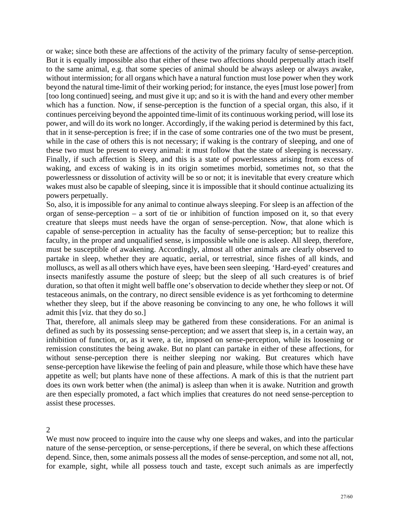or wake; since both these are affections of the activity of the primary faculty of sense-perception. But it is equally impossible also that either of these two affections should perpetually attach itself to the same animal, e.g. that some species of animal should be always asleep or always awake, without intermission; for all organs which have a natural function must lose power when they work beyond the natural time-limit of their working period; for instance, the eyes [must lose power] from [too long continued] seeing, and must give it up; and so it is with the hand and every other member which has a function. Now, if sense-perception is the function of a special organ, this also, if it continues perceiving beyond the appointed time-limit of its continuous working period, will lose its waking, and excess of waking is in its origin sometimes morbid, sometimes not, so that the power, and will do its work no longer. Accordingly, if the waking period is determined by this fact, that in it sense-perception is free; if in the case of some contraries one of the two must be present, while in the case of others this is not necessary; if waking is the contrary of sleeping, and one of these two must be present to every animal: it must follow that the state of sleeping is necessary. Finally, if such affection is Sleep, and this is a state of powerlessness arising from excess of powerlessness or dissolution of activity will be so or not; it is inevitable that every creature which wakes must also be capable of sleeping, since it is impossible that it should continue actualizing its powers perpetually.

creature that sleeps must needs have the organ of sense-perception. Now, that alone which is So, also, it is impossible for any animal to continue always sleeping. For sleep is an affection of the organ of sense-perception – a sort of tie or inhibition of function imposed on it, so that every capable of sense-perception in actuality has the faculty of sense-perception; but to realize this faculty, in the proper and unqualified sense, is impossible while one is asleep. All sleep, therefore, must be susceptible of awakening. Accordingly, almost all other animals are clearly observed to partake in sleep, whether they are aquatic, aerial, or terrestrial, since fishes of all kinds, and molluscs, as well as all others which have eyes, have been seen sleeping. 'Hard-eyed' creatures and insects manifestly assume the posture of sleep; but the sleep of all such creatures is of brief duration, so that often it might well baffle one's observation to decide whether they sleep or not. Of testaceous animals, on the contrary, no direct sensible evidence is as yet forthcoming to determine whether they sleep, but if the above reasoning be convincing to any one, he who follows it will admit this [viz. that they do so.]

That, therefore, all animals sleep may be gathered from these considerations. For an animal is defined as such by its possessing sense-perception; and we assert that sleep is, in a certain way, an inhibition of function, or, as it were, a tie, imposed on sense-perception, while its loosening or remission constitutes the being awake. But no plant can partake in either of these affections, for without sense-perception there is neither sleeping nor waking. But creatures which have sense-perception have likewise the feeling of pain and pleasure, while those which have these have appetite as well; but plants have none of these affections. A mark of this is that the nutrient part does its own work better when (the animal) is asleep than when it is awake. Nutrition and growth are then especially promoted, a fact which implies that creatures do not need sense-perception to assist these processes.

 $\mathcal{D}_{\alpha}$ 

We must now proceed to inquire into the cause why one sleeps and wakes, and into the particular nature of the sense-perception, or sense-perceptions, if there be several, on which these affections depend. Since, then, some animals possess all the modes of sense-perception, and some not all, not, for example, sight, while all possess touch and taste, except such animals as are imperfectly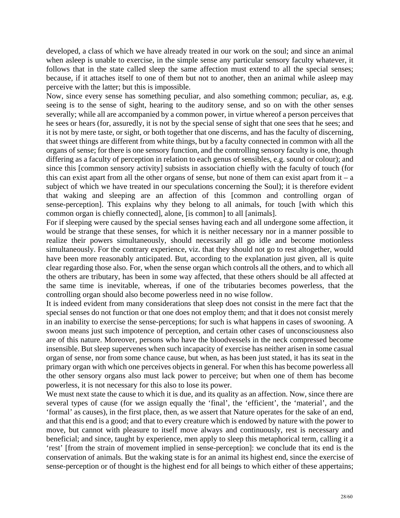developed, a class of which we have already treated in our work on the soul; and since an animal when asleep is unable to exercise, in the simple sense any particular sensory faculty whatever, it follows that in the state called sleep the same affection must extend to all the special senses; because, if it attaches itself to one of them but not to another, then an animal while asleep may perceive with the latter; but this is impossible.

Now, since every sense has something peculiar, and also something common; peculiar, as, e.g. subject of which we have treated in our speculations concerning the Soul); it is therefore evident that waking and sleeping are an affection of this [common and controlling organ of sense-perception]. This explains why they belong to all animals, for touch [with which this common organ is chiefly connected], alone, [is common] to all [animals]. seeing is to the sense of sight, hearing to the auditory sense, and so on with the other senses severally; while all are accompanied by a common power, in virtue whereof a person perceives that he sees or hears (for, assuredly, it is not by the special sense of sight that one sees that he sees; and it is not by mere taste, or sight, or both together that one discerns, and has the faculty of discerning, that sweet things are different from white things, but by a faculty connected in common with all the organs of sense; for there is one sensory function, and the controlling sensory faculty is one, though differing as a faculty of perception in relation to each genus of sensibles, e.g. sound or colour); and since this [common sensory activity] subsists in association chiefly with the faculty of touch (for this can exist apart from all the other organs of sense, but none of them can exist apart from  $it - a$ 

controlling organ should also become powerless need in no wise follow. For if sleeping were caused by the special senses having each and all undergone some affection, it would be strange that these senses, for which it is neither necessary nor in a manner possible to realize their powers simultaneously, should necessarily all go idle and become motionless simultaneously. For the contrary experience, viz. that they should not go to rest altogether, would have been more reasonably anticipated. But, according to the explanation just given, all is quite clear regarding those also. For, when the sense organ which controls all the others, and to which all the others are tributary, has been in some way affected, that these others should be all affected at the same time is inevitable, whereas, if one of the tributaries becomes powerless, that the

It is indeed evident from many considerations that sleep does not consist in the mere fact that the special senses do not function or that one does not employ them; and that it does not consist merely in an inability to exercise the sense-perceptions; for such is what happens in cases of swooning. A swoon means just such impotence of perception, and certain other cases of unconsciousness also are of this nature. Moreover, persons who have the bloodvessels in the neck compressed become insensible. But sleep supervenes when such incapacity of exercise has neither arisen in some casual organ of sense, nor from some chance cause, but when, as has been just stated, it has its seat in the primary organ with which one perceives objects in general. For when this has become powerless all the other sensory organs also must lack power to perceive; but when one of them has become powerless, it is not necessary for this also to lose its power.

move, but cannot with pleasure to itself move always and continuously, rest is necessary and We must next state the cause to which it is due, and its quality as an affection. Now, since there are several types of cause (for we assign equally the 'final', the 'efficient', the 'material', and the 'formal' as causes), in the first place, then, as we assert that Nature operates for the sake of an end, and that this end is a good; and that to every creature which is endowed by nature with the power to beneficial; and since, taught by experience, men apply to sleep this metaphorical term, calling it a 'rest' [from the strain of movement implied in sense-perception]: we conclude that its end is the conservation of animals. But the waking state is for an animal its highest end, since the exercise of sense-perception or of thought is the highest end for all beings to which either of these appertains;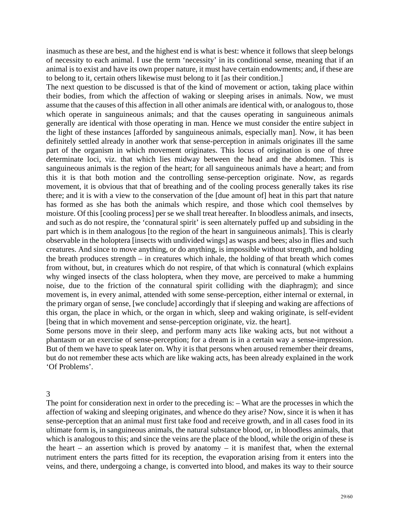inasmuch as these are best, and the highest end is what is best: whence it follows that sleep belongs of necessity to each animal. I use the term 'necessity' in its conditional sense, meaning that if an animal is to exist and have its own proper nature, it must have certain endowments; and, if these are to belong to it, certain others likewise must belong to it [as their condition.]

The next question to be discussed is that of the kind of movement or action, taking place within this it is that both motion and the controlling sense-perception originate. Now, as regards the primary organ of sense, [we conclude] accordingly that if sleeping and waking are affections of their bodies, from which the affection of waking or sleeping arises in animals. Now, we must assume that the causes of this affection in all other animals are identical with, or analogous to, those which operate in sanguineous animals; and that the causes operating in sanguineous animals generally are identical with those operating in man. Hence we must consider the entire subject in the light of these instances [afforded by sanguineous animals, especially man]. Now, it has been definitely settled already in another work that sense-perception in animals originates ill the same part of the organism in which movement originates. This locus of origination is one of three determinate loci, viz. that which lies midway between the head and the abdomen. This is sanguineous animals is the region of the heart; for all sanguineous animals have a heart; and from movement, it is obvious that that of breathing and of the cooling process generally takes its rise there; and it is with a view to the conservation of the [due amount of] heat in this part that nature has formed as she has both the animals which respire, and those which cool themselves by moisture. Of this [cooling process] per se we shall treat hereafter. In bloodless animals, and insects, and such as do not respire, the 'connatural spirit' is seen alternately puffed up and subsiding in the part which is in them analogous [to the region of the heart in sanguineous animals]. This is clearly observable in the holoptera [insects with undivided wings] as wasps and bees; also in flies and such creatures. And since to move anything, or do anything, is impossible without strength, and holding the breath produces strength – in creatures which inhale, the holding of that breath which comes from without, but, in creatures which do not respire, of that which is connatural (which explains why winged insects of the class holoptera, when they move, are perceived to make a humming noise, due to the friction of the connatural spirit colliding with the diaphragm); and since movement is, in every animal, attended with some sense-perception, either internal or external, in this organ, the place in which, or the organ in which, sleep and waking originate, is self-evident [being that in which movement and sense-perception originate, viz. the heart].

Some persons move in their sleep, and perform many acts like waking acts, but not without a phantasm or an exercise of sense-perception; for a dream is in a certain way a sense-impression. But of them we have to speak later on. Why it is that persons when aroused remember their dreams, but do not remember these acts which are like waking acts, has been already explained in the work 'Of Problems'.

#### 3

The point for consideration next in order to the preceding is: – What are the processes in which the affection of waking and sleeping originates, and whence do they arise? Now, since it is when it has sense-perception that an animal must first take food and receive growth, and in all cases food in its ultimate form is, in sanguineous animals, the natural substance blood, or, in bloodless animals, that which is analogous to this; and since the veins are the place of the blood, while the origin of these is the heart – an assertion which is proved by anatomy – it is manifest that, when the external nutriment enters the parts fitted for its reception, the evaporation arising from it enters into the veins, and there, undergoing a change, is converted into blood, and makes its way to their source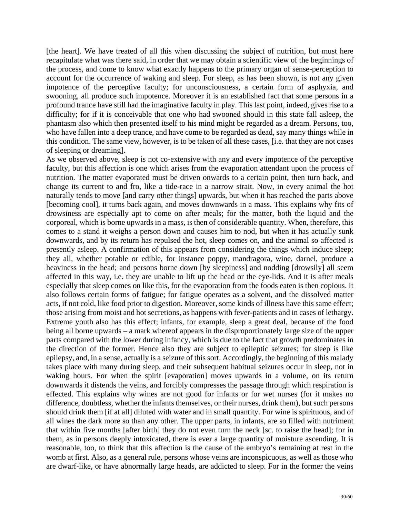[the heart]. We have treated of all this when discussing the subject of nutrition, but must here recapitulate what was there said, in order that we may obtain a scientific view of the beginnings of the process, and come to know what exactly happens to the primary organ of sense-perception to account for the occurrence of waking and sleep. For sleep, as has been shown, is not any given impotence of the perceptive faculty; for unconsciousness, a certain form of asphyxia, and swooning, all produce such impotence. Moreover it is an established fact that some persons in a profound trance have still had the imaginative faculty in play. This last point, indeed, gives rise to a difficulty; for if it is conceivable that one who had swooned should in this state fall asleep, the phantasm also which then presented itself to his mind might be regarded as a dream. Persons, too, who have fallen into a deep trance, and have come to be regarded as dead, say many things while in this condition. The same view, however, is to be taken of all these cases, [i.e. that they are not cases of sleeping or dreaming].

nutrition. The matter evaporated must be driven onwards to a certain point, then turn back, and change its current to and fro, like a tide-race in a narrow strait. Now, in every animal the hot aturally tends to move [and carry other things] upwards, but when it has reached the parts above n [becoming cool], it turns back again, and moves downwards in a mass. This explains why fits of downwards it distends the veins, and forcibly compresses the passage through which respiration is As we observed above, sleep is not co-extensive with any and every impotence of the perceptive faculty, but this affection is one which arises from the evaporation attendant upon the process of drowsiness are especially apt to come on after meals; for the matter, both the liquid and the corporeal, which is borne upwards in a mass, is then of considerable quantity. When, therefore, this comes to a stand it weighs a person down and causes him to nod, but when it has actually sunk downwards, and by its return has repulsed the hot, sleep comes on, and the animal so affected is presently asleep. A confirmation of this appears from considering the things which induce sleep; they all, whether potable or edible, for instance poppy, mandragora, wine, darnel, produce a heaviness in the head; and persons borne down [by sleepiness] and nodding [drowsily] all seem affected in this way, i.e. they are unable to lift up the head or the eye-lids. And it is after meals especially that sleep comes on like this, for the evaporation from the foods eaten is then copious. It also follows certain forms of fatigue; for fatigue operates as a solvent, and the dissolved matter acts, if not cold, like food prior to digestion. Moreover, some kinds of illness have this same effect; those arising from moist and hot secretions, as happens with fever-patients and in cases of lethargy. Extreme youth also has this effect; infants, for example, sleep a great deal, because of the food being all borne upwards – a mark whereof appears in the disproportionately large size of the upper parts compared with the lower during infancy, which is due to the fact that growth predominates in the direction of the former. Hence also they are subject to epileptic seizures; for sleep is like epilepsy, and, in a sense, actually is a seizure of this sort. Accordingly, the beginning of this malady takes place with many during sleep, and their subsequent habitual seizures occur in sleep, not in waking hours. For when the spirit [evaporation] moves upwards in a volume, on its return effected. This explains why wines are not good for infants or for wet nurses (for it makes no difference, doubtless, whether the infants themselves, or their nurses, drink them), but such persons should drink them [if at all] diluted with water and in small quantity. For wine is spirituous, and of all wines the dark more so than any other. The upper parts, in infants, are so filled with nutriment that within five months [after birth] they do not even turn the neck [sc. to raise the head]; for in them, as in persons deeply intoxicated, there is ever a large quantity of moisture ascending. It is reasonable, too, to think that this affection is the cause of the embryo's remaining at rest in the womb at first. Also, as a general rule, persons whose veins are inconspicuous, as well as those who are dwarf-like, or have abnormally large heads, are addicted to sleep. For in the former the veins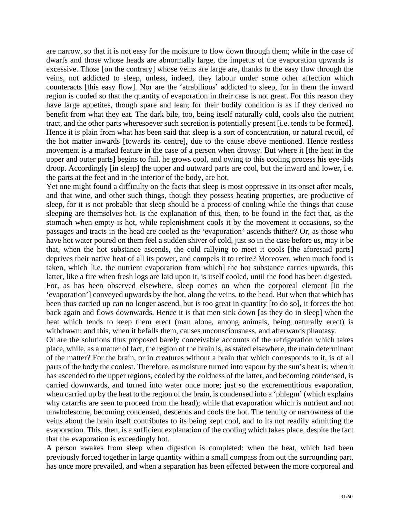are narrow, so that it is not easy for the moisture to flow down through them; while in the case of dwarfs and those whose heads are abnormally large, the impetus of the evaporation upwards is excessive. Those [on the contrary] whose veins are large are, thanks to the easy flow through the veins, not addicted to sleep, unless, indeed, they labour under some other affection which counteracts [this easy flow]. Nor are the 'atrabilious' addicted to sleep, for in them the inward region is cooled so that the quantity of evaporation in their case is not great. For this reason they have large appetites, though spare and lean; for their bodily condition is as if they derived no benefit from what they eat. The dark bile, too, being itself naturally cold, cools also the nutrient tract, and the other parts wheresoever such secretion is potentially present [i.e. tends to be formed]. Hence it is plain from what has been said that sleep is a sort of concentration, or natural recoil, of the hot matter inwards [towards its centre], due to the cause above mentioned. Hence restless movement is a marked feature in the case of a person when drowsy. But where it [the heat in the upper and outer parts] begins to fail, he grows cool, and owing to this cooling process his eye-lids droop. Accordingly [in sleep] the upper and outward parts are cool, but the inward and lower, i.e. the parts at the feet and in the interior of the body, are hot.

Yet one might found a difficulty on the facts that sleep is most oppressive in its onset after meals, and that wine, and other such things, though they possess heating properties, are productive of sleep, for it is not probable that sleep should be a process of cooling while the things that cause sleeping are themselves hot. Is the explanation of this, then, to be found in the fact that, as the stomach when empty is hot, while replenishment cools it by the movement it occasions, so the passages and tracts in the head are cooled as the 'evaporation' ascends thither? Or, as those who have hot water poured on them feel a sudden shiver of cold, just so in the case before us, may it be that, when the hot substance ascends, the cold rallying to meet it cools [the aforesaid parts] deprives their native heat of all its power, and compels it to retire? Moreover, when much food is taken, which [i.e. the nutrient evaporation from which] the hot substance carries upwards, this latter, like a fire when fresh logs are laid upon it, is itself cooled, until the food has been digested. For, as has been observed elsewhere, sleep comes on when the corporeal element [in the 'evaporation'] conveyed upwards by the hot, along the veins, to the head. But when that which has been thus carried up can no longer ascend, but is too great in quantity [to do so], it forces the hot back again and flows downwards. Hence it is that men sink down [as they do in sleep] when the heat which tends to keep them erect (man alone, among animals, being naturally erect) is withdrawn; and this, when it befalls them, causes unconsciousness, and afterwards phantasy.

Or are the solutions thus proposed barely conceivable accounts of the refrigeration which takes place, while, as a matter of fact, the region of the brain is, as stated elsewhere, the main determinant of the matter? For the brain, or in creatures without a brain that which corresponds to it, is of all parts of the body the coolest. Therefore, as moisture turned into vapour by the sun's heat is, when it veins about the brain itself contributes to its being kept cool, and to its not readily admitting the has ascended to the upper regions, cooled by the coldness of the latter, and becoming condensed, is carried downwards, and turned into water once more; just so the excrementitious evaporation, when carried up by the heat to the region of the brain, is condensed into a 'phlegm' (which explains why catarrhs are seen to proceed from the head); while that evaporation which is nutrient and not unwholesome, becoming condensed, descends and cools the hot. The tenuity or narrowness of the evaporation. This, then, is a sufficient explanation of the cooling which takes place, despite the fact that the evaporation is exceedingly hot.

A person awakes from sleep when digestion is completed: when the heat, which had been previously forced together in large quantity within a small compass from out the surrounding part, has once more prevailed, and when a separation has been effected between the more corporeal and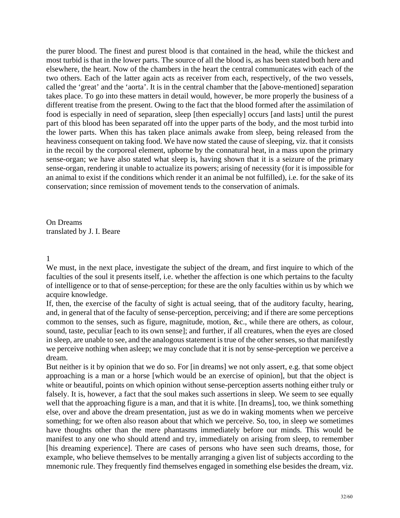the purer blood. The finest and purest blood is that contained in the head, while the thickest and most turbid is that in the lower parts. The source of all the blood is, as has been stated both here and elsewhere, the heart. Now of the chambers in the heart the central communicates with each of the two others. Each of the latter again acts as receiver from each, respectively, of the two vessels, called the 'great' and the 'aorta'. It is in the central chamber that the [above-mentioned] separation takes place. To go into these matters in detail would, however, be more properly the business of a different treatise from the present. Owing to the fact that the blood formed after the assimilation of food is especially in need of separation, sleep [then especially] occurs [and lasts] until the purest part of this blood has been separated off into the upper parts of the body, and the most turbid into the lower parts. When this has taken place animals awake from sleep, being released from the heaviness consequent on taking food. We have now stated the cause of sleeping, viz. that it consists in the recoil by the corporeal element, upborne by the connatural heat, in a mass upon the primary sense-organ; we have also stated what sleep is, having shown that it is a seizure of the primary sense-organ, rendering it unable to actualize its powers; arising of necessity (for it is impossible for an animal to exist if the conditions which render it an animal be not fulfilled), i.e. for the sake of its conservation; since remission of movement tends to the conservation of animals.

On Dreams translated by J. I. Beare

1

We must, in the next place, investigate the subject of the dream, and first inquire to which of the faculties of the soul it presents itself, i.e. whether the affection is one which pertains to the faculty of intelligence or to that of sense-perception; for these are the only faculties within us by which we acquire knowledge.

If, then, the exercise of the faculty of sight is actual seeing, that of the auditory faculty, hearing, and, in general that of the faculty of sense-perception, perceiving; and if there are some perceptions common to the senses, such as figure, magnitude, motion, &c., while there are others, as colour, sound, taste, peculiar [each to its own sense]; and further, if all creatures, when the eyes are closed in sleep, are unable to see, and the analogous statement is true of the other senses, so that manifestly we perceive nothing when asleep; we may conclude that it is not by sense-perception we perceive a dream.

manifest to any one who should attend and try, immediately on arising from sleep, to remember [his dreaming experience]. There are cases of persons who have seen such dreams, those, for example, who believe themselves to be mentally arranging a given list of subjects according to the mnemonic rule. They frequently find themselves engaged in something else besides the dream, viz. But neither is it by opinion that we do so. For [in dreams] we not only assert, e.g. that some object approaching is a man or a horse [which would be an exercise of opinion], but that the object is white or beautiful, points on which opinion without sense-perception asserts nothing either truly or falsely. It is, however, a fact that the soul makes such assertions in sleep. We seem to see equally well that the approaching figure is a man, and that it is white. [In dreams], too, we think something else, over and above the dream presentation, just as we do in waking moments when we perceive something; for we often also reason about that which we perceive. So, too, in sleep we sometimes have thoughts other than the mere phantasms immediately before our minds. This would be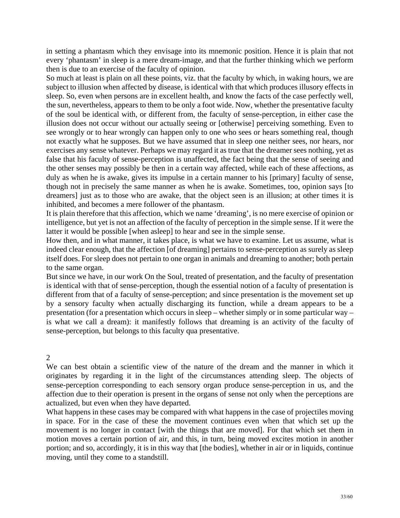in setting a phantasm which they envisage into its mnemonic position. Hence it is plain that not every 'phantasm' in sleep is a mere dream-image, and that the further thinking which we perform then is due to an exercise of the faculty of opinion.

So much at least is plain on all these points, viz. that the faculty by which, in waking hours, we are subject to illusion when affected by disease, is identical with that which produces illusory effects in illusion does not occur without our actually seeing or [otherwise] perceiving something. Even to though not in precisely the same manner as when he is awake. Sometimes, too, opinion says [to sleep. So, even when persons are in excellent health, and know the facts of the case perfectly well, the sun, nevertheless, appears to them to be only a foot wide. Now, whether the presentative faculty of the soul be identical with, or different from, the faculty of sense-perception, in either case the see wrongly or to hear wrongly can happen only to one who sees or hears something real, though not exactly what he supposes. But we have assumed that in sleep one neither sees, nor hears, nor exercises any sense whatever. Perhaps we may regard it as true that the dreamer sees nothing, yet as false that his faculty of sense-perception is unaffected, the fact being that the sense of seeing and the other senses may possibly be then in a certain way affected, while each of these affections, as duly as when he is awake, gives its impulse in a certain manner to his [primary] faculty of sense, dreamers] just as to those who are awake, that the object seen is an illusion; at other times it is inhibited, and becomes a mere follower of the phantasm.

It is plain therefore that this affection, which we name 'dreaming', is no mere exercise of opinion or intelligence, but yet is not an affection of the faculty of perception in the simple sense. If it were the latter it would be possible [when asleep] to hear and see in the simple sense.

How then, and in what manner, it takes place, is what we have to examine. Let us assume, what is indeed clear enough, that the affection [of dreaming] pertains to sense-perception as surely as sleep itself does. For sleep does not pertain to one organ in animals and dreaming to another; both pertain to the same organ.

is what we call a dream): it manifestly follows that dreaming is an activity of the faculty of But since we have, in our work On the Soul, treated of presentation, and the faculty of presentation is identical with that of sense-perception, though the essential notion of a faculty of presentation is different from that of a faculty of sense-perception; and since presentation is the movement set up by a sensory faculty when actually discharging its function, while a dream appears to be a presentation (for a presentation which occurs in sleep – whether simply or in some particular way – sense-perception, but belongs to this faculty qua presentative.

 $\mathcal{D}_{\mathcal{L}}$ 

We can best obtain a scientific view of the nature of the dream and the manner in which it originates by regarding it in the light of the circumstances attending sleep. The objects of sense-perception corresponding to each sensory organ produce sense-perception in us, and the affection due to their operation is present in the organs of sense not only when the perceptions are actualized, but even when they have departed.

What happens in these cases may be compared with what happens in the case of projectiles moving in space. For in the case of these the movement continues even when that which set up the movement is no longer in contact [with the things that are moved]. For that which set them in motion moves a certain portion of air, and this, in turn, being moved excites motion in another portion; and so, accordingly, it is in this way that [the bodies], whether in air or in liquids, continue moving, until they come to a standstill.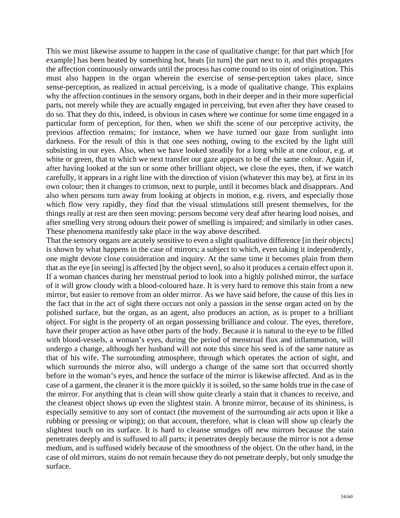This we must likewise assume to happen in the case of qualitative change; for that part which [for example] has been heated by something hot, heats [in turn] the part next to it, and this propagates the affection continuously onwards until the process has come round to its oint of origination. This parts, not merely while they are actually engaged in perceiving, but even after they have ceased to after having looked at the sun or some other brilliant object, we close the eyes, then, if we watch carefully, it appears in a right line with the direction of vision (whatever this may be), at first in its own colour; then it changes to crimson, next to purple, until it becomes black and disappears. And also when persons turn away from looking at objects in motion, e.g. rivers, and especially those must also happen in the organ wherein the exercise of sense-perception takes place, since sense-perception, as realized in actual perceiving, is a mode of qualitative change. This explains why the affection continues in the sensory organs, both in their deeper and in their more superficial do so. That they do this, indeed, is obvious in cases where we continue for some time engaged in a particular form of perception, for then, when we shift the scene of our perceptive activity, the previous affection remains; for instance, when we have turned our gaze from sunlight into darkness. For the result of this is that one sees nothing, owing to the excited by the light still subsisting in our eyes. Also, when we have looked steadily for a long while at one colour, e.g. at white or green, that to which we next transfer our gaze appears to be of the same colour. Again if, which flow very rapidly, they find that the visual stimulations still present themselves, for the things really at rest are then seen moving: persons become very deaf after hearing loud noises, and after smelling very strong odours their power of smelling is impaired; and similarly in other cases. These phenomena manifestly take place in the way above described.

That the sensory organs are acutely sensitive to even a slight qualitative difference [in their objects] mirror, but easier to remove from an older mirror. As we have said before, the cause of this lies in is shown by what happens in the case of mirrors; a subject to which, even taking it independently, one might devote close consideration and inquiry. At the same time it becomes plain from them that as the eye [in seeing] is affected [by the object seen], so also it produces a certain effect upon it. If a woman chances during her menstrual period to look into a highly polished mirror, the surface of it will grow cloudy with a blood-coloured haze. It is very hard to remove this stain from a new the fact that in the act of sight there occurs not only a passion in the sense organ acted on by the polished surface, but the organ, as an agent, also produces an action, as is proper to a brilliant object. For sight is the property of an organ possessing brilliance and colour. The eyes, therefore, have their proper action as have other parts of the body. Because it is natural to the eye to be filled with blood-vessels, a woman's eyes, during the period of menstrual flux and inflammation, will undergo a change, although her husband will not note this since his seed is of the same nature as that of his wife. The surrounding atmosphere, through which operates the action of sight, and which surrounds the mirror also, will undergo a change of the same sort that occurred shortly before in the woman's eyes, and hence the surface of the mirror is likewise affected. And as in the case of a garment, the cleaner it is the more quickly it is soiled, so the same holds true in the case of the mirror. For anything that is clean will show quite clearly a stain that it chances to receive, and the cleanest object shows up even the slightest stain. A bronze mirror, because of its shininess, is especially sensitive to any sort of contact (the movement of the surrounding air acts upon it like a rubbing or pressing or wiping); on that account, therefore, what is clean will show up clearly the slightest touch on its surface. It is hard to cleanse smudges off new mirrors because the stain penetrates deeply and is suffused to all parts; it penetrates deeply because the mirror is not a dense medium, and is suffused widely because of the smoothness of the object. On the other hand, in the case of old mirrors, stains do not remain because they do not penetrate deeply, but only smudge the surface.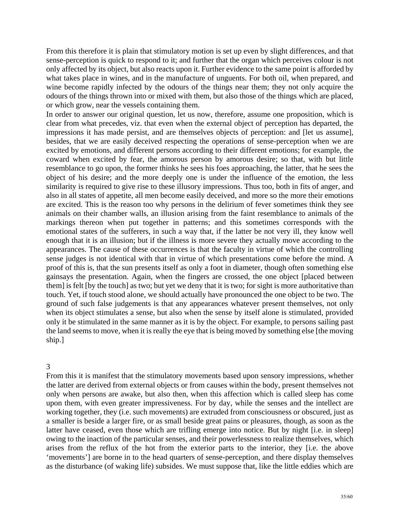From this therefore it is plain that stimulatory motion is set up even by slight differences, and that sense-perception is quick to respond to it; and further that the organ which perceives colour is not only affected by its object, but also reacts upon it. Further evidence to the same point is afforded by what takes place in wines, and in the manufacture of unguents. For both oil, when prepared, and wine become rapidly infected by the odours of the things near them; they not only acquire the odours of the things thrown into or mixed with them, but also those of the things which are placed, or which grow, near the vessels containing them.

ground of such false judgements is that any appearances whatever present themselves, not only In order to answer our original question, let us now, therefore, assume one proposition, which is clear from what precedes, viz. that even when the external object of perception has departed, the impressions it has made persist, and are themselves objects of perception: and [let us assume], besides, that we are easily deceived respecting the operations of sense-perception when we are excited by emotions, and different persons according to their different emotions; for example, the coward when excited by fear, the amorous person by amorous desire; so that, with but little resemblance to go upon, the former thinks he sees his foes approaching, the latter, that he sees the object of his desire; and the more deeply one is under the influence of the emotion, the less similarity is required to give rise to these illusory impressions. Thus too, both in fits of anger, and also in all states of appetite, all men become easily deceived, and more so the more their emotions are excited. This is the reason too why persons in the delirium of fever sometimes think they see animals on their chamber walls, an illusion arising from the faint resemblance to animals of the markings thereon when put together in patterns; and this sometimes corresponds with the emotional states of the sufferers, in such a way that, if the latter be not very ill, they know well enough that it is an illusion; but if the illness is more severe they actually move according to the appearances. The cause of these occurrences is that the faculty in virtue of which the controlling sense judges is not identical with that in virtue of which presentations come before the mind. A proof of this is, that the sun presents itself as only a foot in diameter, though often something else gainsays the presentation. Again, when the fingers are crossed, the one object [placed between them] is felt [by the touch] as two; but yet we deny that it is two; for sight is more authoritative than touch. Yet, if touch stood alone, we should actually have pronounced the one object to be two. The when its object stimulates a sense, but also when the sense by itself alone is stimulated, provided only it be stimulated in the same manner as it is by the object. For example, to persons sailing past the land seems to move, when it is really the eye that is being moved by something else [the moving ship.]

3

From this it is manifest that the stimulatory movements based upon sensory impressions, whether the latter are derived from external objects or from causes within the body, present themselves not only when persons are awake, but also then, when this affection which is called sleep has come upon them, with even greater impressiveness. For by day, while the senses and the intellect are working together, they (i.e. such movements) are extruded from consciousness or obscured, just as a smaller is beside a larger fire, or as small beside great pains or pleasures, though, as soon as the latter have ceased, even those which are trifling emerge into notice. But by night [i.e. in sleep] owing to the inaction of the particular senses, and their powerlessness to realize themselves, which arises from the reflux of the hot from the exterior parts to the interior, they [i.e. the above 'movements'] are borne in to the head quarters of sense-perception, and there display themselves as the disturbance (of waking life) subsides. We must suppose that, like the little eddies which are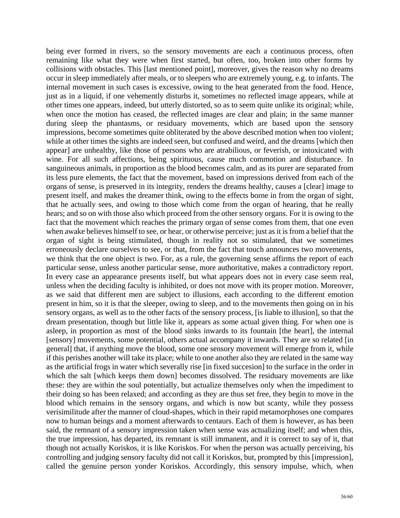being ever formed in rivers, so the sensory movements are each a continuous process, often remaining like what they were when first started, but often, too, broken into other forms by collisions with obstacles. This [last mentioned point], moreover, gives the reason why no dreams occur in sleep immediately after meals, or to sleepers who are extremely young, e.g. to infants. The internal movement in such cases is excessive, owing to the heat generated from the food. Hence, just as in a liquid, if one vehemently disturbs it, sometimes no reflected image appears, while at other times one appears, indeed, but utterly distorted, so as to seem quite unlike its original; while, when once the motion has ceased, the reflected images are clear and plain; in the same manner during sleep the phantasms, or residuary movements, which are based upon the sensory impressions, become sometimes quite obliterated by the above described motion when too violent; while at other times the sights are indeed seen, but confused and weird, and the dreams [which then appear] are unhealthy, like those of persons who are atrabilious, or feverish, or intoxicated with wine. For all such affections, being spirituous, cause much commotion and disturbance. In sanguineous animals, in proportion as the blood becomes calm, and as its purer are separated from its less pure elements, the fact that the movement, based on impressions derived from each of the organs of sense, is preserved in its integrity, renders the dreams healthy, causes a [clear] image to present itself, and makes the dreamer think, owing to the effects borne in from the organ of sight, that he actually sees, and owing to those which come from the organ of hearing, that he really hears; and so on with those also which proceed from the other sensory organs. For it is owing to the fact that the movement which reaches the primary organ of sense comes from them, that one even when awake believes himself to see, or hear, or otherwise perceive; just as it is from a belief that the organ of sight is being stimulated, though in reality not so stimulated, that we sometimes erroneously declare ourselves to see, or that, from the fact that touch announces two movements, we think that the one object is two. For, as a rule, the governing sense affirms the report of each particular sense, unless another particular sense, more authoritative, makes a contradictory report. In every case an appearance presents itself, but what appears does not in every case seem real, unless when the deciding faculty is inhibited, or does not move with its proper motion. Moreover, as we said that different men are subject to illusions, each according to the different emotion present in him, so it is that the sleeper, owing to sleep, and to the movements then going on in his sensory organs, as well as to the other facts of the sensory process, [is liable to illusion], so that the dream presentation, though but little like it, appears as some actual given thing. For when one is asleep, in proportion as most of the blood sinks inwards to its fountain [the heart], the internal [sensory] movements, some potential, others actual accompany it inwards. They are so related [in] general] that, if anything move the blood, some one sensory movement will emerge from it, while if this perishes another will take its place; while to one another also they are related in the same way as the artificial frogs in water which severally rise [in fixed succesion] to the surface in the order in which the salt [which keeps them down] becomes dissolved. The residuary movements are like these: they are within the soul potentially, but actualize themselves only when the impediment to their doing so has been relaxed; and according as they are thus set free, they begin to move in the blood which remains in the sensory organs, and which is now but scanty, while they possess verisimilitude after the manner of cloud-shapes, which in their rapid metamorphoses one compares now to human beings and a moment afterwards to centaurs. Each of them is however, as has been said, the remnant of a sensory impression taken when sense was actualizing itself; and when this, the true impression, has departed, its remnant is still immanent, and it is correct to say of it, that though not actually Koriskos, it is like Koriskos. For when the person was actually perceiving, his controlling and judging sensory faculty did not call it Koriskos, but, prompted by this [impression], called the genuine person yonder Koriskos. Accordingly, this sensory impulse, which, when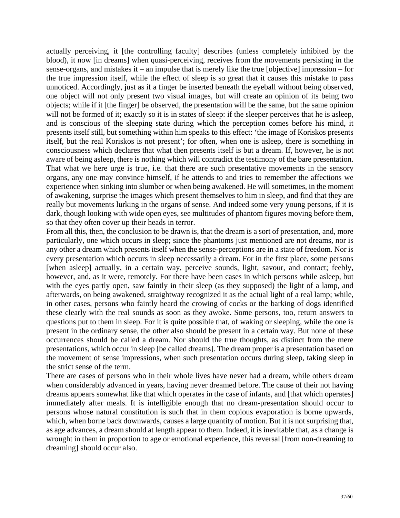actually perceiving, it [the controlling faculty] describes (unless completely inhibited by the blood), it now [in dreams] when quasi-perceiving, receives from the movements persisting in the sense-organs, and mistakes it – an impulse that is merely like the true [objective] impression – for the true impression itself, while the effect of sleep is so great that it causes this mistake to pass unnoticed. Accordingly, just as if a finger be inserted beneath the eyeball without being observed, one object will not only present two visual images, but will create an opinion of its being two objects; while if it [the finger] be observed, the presentation will be the same, but the same opinion will not be formed of it; exactly so it is in states of sleep: if the sleeper perceives that he is asleep, and is conscious of the sleeping state during which the perception comes before his mind, it presents itself still, but something within him speaks to this effect: 'the image of Koriskos presents itself, but the real Koriskos is not present'; for often, when one is asleep, there is something in consciousness which declares that what then presents itself is but a dream. If, however, he is not aware of being asleep, there is nothing which will contradict the testimony of the bare presentation. That what we here urge is true, i.e. that there are such presentative movements in the sensory organs, any one may convince himself, if he attends to and tries to remember the affections we experience when sinking into slumber or when being awakened. He will sometimes, in the moment of awakening, surprise the images which present themselves to him in sleep, and find that they are really but movements lurking in the organs of sense. And indeed some very young persons, if it is dark, though looking with wide open eyes, see multitudes of phantom figures moving before them, so that they often cover up their heads in terror.

From all this, then, the conclusion to be drawn is, that the dream is a sort of presentation, and, more particularly, one which occurs in sleep; since the phantoms just mentioned are not dreams, nor is any other a dream which presents itself when the sense-perceptions are in a state of freedom. Nor is every presentation which occurs in sleep necessarily a dream. For in the first place, some persons [when asleep] actually, in a certain way, perceive sounds, light, savour, and contact; feebly, however, and, as it were, remotely. For there have been cases in which persons while asleep, but with the eyes partly open, saw faintly in their sleep (as they supposed) the light of a lamp, and afterwards, on being awakened, straightway recognized it as the actual light of a real lamp; while, in other cases, persons who faintly heard the crowing of cocks or the barking of dogs identified these clearly with the real sounds as soon as they awoke. Some persons, too, return answers to questions put to them in sleep. For it is quite possible that, of waking or sleeping, while the one is present in the ordinary sense, the other also should be present in a certain way. But none of these occurrences should be called a dream. Nor should the true thoughts, as distinct from the mere presentations, which occur in sleep [be called dreams]. The dream proper is a presentation based on the movement of sense impressions, when such presentation occurs during sleep, taking sleep in the strict sense of the term.

There are cases of persons who in their whole lives have never had a dream, while others dream when considerably advanced in years, having never dreamed before. The cause of their not having dreams appears somewhat like that which operates in the case of infants, and [that which operates] immediately after meals. It is intelligible enough that no dream-presentation should occur to persons whose natural constitution is such that in them copious evaporation is borne upwards, which, when borne back downwards, causes a large quantity of motion. But it is not surprising that, as age advances, a dream should at length appear to them. Indeed, it is inevitable that, as a change is wrought in them in proportion to age or emotional experience, this reversal [from non-dreaming to dreaming] should occur also.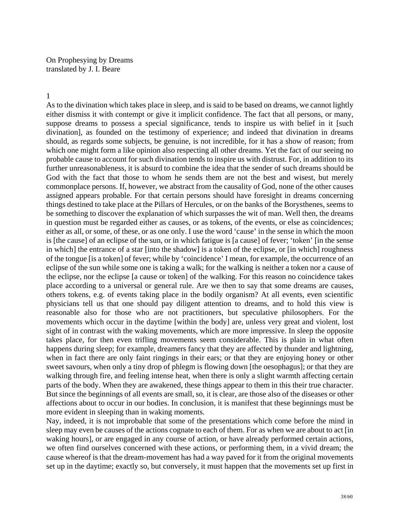On Prophesying by Dreams translated by J. I. Beare

#### 1

As to the divination which takes place in sleep, and is said to be based on dreams, we cannot lightly either dismiss it with contempt or give it implicit confidence. The fact that all persons, or many, suppose dreams to possess a special significance, tends to inspire us with belief in it [such] divination], as founded on the testimony of experience; and indeed that divination in dreams should, as regards some subjects, be genuine, is not incredible, for it has a show of reason; from which one might form a like opinion also respecting all other dreams. Yet the fact of our seeing no probable cause to account for such divination tends to inspire us with distrust. For, in addition to its further unreasonableness, it is absurd to combine the idea that the sender of such dreams should be God with the fact that those to whom he sends them are not the best and wisest, but merely commonplace persons. If, however, we abstract from the causality of God, none of the other causes assigned appears probable. For that certain persons should have foresight in dreams concerning things destined to take place at the Pillars of Hercules, or on the banks of the Borysthenes, seems to be something to discover the explanation of which surpasses the wit of man. Well then, the dreams in question must be regarded either as causes, or as tokens, of the events, or else as coincidences; physicians tell us that one should pay diligent attention to dreams, and to hold this view is reasonable also for those who are not practitioners, but speculative philosophers. For the movements which occur in the daytime [within the body] are, unless very great and violent, lost sight of in contrast with the waking movements, which are more impressive. In sleep the opposite takes place, for then even trifling movements seem considerable. This is plain in what often happens during sleep; for example, dreamers fancy that they are affected by thunder and lightning, when in fact there are only faint ringings in their ears; or that they are enjoying honey or other sweet savours, when only a tiny drop of phlegm is flowing down [the oesophagus]; or that they are walking through fire, and feeling intense heat, when there is only a slight warmth affecting certain either as all, or some, of these, or as one only. I use the word 'cause' in the sense in which the moon is [the cause] of an eclipse of the sun, or in which fatigue is [a cause] of fever; 'token' [in the sense in which] the entrance of a star [into the shadow] is a token of the eclipse, or [in which] roughness of the tongue [is a token] of fever; while by 'coincidence' I mean, for example, the occurrence of an eclipse of the sun while some one is taking a walk; for the walking is neither a token nor a cause of the eclipse, nor the eclipse [a cause or token] of the walking. For this reason no coincidence takes place according to a universal or general rule. Are we then to say that some dreams are causes, others tokens, e.g. of events taking place in the bodily organism? At all events, even scientific parts of the body. When they are awakened, these things appear to them in this their true character. But since the beginnings of all events are small, so, it is clear, are those also of the diseases or other affections about to occur in our bodies. In conclusion, it is manifest that these beginnings must be more evident in sleeping than in waking moments.

Nay, indeed, it is not improbable that some of the presentations which come before the mind in sleep may even be causes of the actions cognate to each of them. For as when we are about to act [in waking hours], or are engaged in any course of action, or have already performed certain actions, we often find ourselves concerned with these actions, or performing them, in a vivid dream; the cause whereof is that the dream-movement has had a way paved for it from the original movements set up in the daytime; exactly so, but conversely, it must happen that the movements set up first in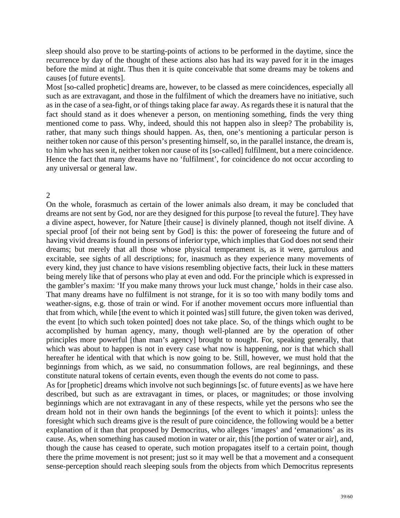sleep should also prove to be starting-points of actions to be performed in the daytime, since the recurrence by day of the thought of these actions also has had its way paved for it in the images before the mind at night. Thus then it is quite conceivable that some dreams may be tokens and causes [of future events].

Most [so-called prophetic] dreams are, however, to be classed as mere coincidences, especially all such as are extravagant, and those in the fulfilment of which the dreamers have no initiative, such as in the case of a sea-fight, or of things taking place far away. As regards these it is natural that the fact should stand as it does whenever a person, on mentioning something, finds the very thing mentioned come to pass. Why, indeed, should this not happen also in sleep? The probability is, rather, that many such things should happen. As, then, one's mentioning a particular person is neither token nor cause of this person's presenting himself, so, in the parallel instance, the dream is, to him who has seen it, neither token nor cause of its [so-called] fulfilment, but a mere coincidence. Hence the fact that many dreams have no 'fulfilment', for coincidence do not occur according to any universal or general law.

2

On the whole, forasmuch as certain of the lower animals also dream, it may be concluded that dreams are not sent by God, nor are they designed for this purpose [to reveal the future]. They have a divine aspect, however, for Nature [their cause] is divinely planned, though not itself divine. A special proof [of their not being sent by God] is this: the power of foreseeing the future and of having vivid dreams is found in persons of inferior type, which implies that God does not send their dreams; but merely that all those whose physical temperament is, as it were, garrulous and excitable, see sights of all descriptions; for, inasmuch as they experience many movements of every kind, they just chance to have visions resembling objective facts, their luck in these matters being merely like that of persons who play at even and odd. For the principle which is expressed in beginnings from which, as we said, no consummation follows, are real beginnings, and these the gambler's maxim: 'If you make many throws your luck must change,' holds in their case also. That many dreams have no fulfilment is not strange, for it is so too with many bodily toms and weather-signs, e.g. those of train or wind. For if another movement occurs more influential than that from which, while [the event to which it pointed was] still future, the given token was derived, the event [to which such token pointed] does not take place. So, of the things which ought to be accomplished by human agency, many, though well-planned are by the operation of other principles more powerful [than man's agency] brought to nought. For, speaking generally, that which was about to happen is not in every case what now is happening, nor is that which shall hereafter he identical with that which is now going to be. Still, however, we must hold that the constitute natural tokens of certain events, even though the events do not come to pass.

there the prime movement is not present; just so it may well be that a movement and a consequent sense-perception should reach sleeping souls from the objects from which Democritus represents As for [prophetic] dreams which involve not such beginnings [sc. of future events] as we have here described, but such as are extravagant in times, or places, or magnitudes; or those involving beginnings which are not extravagant in any of these respects, while yet the persons who see the dream hold not in their own hands the beginnings [of the event to which it points]: unless the foresight which such dreams give is the result of pure coincidence, the following would be a better explanation of it than that proposed by Democritus, who alleges 'images' and 'emanations' as its cause. As, when something has caused motion in water or air, this [the portion of water or air], and, though the cause has ceased to operate, such motion propagates itself to a certain point, though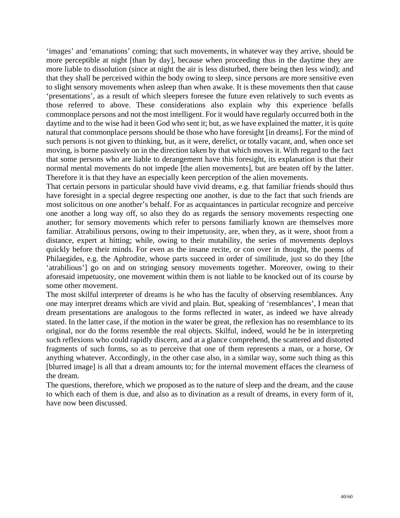'images' and 'emanations' coming; that such movements, in whatever way they arrive, should be more perceptible at night [than by day], because when proceeding thus in the daytime they are that some persons who are liable to derangement have this foresight, its explanation is that their more liable to dissolution (since at night the air is less disturbed, there being then less wind); and that they shall be perceived within the body owing to sleep, since persons are more sensitive even to slight sensory movements when asleep than when awake. It is these movements then that cause 'presentations', as a result of which sleepers foresee the future even relatively to such events as those referred to above. These considerations also explain why this experience befalls commonplace persons and not the most intelligent. For it would have regularly occurred both in the daytime and to the wise had it been God who sent it; but, as we have explained the matter, it is quite natural that commonplace persons should be those who have foresight [in dreams]. For the mind of such persons is not given to thinking, but, as it were, derelict, or totally vacant, and, when once set moving, is borne passively on in the direction taken by that which moves it. With regard to the fact normal mental movements do not impede [the alien movements], but are beaten off by the latter. Therefore it is that they have an especially keen perception of the alien movements.

quickly before their minds. For even as the insane recite, or con over in thought, the poems of That certain persons in particular should have vivid dreams, e.g. that familiar friends should thus have foresight in a special degree respecting one another, is due to the fact that such friends are most solicitous on one another's behalf. For as acquaintances in particular recognize and perceive one another a long way off, so also they do as regards the sensory movements respecting one another; for sensory movements which refer to persons familiarly known are themselves more familiar. Atrabilious persons, owing to their impetuosity, are, when they, as it were, shoot from a distance, expert at hitting; while, owing to their mutability, the series of movements deploys Philaegides, e.g. the Aphrodite, whose parts succeed in order of similitude, just so do they [the 'atrabilious'] go on and on stringing sensory movements together. Moreover, owing to their aforesaid impetuosity, one movement within them is not liable to be knocked out of its course by some other movement.

The most skilful interpreter of dreams is he who has the faculty of observing resemblances. Any one may interpret dreams which are vivid and plain. But, speaking of 'resemblances', I mean that dream presentations are analogous to the forms reflected in water, as indeed we have already stated. In the latter case, if the motion in the water be great, the reflexion has no resemblance to its original, nor do the forms resemble the real objects. Skilful, indeed, would he be in interpreting such reflexions who could rapidly discern, and at a glance comprehend, the scattered and distorted fragments of such forms, so as to perceive that one of them represents a man, or a horse, Or anything whatever. Accordingly, in the other case also, in a similar way, some such thing as this [blurred image] is all that a dream amounts to; for the internal movement effaces the clearness of the dream.

The questions, therefore, which we proposed as to the nature of sleep and the dream, and the cause to which each of them is due, and also as to divination as a result of dreams, in every form of it, have now been discussed.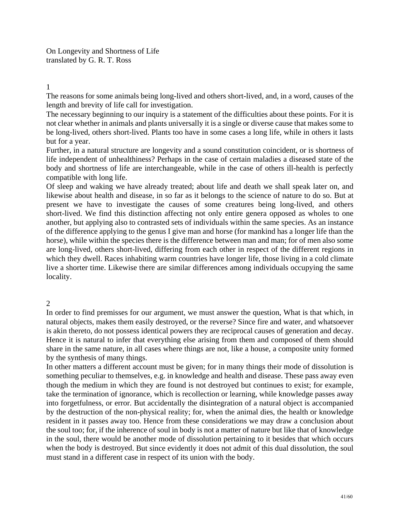On Longevity and Shortness of Life translated by G. R. T. Ross

## 1

The reasons for some animals being long-lived and others short-lived, and, in a word, causes of the length and brevity of life call for investigation.

The necessary beginning to our inquiry is a statement of the difficulties about these points. For it is not clear whether in animals and plants universally it is a single or diverse cause that makes some to be long-lived, others short-lived. Plants too have in some cases a long life, while in others it lasts but for a year.

Further, in a natural structure are longevity and a sound constitution coincident, or is shortness of life independent of unhealthiness? Perhaps in the case of certain maladies a diseased state of the body and shortness of life are interchangeable, while in the case of others ill-health is perfectly compatible with long life.

which they dwell. Races inhabiting warm countries have longer life, those living in a cold climate Of sleep and waking we have already treated; about life and death we shall speak later on, and likewise about health and disease, in so far as it belongs to the science of nature to do so. But at present we have to investigate the causes of some creatures being long-lived, and others short-lived. We find this distinction affecting not only entire genera opposed as wholes to one another, but applying also to contrasted sets of individuals within the same species. As an instance of the difference applying to the genus I give man and horse (for mankind has a longer life than the horse), while within the species there is the difference between man and man; for of men also some are long-lived, others short-lived, differing from each other in respect of the different regions in live a shorter time. Likewise there are similar differences among individuals occupying the same locality.

## $\mathfrak{D}$

In order to find premisses for our argument, we must answer the question, What is that which, in natural objects, makes them easily destroyed, or the reverse? Since fire and water, and whatsoever is akin thereto, do not possess identical powers they are reciprocal causes of generation and decay. Hence it is natural to infer that everything else arising from them and composed of them should share in the same nature, in all cases where things are not, like a house, a composite unity formed by the synthesis of many things.

something peculiar to themselves, e.g. in knowledge and health and disease. These pass away even by the destruction of the non-physical reality; for, when the animal dies, the health or knowledge when the body is destroyed. But since evidently it does not admit of this dual dissolution, the soul In other matters a different account must be given; for in many things their mode of dissolution is though the medium in which they are found is not destroyed but continues to exist; for example, take the termination of ignorance, which is recollection or learning, while knowledge passes away into forgetfulness, or error. But accidentally the disintegration of a natural object is accompanied resident in it passes away too. Hence from these considerations we may draw a conclusion about the soul too; for, if the inherence of soul in body is not a matter of nature but like that of knowledge in the soul, there would be another mode of dissolution pertaining to it besides that which occurs must stand in a different case in respect of its union with the body.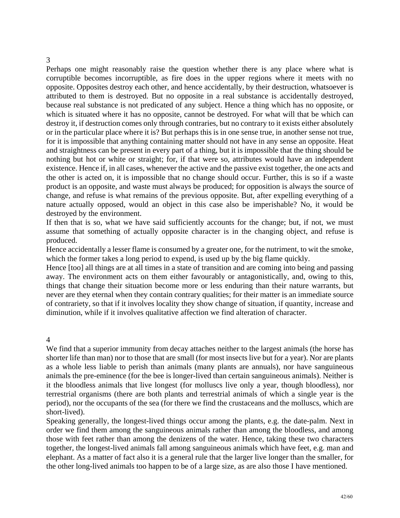#### 3

Perhaps one might reasonably raise the question whether there is any place where what is corruptible becomes incorruptible, as fire does in the upper regions where it meets with no opposite. Opposites destroy each other, and hence accidentally, by their destruction, whatsoever is attributed to them is destroyed. But no opposite in a real substance is accidentally destroyed, because real substance is not predicated of any subject. Hence a thing which has no opposite, or which is situated where it has no opposite, cannot be destroyed. For what will that be which can destroy it, if destruction comes only through contraries, but no contrary to it exists either absolutely or in the particular place where it is? But perhaps this is in one sense true, in another sense not true, for it is impossible that anything containing matter should not have in any sense an opposite. Heat and straightness can be present in every part of a thing, but it is impossible that the thing should be nature actually opposed, would an object in this case also be imperishable? No, it would be nothing but hot or white or straight; for, if that were so, attributes would have an independent existence. Hence if, in all cases, whenever the active and the passive exist together, the one acts and the other is acted on, it is impossible that no change should occur. Further, this is so if a waste product is an opposite, and waste must always be produced; for opposition is always the source of change, and refuse is what remains of the previous opposite. But, after expelling everything of a destroyed by the environment.

If then that is so, what we have said sufficiently accounts for the change; but, if not, we must assume that something of actually opposite character is in the changing object, and refuse is produced.

Hence accidentally a lesser flame is consumed by a greater one, for the nutriment, to wit the smoke, which the former takes a long period to expend, is used up by the big flame quickly.

diminution, while if it involves qualitative affection we find alteration of character. Hence [too] all things are at all times in a state of transition and are coming into being and passing away. The environment acts on them either favourably or antagonistically, and, owing to this, things that change their situation become more or less enduring than their nature warrants, but never are they eternal when they contain contrary qualities; for their matter is an immediate source of contrariety, so that if it involves locality they show change of situation, if quantity, increase and

4

We find that a superior immunity from decay attaches neither to the largest animals (the horse has shorter life than man) nor to those that are small (for most insects live but for a year). Nor are plants as a whole less liable to perish than animals (many plants are annuals), nor have sanguineous animals the pre-eminence (for the bee is longer-lived than certain sanguineous animals). Neither is it the bloodless animals that live longest (for molluscs live only a year, though bloodless), nor terrestrial organisms (there are both plants and terrestrial animals of which a single year is the period), nor the occupants of the sea (for there we find the crustaceans and the molluscs, which are short-lived).

Speaking generally, the longest-lived things occur among the plants, e.g. the date-palm. Next in order we find them among the sanguineous animals rather than among the bloodless, and among those with feet rather than among the denizens of the water. Hence, taking these two characters together, the longest-lived animals fall among sanguineous animals which have feet, e.g. man and elephant. As a matter of fact also it is a general rule that the larger live longer than the smaller, for the other long-lived animals too happen to be of a large size, as are also those I have mentioned.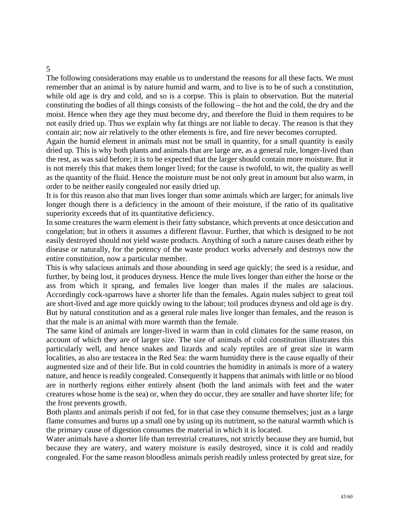#### 5

The following considerations may enable us to understand the reasons for all these facts. We must remember that an animal is by nature humid and warm, and to live is to be of such a constitution, constituting the bodies of all things consists of the following – the hot and the cold, the dry and the while old age is dry and cold, and so is a corpse. This is plain to observation. But the material moist. Hence when they age they must become dry, and therefore the fluid in them requires to be not easily dried up. Thus we explain why fat things are not liable to decay. The reason is that they contain air; now air relatively to the other elements is fire, and fire never becomes corrupted.

the rest, as was said before; it is to be expected that the larger should contain more moisture. But it is not merely this that makes them longer lived; for the cause is twofold, to wit, the quality as well as the quantity of the fluid. Hence the moisture must be not only great in amount but also warm, in order to be neither easily congealed nor easily dried up. Again the humid element in animals must not be small in quantity, for a small quantity is easily dried up. This is why both plants and animals that are large are, as a general rule, longer-lived than

It is for this reason also that man lives longer than some animals which are larger; for animals live longer though there is a deficiency in the amount of their moisture, if the ratio of its qualitative superiority exceeds that of its quantitative deficiency.

entire constitution, now a particular member. In some creatures the warm element is their fatty substance, which prevents at once desiccation and congelation; but in others it assumes a different flavour. Further, that which is designed to be not easily destroyed should not yield waste products. Anything of such a nature causes death either by disease or naturally, for the potency of the waste product works adversely and destroys now the

that the male is an animal with more warmth than the female. This is why salacious animals and those abounding in seed age quickly; the seed is a residue, and further, by being lost, it produces dryness. Hence the mule lives longer than either the horse or the ass from which it sprang, and females live longer than males if the males are salacious. Accordingly cock-sparrows have a shorter life than the females. Again males subject to great toil are short-lived and age more quickly owing to the labour; toil produces dryness and old age is dry. But by natural constitution and as a general rule males live longer than females, and the reason is

The same kind of animals are longer-lived in warm than in cold climates for the same reason, on account of which they are of larger size. The size of animals of cold constitution illustrates this particularly well, and hence snakes and lizards and scaly reptiles are of great size in warm localities, as also are testacea in the Red Sea: the warm humidity there is the cause equally of their augmented size and of their life. But in cold countries the humidity in animals is more of a watery nature, and hence is readily congealed. Consequently it happens that animals with little or no blood are in northerly regions either entirely absent (both the land animals with feet and the water creatures whose home is the sea) or, when they do occur, they are smaller and have shorter life; for the frost prevents growth.

flame consumes and burns up a small one by using up its nutriment, so the natural warmth which is Both plants and animals perish if not fed, for in that case they consume themselves; just as a large the primary cause of digestion consumes the material in which it is located.

Water animals have a shorter life than terrestrial creatures, not strictly because they are humid, but because they are watery, and watery moisture is easily destroyed, since it is cold and readily congealed. For the same reason bloodless animals perish readily unless protected by great size, for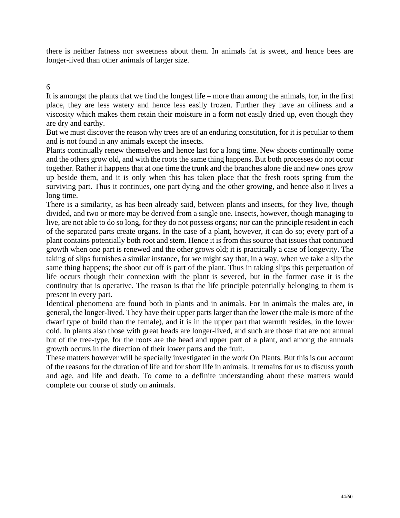there is neither fatness nor sweetness about them. In animals fat is sweet, and hence bees are longer-lived than other animals of larger size.

## 6

It is amongst the plants that we find the longest life – more than among the animals, for, in the first place, they are less watery and hence less easily frozen. Further they have an oiliness and a viscosity which makes them retain their moisture in a form not easily dried up, even though they are dry and earthy.

But we must discover the reason why trees are of an enduring constitution, for it is peculiar to them and is not found in any animals except the insects.

Plants continually renew themselves and hence last for a long time. New shoots continually come and the others grow old, and with the roots the same thing happens. But both processes do not occur together. Rather it happens that at one time the trunk and the branches alone die and new ones grow up beside them, and it is only when this has taken place that the fresh roots spring from the surviving part. Thus it continues, one part dying and the other growing, and hence also it lives a long time.

life occurs though their connexion with the plant is severed, but in the former case it is the There is a similarity, as has been already said, between plants and insects, for they live, though divided, and two or more may be derived from a single one. Insects, however, though managing to live, are not able to do so long, for they do not possess organs; nor can the principle resident in each of the separated parts create organs. In the case of a plant, however, it can do so; every part of a plant contains potentially both root and stem. Hence it is from this source that issues that continued growth when one part is renewed and the other grows old; it is practically a case of longevity. The taking of slips furnishes a similar instance, for we might say that, in a way, when we take a slip the same thing happens; the shoot cut off is part of the plant. Thus in taking slips this perpetuation of continuity that is operative. The reason is that the life principle potentially belonging to them is present in every part.

Identical phenomena are found both in plants and in animals. For in animals the males are, in growth occurs in the direction of their lower parts and the fruit. general, the longer-lived. They have their upper parts larger than the lower (the male is more of the dwarf type of build than the female), and it is in the upper part that warmth resides, in the lower cold. In plants also those with great heads are longer-lived, and such are those that are not annual but of the tree-type, for the roots are the head and upper part of a plant, and among the annuals

These matters however will be specially investigated in the work On Plants. But this is our account of the reasons for the duration of life and for short life in animals. It remains for us to discuss youth and age, and life and death. To come to a definite understanding about these matters would complete our course of study on animals.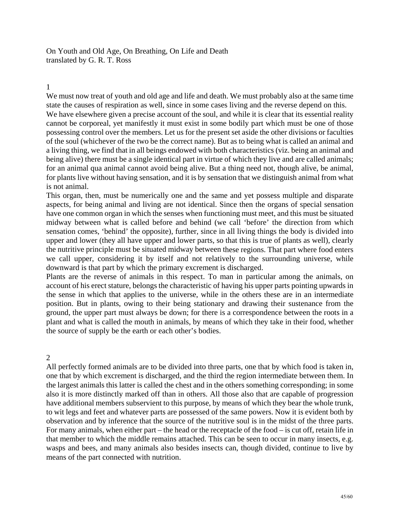# On Youth and Old Age, On Breathing, On Life and Death translated by G. R. T. Ross

## 1

being alive) there must be a single identical part in virtue of which they live and are called animals; We must now treat of youth and old age and life and death. We must probably also at the same time state the causes of respiration as well, since in some cases living and the reverse depend on this. We have elsewhere given a precise account of the soul, and while it is clear that its essential reality cannot be corporeal, yet manifestly it must exist in some bodily part which must be one of those possessing control over the members. Let us for the present set aside the other divisions or faculties of the soul (whichever of the two be the correct name). But as to being what is called an animal and a living thing, we find that in all beings endowed with both characteristics (viz. being an animal and for an animal qua animal cannot avoid being alive. But a thing need not, though alive, be animal, for plants live without having sensation, and it is by sensation that we distinguish animal from what is not animal.

have one common organ in which the senses when functioning must meet, and this must be situated the nutritive principle must be situated midway between these regions. That part where food enters we call upper, considering it by itself and not relatively to the surrounding universe, while downward is that part by which the primary excrement is discharged. This organ, then, must be numerically one and the same and yet possess multiple and disparate aspects, for being animal and living are not identical. Since then the organs of special sensation midway between what is called before and behind (we call 'before' the direction from which sensation comes, 'behind' the opposite), further, since in all living things the body is divided into upper and lower (they all have upper and lower parts, so that this is true of plants as well), clearly

Plants are the reverse of animals in this respect. To man in particular among the animals, on account of his erect stature, belongs the characteristic of having his upper parts pointing upwards in the sense in which that applies to the universe, while in the others these are in an intermediate position. But in plants, owing to their being stationary and drawing their sustenance from the ground, the upper part must always be down; for there is a correspondence between the roots in a plant and what is called the mouth in animals, by means of which they take in their food, whether the source of supply be the earth or each other's bodies.

# 2

For many animals, when either part – the head or the receptacle of the food – is cut off, retain life in All perfectly formed animals are to be divided into three parts, one that by which food is taken in, one that by which excrement is discharged, and the third the region intermediate between them. In the largest animals this latter is called the chest and in the others something corresponding; in some also it is more distinctly marked off than in others. All those also that are capable of progression have additional members subservient to this purpose, by means of which they bear the whole trunk, to wit legs and feet and whatever parts are possessed of the same powers. Now it is evident both by observation and by inference that the source of the nutritive soul is in the midst of the three parts. that member to which the middle remains attached. This can be seen to occur in many insects, e.g. wasps and bees, and many animals also besides insects can, though divided, continue to live by means of the part connected with nutrition.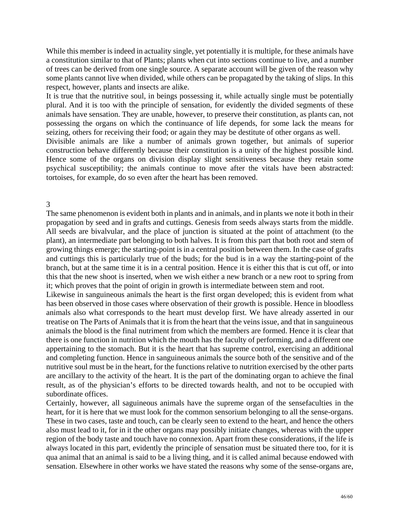While this member is indeed in actuality single, yet potentially it is multiple, for these animals have a constitution similar to that of Plants; plants when cut into sections continue to live, and a number of trees can be derived from one single source. A separate account will be given of the reason why some plants cannot live when divided, while others can be propagated by the taking of slips. In this respect, however, plants and insects are alike.

It is true that the nutritive soul, in beings possessing it, while actually single must be potentially plural. And it is too with the principle of sensation, for evidently the divided segments of these animals have sensation. They are unable, however, to preserve their constitution, as plants can, not possessing the organs on which the continuance of life depends, for some lack the means for seizing, others for receiving their food; or again they may be destitute of other organs as well.

Divisible animals are like a number of animals grown together, but animals of superior construction behave differently because their constitution is a unity of the highest possible kind. Hence some of the organs on division display slight sensitiveness because they retain some psychical susceptibility; the animals continue to move after the vitals have been abstracted: tortoises, for example, do so even after the heart has been removed.

## 3

this that the new shoot is inserted, when we wish either a new branch or a new root to spring from The same phenomenon is evident both in plants and in animals, and in plants we note it both in their propagation by seed and in grafts and cuttings. Genesis from seeds always starts from the middle. All seeds are bivalvular, and the place of junction is situated at the point of attachment (to the plant), an intermediate part belonging to both halves. It is from this part that both root and stem of growing things emerge; the starting-point is in a central position between them. In the case of grafts and cuttings this is particularly true of the buds; for the bud is in a way the starting-point of the branch, but at the same time it is in a central position. Hence it is either this that is cut off, or into it; which proves that the point of origin in growth is intermediate between stem and root.

treatise on The Parts of Animals that it is from the heart that the veins issue, and that in sanguineous nutritive soul must be in the heart, for the functions relative to nutrition exercised by the other parts Likewise in sanguineous animals the heart is the first organ developed; this is evident from what has been observed in those cases where observation of their growth is possible. Hence in bloodless animals also what corresponds to the heart must develop first. We have already asserted in our animals the blood is the final nutriment from which the members are formed. Hence it is clear that there is one function in nutrition which the mouth has the faculty of performing, and a different one appertaining to the stomach. But it is the heart that has supreme control, exercising an additional and completing function. Hence in sanguineous animals the source both of the sensitive and of the are ancillary to the activity of the heart. It is the part of the dominating organ to achieve the final result, as of the physician's efforts to be directed towards health, and not to be occupied with subordinate offices.

heart, for it is here that we must look for the common sensorium belonging to all the sense-organs. These in two cases, taste and touch, can be clearly seen to extend to the heart, and hence the others also must lead to it, for in it the other organs may possibly initiate changes, whereas with the upper region of the body taste and touch have no connexion. Apart from these considerations, if the life is Certainly, however, all saguineous animals have the supreme organ of the sensefaculties in the always located in this part, evidently the principle of sensation must be situated there too, for it is qua animal that an animal is said to be a living thing, and it is called animal because endowed with sensation. Elsewhere in other works we have stated the reasons why some of the sense-organs are,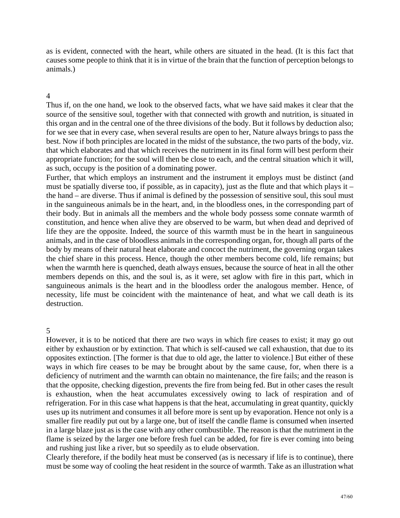as is evident, connected with the heart, while others are situated in the head. (It is this fact that causes some people to think that it is in virtue of the brain that the function of perception belongs to animals.)

#### 4

Thus if, on the one hand, we look to the observed facts, what we have said makes it clear that the source of the sensitive soul, together with that connected with growth and nutrition, is situated in this organ and in the central one of the three divisions of the body. But it follows by deduction also; for we see that in every case, when several results are open to her, Nature always brings to pass the best. Now if both principles are located in the midst of the substance, the two parts of the body, viz. that which elaborates and that which receives the nutriment in its final form will best perform their appropriate function; for the soul will then be close to each, and the central situation which it will, as such, occupy is the position of a dominating power.

their body. But in animals all the members and the whole body possess some connate warmth of Further, that which employs an instrument and the instrument it employs must be distinct (and must be spatially diverse too, if possible, as in capacity), just as the flute and that which plays it – the hand – are diverse. Thus if animal is defined by the possession of sensitive soul, this soul must in the sanguineous animals be in the heart, and, in the bloodless ones, in the corresponding part of constitution, and hence when alive they are observed to be warm, but when dead and deprived of life they are the opposite. Indeed, the source of this warmth must be in the heart in sanguineous animals, and in the case of bloodless animals in the corresponding organ, for, though all parts of the body by means of their natural heat elaborate and concoct the nutriment, the governing organ takes the chief share in this process. Hence, though the other members become cold, life remains; but when the warmth here is quenched, death always ensues, because the source of heat in all the other members depends on this, and the soul is, as it were, set aglow with fire in this part, which in sanguineous animals is the heart and in the bloodless order the analogous member. Hence, of necessity, life must be coincident with the maintenance of heat, and what we call death is its destruction.

# 5

However, it is to be noticed that there are two ways in which fire ceases to exist; it may go out uses up its nutriment and consumes it all before more is sent up by evaporation. Hence not only is a either by exhaustion or by extinction. That which is self-caused we call exhaustion, that due to its opposites extinction. [The former is that due to old age, the latter to violence.] But either of these ways in which fire ceases to be may be brought about by the same cause, for, when there is a deficiency of nutriment and the warmth can obtain no maintenance, the fire fails; and the reason is that the opposite, checking digestion, prevents the fire from being fed. But in other cases the result is exhaustion, when the heat accumulates excessively owing to lack of respiration and of refrigeration. For in this case what happens is that the heat, accumulating in great quantity, quickly smaller fire readily put out by a large one, but of itself the candle flame is consumed when inserted in a large blaze just as is the case with any other combustible. The reason is that the nutriment in the flame is seized by the larger one before fresh fuel can be added, for fire is ever coming into being and rushing just like a river, but so speedily as to elude observation.

Clearly therefore, if the bodily heat must be conserved (as is necessary if life is to continue), there must be some way of cooling the heat resident in the source of warmth. Take as an illustration what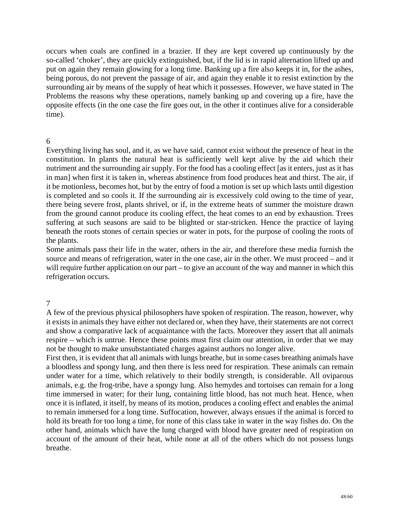occurs when coals are confined in a brazier. If they are kept covered up continuously by the so-called 'choker', they are quickly extinguished, but, if the lid is in rapid alternation lifted up and put on again they remain glowing for a long time. Banking up a fire also keeps it in, for the ashes, being porous, do not prevent the passage of air, and again they enable it to resist extinction by the surrounding air by means of the supply of heat which it possesses. However, we have stated in The Problems the reasons why these operations, namely banking up and covering up a fire, have the opposite effects (in the one case the fire goes out, in the other it continues alive for a considerable time).

## 6

Everything living has soul, and it, as we have said, cannot exist without the presence of heat in the constitution. In plants the natural heat is sufficiently well kept alive by the aid which their nutriment and the surrounding air supply. For the food has a cooling effect [as it enters, just as it has in man] when first it is taken in, whereas abstinence from food produces heat and thirst. The air, if it be motionless, becomes hot, but by the entry of food a motion is set up which lasts until digestion is completed and so cools it. If the surrounding air is excessively cold owing to the time of year, there being severe frost, plants shrivel, or if, in the extreme heats of summer the moisture drawn from the ground cannot produce its cooling effect, the heat comes to an end by exhaustion. Trees suffering at such seasons are said to be blighted or star-stricken. Hence the practice of laying beneath the roots stones of certain species or water in pots, for the purpose of cooling the roots of the plants.

will require further application on our part – to give an account of the way and manner in which this Some animals pass their life in the water, others in the air, and therefore these media furnish the source and means of refrigeration, water in the one case, air in the other. We must proceed – and it refrigeration occurs.

## 7

A few of the previous physical philosophers have spoken of respiration. The reason, however, why it exists in animals they have either not declared or, when they have, their statements are not correct and show a comparative lack of acquaintance with the facts. Moreover they assert that all animals respire – which is untrue. Hence these points must first claim our attention, in order that we may not be thought to make unsubstantiated charges against authors no longer alive.

First then, it is evident that all animals with lungs breathe, but in some cases breathing animals have a bloodless and spongy lung, and then there is less need for respiration. These animals can remain under water for a time, which relatively to their bodily strength, is considerable. All oviparous animals, e.g. the frog-tribe, have a spongy lung. Also hemydes and tortoises can remain for a long time immersed in water; for their lung, containing little blood, has not much heat. Hence, when once it is inflated, it itself, by means of its motion, produces a cooling effect and enables the animal to remain immersed for a long time. Suffocation, however, always ensues if the animal is forced to hold its breath for too long a time, for none of this class take in water in the way fishes do. On the other hand, animals which have the lung charged with blood have greater need of respiration on account of the amount of their heat, while none at all of the others which do not possess lungs breathe.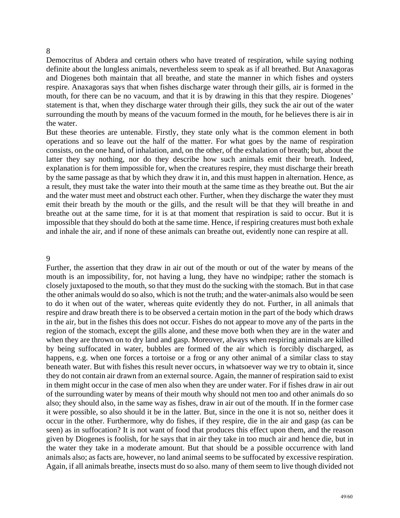#### 8

Democritus of Abdera and certain others who have treated of respiration, while saying nothing mouth, for there can be no vacuum, and that it is by drawing in this that they respire. Diogenes' statement is that, when they discharge water through their gills, they suck the air out of the water surrounding the mouth by means of the vacuum formed in the mouth, for he believes there is air in the water. definite about the lungless animals, nevertheless seem to speak as if all breathed. But Anaxagoras and Diogenes both maintain that all breathe, and state the manner in which fishes and oysters respire. Anaxagoras says that when fishes discharge water through their gills, air is formed in the

explanation is for them impossible for, when the creatures respire, they must discharge their breath But these theories are untenable. Firstly, they state only what is the common element in both operations and so leave out the half of the matter. For what goes by the name of respiration consists, on the one hand, of inhalation, and, on the other, of the exhalation of breath; but, about the latter they say nothing, nor do they describe how such animals emit their breath. Indeed, by the same passage as that by which they draw it in, and this must happen in alternation. Hence, as a result, they must take the water into their mouth at the same time as they breathe out. But the air and the water must meet and obstruct each other. Further, when they discharge the water they must emit their breath by the mouth or the gills, and the result will be that they will breathe in and breathe out at the same time, for it is at that moment that respiration is said to occur. But it is impossible that they should do both at the same time. Hence, if respiring creatures must both exhale and inhale the air, and if none of these animals can breathe out, evidently none can respire at all.

#### 9

Further, the assertion that they draw in air out of the mouth or out of the water by means of the mouth is an impossibility, for, not having a lung, they have no windpipe; rather the stomach is closely juxtaposed to the mouth, so that they must do the sucking with the stomach. But in that case the other animals would do so also, which is not the truth; and the water-animals also would be seen beneath water. But with fishes this result never occurs, in whatsoever way we try to obtain it, since to do it when out of the water, whereas quite evidently they do not. Further, in all animals that respire and draw breath there is to be observed a certain motion in the part of the body which draws in the air, but in the fishes this does not occur. Fishes do not appear to move any of the parts in the region of the stomach, except the gills alone, and these move both when they are in the water and when they are thrown on to dry land and gasp. Moreover, always when respiring animals are killed by being suffocated in water, bubbles are formed of the air which is forcibly discharged, as happens, e.g. when one forces a tortoise or a frog or any other animal of a similar class to stay they do not contain air drawn from an external source. Again, the manner of respiration said to exist in them might occur in the case of men also when they are under water. For if fishes draw in air out of the surrounding water by means of their mouth why should not men too and other animals do so also; they should also, in the same way as fishes, draw in air out of the mouth. If in the former case it were possible, so also should it be in the latter. But, since in the one it is not so, neither does it occur in the other. Furthermore, why do fishes, if they respire, die in the air and gasp (as can be seen) as in suffocation? It is not want of food that produces this effect upon them, and the reason given by Diogenes is foolish, for he says that in air they take in too much air and hence die, but in the water they take in a moderate amount. But that should be a possible occurrence with land animals also; as facts are, however, no land animal seems to be suffocated by excessive respiration. Again, if all animals breathe, insects must do so also. many of them seem to live though divided not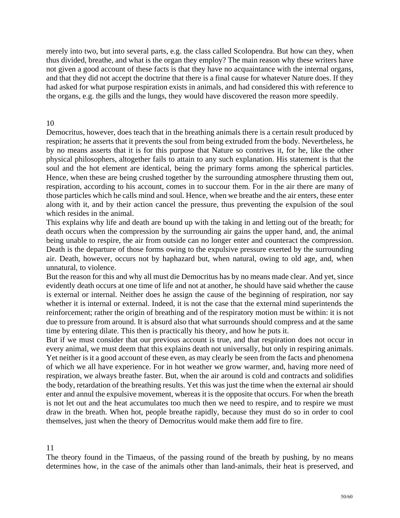merely into two, but into several parts, e.g. the class called Scolopendra. But how can they, when thus divided, breathe, and what is the organ they employ? The main reason why these writers have not given a good account of these facts is that they have no acquaintance with the internal organs, and that they did not accept the doctrine that there is a final cause for whatever Nature does. If they had asked for what purpose respiration exists in animals, and had considered this with reference to the organs, e.g. the gills and the lungs, they would have discovered the reason more speedily.

## 10

Democritus, however, does teach that in the breathing animals there is a certain result produced by respiration; he asserts that it prevents the soul from being extruded from the body. Nevertheless, he by no means asserts that it is for this purpose that Nature so contrives it, for he, like the other physical philosophers, altogether fails to attain to any such explanation. His statement is that the soul and the hot element are identical, being the primary forms among the spherical particles. Hence, when these are being crushed together by the surrounding atmosphere thrusting them out, respiration, according to his account, comes in to succour them. For in the air there are many of those particles which he calls mind and soul. Hence, when we breathe and the air enters, these enter along with it, and by their action cancel the pressure, thus preventing the expulsion of the soul which resides in the animal.

This explains why life and death are bound up with the taking in and letting out of the breath; for death occurs when the compression by the surrounding air gains the upper hand, and, the animal being unable to respire, the air from outside can no longer enter and counteract the compression. Death is the departure of those forms owing to the expulsive pressure exerted by the surrounding air. Death, however, occurs not by haphazard but, when natural, owing to old age, and, when unnatural, to violence.

But the reason for this and why all must die Democritus has by no means made clear. And yet, since evidently death occurs at one time of life and not at another, he should have said whether the cause is external or internal. Neither does he assign the cause of the beginning of respiration, nor say whether it is internal or external. Indeed, it is not the case that the external mind superintends the reinforcement; rather the origin of breathing and of the respiratory motion must be within: it is not due to pressure from around. It is absurd also that what surrounds should compress and at the same time by entering dilate. This then is practically his theory, and how he puts it.

Yet neither is it a good account of these even, as may clearly be seen from the facts and phenomena of which we all have experience. For in hot weather we grow warmer, and, having more need of respiration, we always breathe faster. But, when the air around is cold and contracts and solidifies the body, retardation of the breathing results. Yet this was just the time when the external air should But if we must consider that our previous account is true, and that respiration does not occur in every animal, we must deem that this explains death not universally, but only in respiring animals. enter and annul the expulsive movement, whereas it is the opposite that occurs. For when the breath is not let out and the heat accumulates too much then we need to respire, and to respire we must draw in the breath. When hot, people breathe rapidly, because they must do so in order to cool themselves, just when the theory of Democritus would make them add fire to fire.

## 11

determines how, in the case of the animals other than land-animals, their heat is preserved, and The theory found in the Timaeus, of the passing round of the breath by pushing, by no means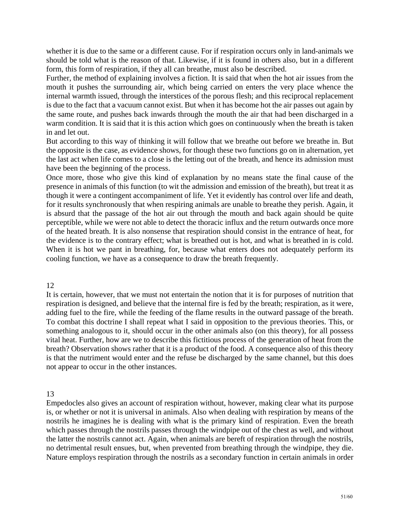whether it is due to the same or a different cause. For if respiration occurs only in land-animals we should be told what is the reason of that. Likewise, if it is found in others also, but in a different form, this form of respiration, if they all can breathe, must also be described.

the same route, and pushes back inwards through the mouth the air that had been discharged in a Further, the method of explaining involves a fiction. It is said that when the hot air issues from the mouth it pushes the surrounding air, which being carried on enters the very place whence the internal warmth issued, through the interstices of the porous flesh; and this reciprocal replacement is due to the fact that a vacuum cannot exist. But when it has become hot the air passes out again by warm condition. It is said that it is this action which goes on continuously when the breath is taken in and let out.

But according to this way of thinking it will follow that we breathe out before we breathe in. But the opposite is the case, as evidence shows, for though these two functions go on in alternation, yet the last act when life comes to a close is the letting out of the breath, and hence its admission must have been the beginning of the process.

presence in animals of this function (to wit the admission and emission of the breath), but treat it as Once more, those who give this kind of explanation by no means state the final cause of the though it were a contingent accompaniment of life. Yet it evidently has control over life and death, for it results synchronously that when respiring animals are unable to breathe they perish. Again, it is absurd that the passage of the hot air out through the mouth and back again should be quite perceptible, while we were not able to detect the thoracic influx and the return outwards once more of the heated breath. It is also nonsense that respiration should consist in the entrance of heat, for the evidence is to the contrary effect; what is breathed out is hot, and what is breathed in is cold. When it is hot we pant in breathing, for, because what enters does not adequately perform its cooling function, we have as a consequence to draw the breath frequently.

## 12

It is certain, however, that we must not entertain the notion that it is for purposes of nutrition that respiration is designed, and believe that the internal fire is fed by the breath; respiration, as it were, adding fuel to the fire, while the feeding of the flame results in the outward passage of the breath. is that the nutriment would enter and the refuse be discharged by the same channel, but this does To combat this doctrine I shall repeat what I said in opposition to the previous theories. This, or something analogous to it, should occur in the other animals also (on this theory), for all possess vital heat. Further, how are we to describe this fictitious process of the generation of heat from the breath? Observation shows rather that it is a product of the food. A consequence also of this theory not appear to occur in the other instances.

# 13

nostrils he imagines he is dealing with what is the primary kind of respiration. Even the breath Nature employs respiration through the nostrils as a secondary function in certain animals in order Empedocles also gives an account of respiration without, however, making clear what its purpose is, or whether or not it is universal in animals. Also when dealing with respiration by means of the which passes through the nostrils passes through the windpipe out of the chest as well, and without the latter the nostrils cannot act. Again, when animals are bereft of respiration through the nostrils, no detrimental result ensues, but, when prevented from breathing through the windpipe, they die.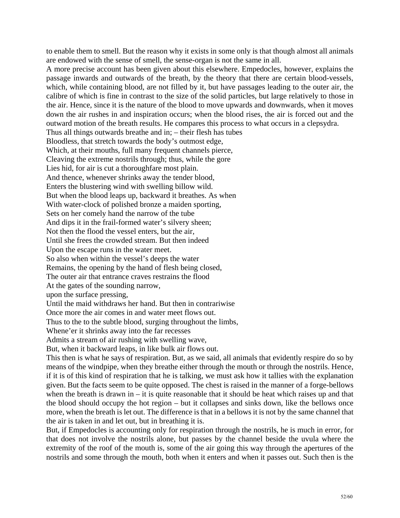to enable them to smell. But the reason why it exists in some only is that though almost all animals are endowed with the sense of smell, the sense-organ is not the same in all.

A more precise account has been given about this elsewhere. Empedocles, however, explains the passage inwards and outwards of the breath, by the theory that there are certain blood-vessels, which, while containing blood, are not filled by it, but have passages leading to the outer air, the calibre of which is fine in contrast to the size of the solid particles, but large relatively to those in the air. Hence, since it is the nature of the blood to move upwards and downwards, when it moves down the air rushes in and inspiration occurs; when the blood rises, the air is forced out and the outward motion of the breath results. He compares this process to what occurs in a clepsydra.

Thus all things outwards breathe and in; – their flesh has tubes

Bloodless, that stretch towards the body's outmost edge,

Which, at their mouths, full many frequent channels pierce,

Cleaving the extreme nostrils through; thus, while the gore

Lies hid, for air is cut a thoroughfare most plain.

And thence, whenever shrinks away the tender blood,

Enters the blustering wind with swelling billow wild.

But when the blood leaps up, backward it breathes. As when

With water-clock of polished bronze a maiden sporting,

Sets on her comely hand the narrow of the tube

And dips it in the frail-formed water's silvery sheen;

Not then the flood the vessel enters, but the air,

Until she frees the crowded stream. But then indeed

Upon the escape runs in the water meet.

So also when within the vessel's deeps the water

Remains, the opening by the hand of flesh being closed,

The outer air that entrance craves restrains the flood

At the gates of the sounding narrow,

upon the surface pressing,

Until the maid withdraws her hand. But then in contrariwise

Once more the air comes in and water meet flows out.

Thus to the to the subtle blood, surging throughout the limbs,

Whene'er it shrinks away into the far recesses

Admits a stream of air rushing with swelling wave,

But, when it backward leaps, in like bulk air flows out.

This then is what he says of respiration. But, as we said, all animals that evidently respire do so by means of the windpipe, when they breathe either through the mouth or through the nostrils. Hence, if it is of this kind of respiration that he is talking, we must ask how it tallies with the explanation given. But the facts seem to be quite opposed. The chest is raised in the manner of a forge-bellows when the breath is drawn in  $-$  it is quite reasonable that it should be heat which raises up and that the blood should occupy the hot region – but it collapses and sinks down, like the bellows once more, when the breath is let out. The difference is that in a bellows it is not by the same channel that the air is taken in and let out, but in breathing it is.

But, if Empedocles is accounting only for respiration through the nostrils, he is much in error, for that does not involve the nostrils alone, but passes by the channel beside the uvula where the extremity of the roof of the mouth is, some of the air going this way through the apertures of the nostrils and some through the mouth, both when it enters and when it passes out. Such then is the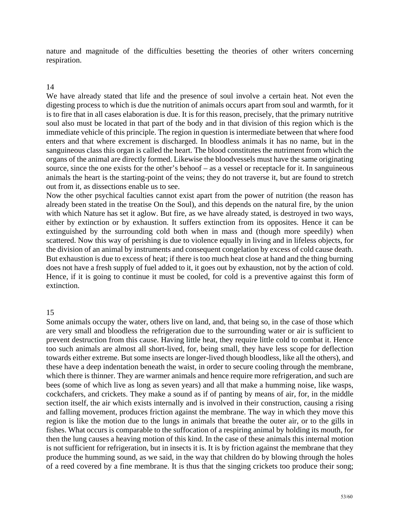nature and magnitude of the difficulties besetting the theories of other writers concerning respiration.

## 14

We have already stated that life and the presence of soul involve a certain heat. Not even the digesting process to which is due the nutrition of animals occurs apart from soul and warmth, for it is to fire that in all cases elaboration is due. It is for this reason, precisely, that the primary nutritive soul also must be located in that part of the body and in that division of this region which is the immediate vehicle of this principle. The region in question is intermediate between that where food enters and that where excrement is discharged. In bloodless animals it has no name, but in the sanguineous class this organ is called the heart. The blood constitutes the nutriment from which the organs of the animal are directly formed. Likewise the bloodvessels must have the same originating source, since the one exists for the other's behoof – as a vessel or receptacle for it. In sanguineous animals the heart is the starting-point of the veins; they do not traverse it, but are found to stretch out from it, as dissections enable us to see.

Now the other psychical faculties cannot exist apart from the power of nutrition (the reason has already been stated in the treatise On the Soul), and this depends on the natural fire, by the union with which Nature has set it aglow. But fire, as we have already stated, is destroyed in two ways, either by extinction or by exhaustion. It suffers extinction from its opposites. Hence it can be extinguished by the surrounding cold both when in mass and (though more speedily) when scattered. Now this way of perishing is due to violence equally in living and in lifeless objects, for the division of an animal by instruments and consequent congelation by excess of cold cause death. But exhaustion is due to excess of heat; if there is too much heat close at hand and the thing burning does not have a fresh supply of fuel added to it, it goes out by exhaustion, not by the action of cold. Hence, if it is going to continue it must be cooled, for cold is a preventive against this form of extinction.

## 15

too such animals are almost all short-lived, for, being small, they have less scope for deflection towards either extreme. But some insects are longer-lived though bloodless, like all the others), and these have a deep indentation beneath the waist, in order to secure cooling through the membrane, which there is thinner. They are warmer animals and hence require more refrigeration, and such are of a reed covered by a fine membrane. It is thus that the singing crickets too produce their song; Some animals occupy the water, others live on land, and, that being so, in the case of those which are very small and bloodless the refrigeration due to the surrounding water or air is sufficient to prevent destruction from this cause. Having little heat, they require little cold to combat it. Hence bees (some of which live as long as seven years) and all that make a humming noise, like wasps, cockchafers, and crickets. They make a sound as if of panting by means of air, for, in the middle section itself, the air which exists internally and is involved in their construction, causing a rising and falling movement, produces friction against the membrane. The way in which they move this region is like the motion due to the lungs in animals that breathe the outer air, or to the gills in fishes. What occurs is comparable to the suffocation of a respiring animal by holding its mouth, for then the lung causes a heaving motion of this kind. In the case of these animals this internal motion is not sufficient for refrigeration, but in insects it is. It is by friction against the membrane that they produce the humming sound, as we said, in the way that children do by blowing through the holes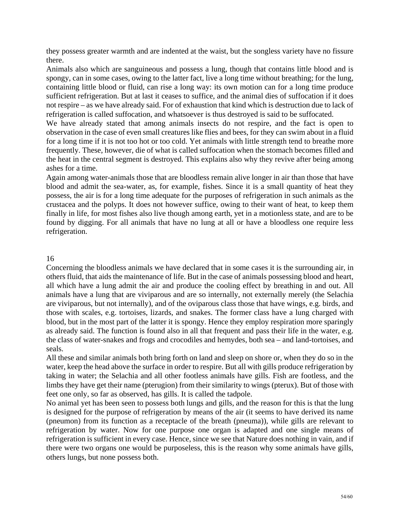they possess greater warmth and are indented at the waist, but the songless variety have no fissure there.

Animals also which are sanguineous and possess a lung, though that contains little blood and is spongy, can in some cases, owing to the latter fact, live a long time without breathing; for the lung, containing little blood or fluid, can rise a long way: its own motion can for a long time produce sufficient refrigeration. But at last it ceases to suffice, and the animal dies of suffocation if it does not respire – as we have already said. For of exhaustion that kind which is destruction due to lack of refrigeration is called suffocation, and whatsoever is thus destroyed is said to be suffocated.

We have already stated that among animals insects do not respire, and the fact is open to observation in the case of even small creatures like flies and bees, for they can swim about in a fluid for a long time if it is not too hot or too cold. Yet animals with little strength tend to breathe more frequently. These, however, die of what is called suffocation when the stomach becomes filled and the heat in the central segment is destroyed. This explains also why they revive after being among ashes for a time.

Again among water-animals those that are bloodless remain alive longer in air than those that have blood and admit the sea-water, as, for example, fishes. Since it is a small quantity of heat they possess, the air is for a long time adequate for the purposes of refrigeration in such animals as the crustacea and the polyps. It does not however suffice, owing to their want of heat, to keep them finally in life, for most fishes also live though among earth, yet in a motionless state, and are to be found by digging. For all animals that have no lung at all or have a bloodless one require less refrigeration.

## 16

Concerning the bloodless animals we have declared that in some cases it is the surrounding air, in others fluid, that aids the maintenance of life. But in the case of animals possessing blood and heart, all which have a lung admit the air and produce the cooling effect by breathing in and out. All animals have a lung that are viviparous and are so internally, not externally merely (the Selachia are viviparous, but not internally), and of the oviparous class those that have wings, e.g. birds, and those with scales, e.g. tortoises, lizards, and snakes. The former class have a lung charged with blood, but in the most part of the latter it is spongy. Hence they employ respiration more sparingly as already said. The function is found also in all that frequent and pass their life in the water, e.g. the class of water-snakes and frogs and crocodiles and hemydes, both sea – and land-tortoises, and seals.

All these and similar animals both bring forth on land and sleep on shore or, when they do so in the water, keep the head above the surface in order to respire. But all with gills produce refrigeration by taking in water; the Selachia and all other footless animals have gills. Fish are footless, and the limbs they have get their name (pterugion) from their similarity to wings (pterux). But of those with feet one only, so far as observed, has gills. It is called the tadpole.

(pneumon) from its function as a receptacle of the breath (pneuma)), while gills are relevant to No animal yet has been seen to possess both lungs and gills, and the reason for this is that the lung is designed for the purpose of refrigeration by means of the air (it seems to have derived its name refrigeration by water. Now for one purpose one organ is adapted and one single means of refrigeration is sufficient in every case. Hence, since we see that Nature does nothing in vain, and if there were two organs one would be purposeless, this is the reason why some animals have gills, others lungs, but none possess both.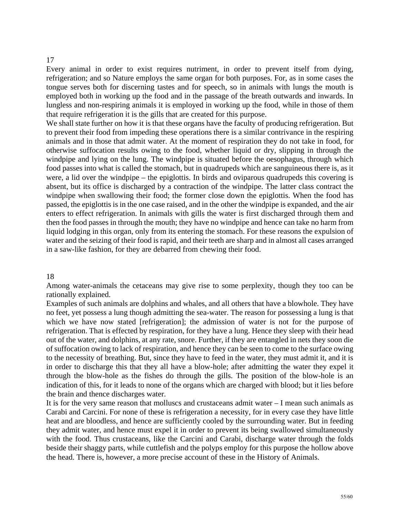#### 17

Every animal in order to exist requires nutriment, in order to prevent itself from dying, refrigeration; and so Nature employs the same organ for both purposes. For, as in some cases the tongue serves both for discerning tastes and for speech, so in animals with lungs the mouth is employed both in working up the food and in the passage of the breath outwards and inwards. In lungless and non-respiring animals it is employed in working up the food, while in those of them that require refrigeration it is the gills that are created for this purpose.

We shall state further on how it is that these organs have the faculty of producing refrigeration. But to prevent their food from impeding these operations there is a similar contrivance in the respiring nimals and in those that admit water. At the moment of respiration they do not take in food, for a otherwise suffocation results owing to the food, whether liquid or dry, slipping in through the water and the seizing of their food is rapid, and their teeth are sharp and in almost all cases arranged windpipe and lying on the lung. The windpipe is situated before the oesophagus, through which food passes into what is called the stomach, but in quadrupeds which are sanguineous there is, as it were, a lid over the windpipe – the epiglottis. In birds and oviparous quadrupeds this covering is absent, but its office is discharged by a contraction of the windpipe. The latter class contract the windpipe when swallowing their food; the former close down the epiglottis. When the food has passed, the epiglottis is in the one case raised, and in the other the windpipe is expanded, and the air enters to effect refrigeration. In animals with gills the water is first discharged through them and then the food passes in through the mouth; they have no windpipe and hence can take no harm from liquid lodging in this organ, only from its entering the stomach. For these reasons the expulsion of in a saw-like fashion, for they are debarred from chewing their food.

#### 18

Among water-animals the cetaceans may give rise to some perplexity, though they too can be rationally explained.

of suffocation owing to lack of respiration, and hence they can be seen to come to the surface owing to the necessity of breathing. But, since they have to feed in the water, they must admit it, and it is in order to discharge this that they all have a blow-hole; after admitting the water they expel it through the blow-hole as the fishes do through the gills. The position of the blow-hole is an Examples of such animals are dolphins and whales, and all others that have a blowhole. They have no feet, yet possess a lung though admitting the sea-water. The reason for possessing a lung is that which we have now stated [refrigeration]; the admission of water is not for the purpose of refrigeration. That is effected by respiration, for they have a lung. Hence they sleep with their head out of the water, and dolphins, at any rate, snore. Further, if they are entangled in nets they soon die indication of this, for it leads to none of the organs which are charged with blood; but it lies before the brain and thence discharges water.

they admit water, and hence must expel it in order to prevent its being swallowed simultaneously It is for the very same reason that molluscs and crustaceans admit water – I mean such animals as Carabi and Carcini. For none of these is refrigeration a necessity, for in every case they have little heat and are bloodless, and hence are sufficiently cooled by the surrounding water. But in feeding with the food. Thus crustaceans, like the Carcini and Carabi, discharge water through the folds beside their shaggy parts, while cuttlefish and the polyps employ for this purpose the hollow above the head. There is, however, a more precise account of these in the History of Animals.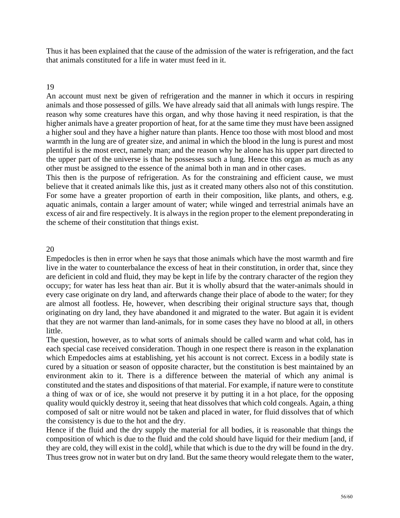Thus it has been explained that the cause of the admission of the water is refrigeration, and the fact that animals constituted for a life in water must feed in it.

## 19

An account must next be given of refrigeration and the manner in which it occurs in respiring animals and those possessed of gills. We have already said that all animals with lungs respire. The reason why some creatures have this organ, and why those having it need respiration, is that the higher animals have a greater proportion of heat, for at the same time they must have been assigned a higher soul and they have a higher nature than plants. Hence too those with most blood and most warmth in the lung are of greater size, and animal in which the blood in the lung is purest and most plentiful is the most erect, namely man; and the reason why he alone has his upper part directed to the upper part of the universe is that he possesses such a lung. Hence this organ as much as any other must be assigned to the essence of the animal both in man and in other cases.

This then is the purpose of refrigeration. As for the constraining and efficient cause, we must For some have a greater proportion of earth in their composition, like plants, and others, e.g. believe that it created animals like this, just as it created many others also not of this constitution. aquatic animals, contain a larger amount of water; while winged and terrestrial animals have an excess of air and fire respectively. It is always in the region proper to the element preponderating in the scheme of their constitution that things exist.

## 20

every case originate on dry land, and afterwards change their place of abode to the water; for they Empedocles is then in error when he says that those animals which have the most warmth and fire live in the water to counterbalance the excess of heat in their constitution, in order that, since they are deficient in cold and fluid, they may be kept in life by the contrary character of the region they occupy; for water has less heat than air. But it is wholly absurd that the water-animals should in are almost all footless. He, however, when describing their original structure says that, though originating on dry land, they have abandoned it and migrated to the water. But again it is evident that they are not warmer than land-animals, for in some cases they have no blood at all, in others little.

which Empedocles aims at establishing, yet his account is not correct. Excess in a bodily state is environment akin to it. There is a difference between the material of which any animal is onstituted and the states and dispositions of that material. For example, if nature were to constitute c a thing of wax or of ice, she would not preserve it by putting it in a hot place, for the opposing quality would quickly destroy it, seeing that heat dissolves that which cold congeals. Again, a thing The question, however, as to what sorts of animals should be called warm and what cold, has in each special case received consideration. Though in one respect there is reason in the explanation cured by a situation or season of opposite character, but the constitution is best maintained by an composed of salt or nitre would not be taken and placed in water, for fluid dissolves that of which the consistency is due to the hot and the dry.

Hence if the fluid and the dry supply the material for all bodies, it is reasonable that things the composition of which is due to the fluid and the cold should have liquid for their medium [and, if they are cold, they will exist in the cold], while that which is due to the dry will be found in the dry. Thus trees grow not in water but on dry land. But the same theory would relegate them to the water,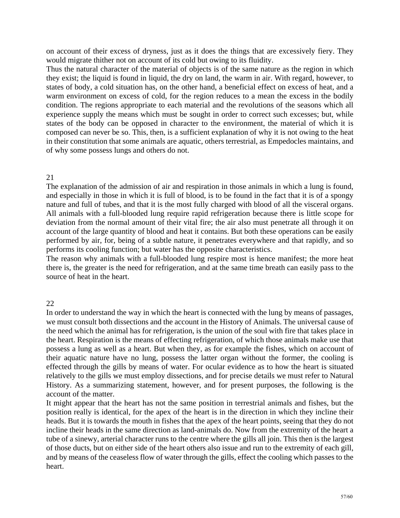on account of their excess of dryness, just as it does the things that are excessively fiery. They would migrate thither not on account of its cold but owing to its fluidity.

Thus the natural character of the material of objects is of the same nature as the region in which states of the body can be opposed in character to the environment, the material of which it is omposed can never be so. This, then, is a sufficient explanation of why it is not owing to the heat c in their constitution that some animals are aquatic, others terrestrial, as Empedocles maintains, and of why some possess lungs and others do not. they exist; the liquid is found in liquid, the dry on land, the warm in air. With regard, however, to states of body, a cold situation has, on the other hand, a beneficial effect on excess of heat, and a warm environment on excess of cold, for the region reduces to a mean the excess in the bodily condition. The regions appropriate to each material and the revolutions of the seasons which all experience supply the means which must be sought in order to correct such excesses; but, while

## 21

account of the large quantity of blood and heat it contains. But both these operations can be easily The explanation of the admission of air and respiration in those animals in which a lung is found, and especially in those in which it is full of blood, is to be found in the fact that it is of a spongy nature and full of tubes, and that it is the most fully charged with blood of all the visceral organs. All animals with a full-blooded lung require rapid refrigeration because there is little scope for deviation from the normal amount of their vital fire; the air also must penetrate all through it on performed by air, for, being of a subtle nature, it penetrates everywhere and that rapidly, and so performs its cooling function; but water has the opposite characteristics.

The reason why animals with a full-blooded lung respire most is hence manifest; the more heat there is, the greater is the need for refrigeration, and at the same time breath can easily pass to the source of heat in the heart.

# 22

we must consult both dissections and the account in the History of Animals. The universal cause of relatively to the gills we must employ dissections, and for precise details we must refer to Natural In order to understand the way in which the heart is connected with the lung by means of passages, the need which the animal has for refrigeration, is the union of the soul with fire that takes place in the heart. Respiration is the means of effecting refrigeration, of which those animals make use that possess a lung as well as a heart. But when they, as for example the fishes, which on account of their aquatic nature have no lung, possess the latter organ without the former, the cooling is effected through the gills by means of water. For ocular evidence as to how the heart is situated History. As a summarizing statement, however, and for present purposes, the following is the account of the matter.

It might appear that the heart has not the same position in terrestrial animals and fishes, but the position really is identical, for the apex of the heart is in the direction in which they incline their heads. But it is towards the mouth in fishes that the apex of the heart points, seeing that they do not incline their heads in the same direction as land-animals do. Now from the extremity of the heart a tube of a sinewy, arterial character runs to the centre where the gills all join. This then is the largest of those ducts, but on either side of the heart others also issue and run to the extremity of each gill, and by means of the ceaseless flow of water through the gills, effect the cooling which passes to the heart.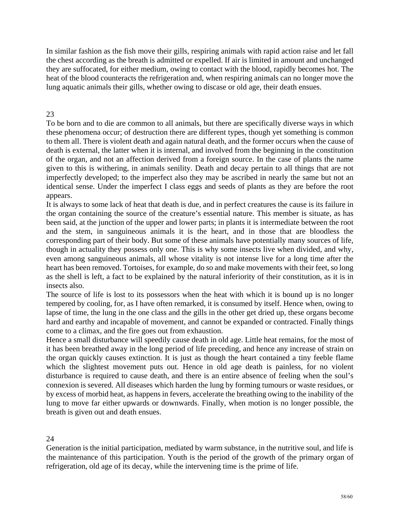In similar fashion as the fish move their gills, respiring animals with rapid action raise and let fall the chest according as the breath is admitted or expelled. If air is limited in amount and unchanged they are suffocated, for either medium, owing to contact with the blood, rapidly becomes hot. The heat of the blood counteracts the refrigeration and, when respiring animals can no longer move the lung aquatic animals their gills, whether owing to discase or old age, their death ensues.

# 23

to them all. There is violent death and again natural death, and the former occurs when the cause of given to this is withering, in animals senility. Death and decay pertain to all things that are not imperfectly developed; to the imperfect also they may be ascribed in nearly the same but not an identical sense. Under the imperfect I class eggs and seeds of plants as they are before the root appears. To be born and to die are common to all animals, but there are specifically diverse ways in which these phenomena occur; of destruction there are different types, though yet something is common death is external, the latter when it is internal, and involved from the beginning in the constitution of the organ, and not an affection derived from a foreign source. In the case of plants the name

It is always to some lack of heat that death is due, and in perfect creatures the cause is its failure in the organ containing the source of the creature's essential nature. This member is situate, as has been said, at the junction of the upper and lower parts; in plants it is intermediate between the root and the stem, in sanguineous animals it is the heart, and in those that are bloodless the corresponding part of their body. But some of these animals have potentially many sources of life, though in actuality they possess only one. This is why some insects live when divided, and why, even among sanguineous animals, all whose vitality is not intense live for a long time after the heart has been removed. Tortoises, for example, do so and make movements with their feet, so long as the shell is left, a fact to be explained by the natural inferiority of their constitution, as it is in insects also.

The source of life is lost to its possessors when the heat with which it is bound up is no longer tempered by cooling, for, as I have often remarked, it is consumed by itself. Hence when, owing to lapse of time, the lung in the one class and the gills in the other get dried up, these organs become hard and earthy and incapable of movement, and cannot be expanded or contracted. Finally things come to a climax, and the fire goes out from exhaustion.

the organ quickly causes extinction. It is just as though the heart contained a tiny feeble flame breath is given out and death ensues. Hence a small disturbance will speedily cause death in old age. Little heat remains, for the most of it has been breathed away in the long period of life preceding, and hence any increase of strain on which the slightest movement puts out. Hence in old age death is painless, for no violent disturbance is required to cause death, and there is an entire absence of feeling when the soul's connexion is severed. All diseases which harden the lung by forming tumours or waste residues, or by excess of morbid heat, as happens in fevers, accelerate the breathing owing to the inability of the lung to move far either upwards or downwards. Finally, when motion is no longer possible, the

24

Generation is the initial participation, mediated by warm substance, in the nutritive soul, and life is the maintenance of this participation. Youth is the period of the growth of the primary organ of refrigeration, old age of its decay, while the intervening time is the prime of life.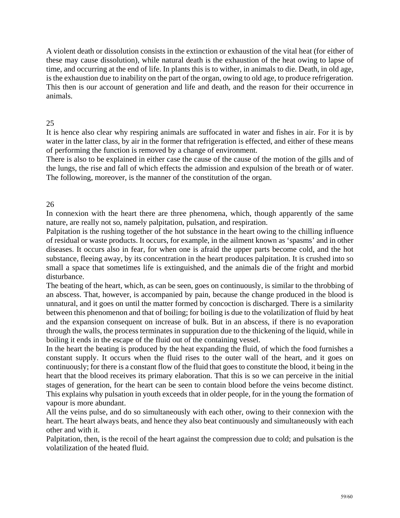A violent death or dissolution consists in the extinction or exhaustion of the vital heat (for either of these may cause dissolution), while natural death is the exhaustion of the heat owing to lapse of time, and occurring at the end of life. In plants this is to wither, in animals to die. Death, in old age, is the exhaustion due to inability on the part of the organ, owing to old age, to produce refrigeration. This then is our account of generation and life and death, and the reason for their occurrence in animals.

## 25

It is hence also clear why respiring animals are suffocated in water and fishes in air. For it is by water in the latter class, by air in the former that refrigeration is effected, and either of these means of performing the function is removed by a change of environment.

There is also to be explained in either case the cause of the cause of the motion of the gills and of the lungs, the rise and fall of which effects the admission and expulsion of the breath or of water. The following, moreover, is the manner of the constitution of the organ.

## 26

In connexion with the heart there are three phenomena, which, though apparently of the same nature, are really not so, namely palpitation, pulsation, and respiration.

Palpitation is the rushing together of the hot substance in the heart owing to the chilling influence of residual or waste products. It occurs, for example, in the ailment known as 'spasms' and in other diseases. It occurs also in fear, for when one is afraid the upper parts become cold, and the hot substance, fleeing away, by its concentration in the heart produces palpitation. It is crushed into so small a space that sometimes life is extinguished, and the animals die of the fright and morbid disturbance.

between this phenomenon and that of boiling; for boiling is due to the volatilization of fluid by heat and the expansion consequent on increase of bulk. But in an abscess, if there is no evaporation through the walls, the process terminates in suppuration due to the thickening of the liquid, while in boiling it ends in the escape of the fluid out of the containing vessel. The beating of the heart, which, as can be seen, goes on continuously, is similar to the throbbing of an abscess. That, however, is accompanied by pain, because the change produced in the blood is unnatural, and it goes on until the matter formed by concoction is discharged. There is a similarity

continuously; for there is a constant flow of the fluid that goes to constitute the blood, it being in the In the heart the beating is produced by the heat expanding the fluid, of which the food furnishes a constant supply. It occurs when the fluid rises to the outer wall of the heart, and it goes on heart that the blood receives its primary elaboration. That this is so we can perceive in the initial stages of generation, for the heart can be seen to contain blood before the veins become distinct. This explains why pulsation in youth exceeds that in older people, for in the young the formation of vapour is more abundant.

heart. The heart always beats, and hence they also beat continuously and simultaneously with each other and with it. All the veins pulse, and do so simultaneously with each other, owing to their connexion with the

Palpitation, then, is the recoil of the heart against the compression due to cold; and pulsation is the volatilization of the heated fluid.